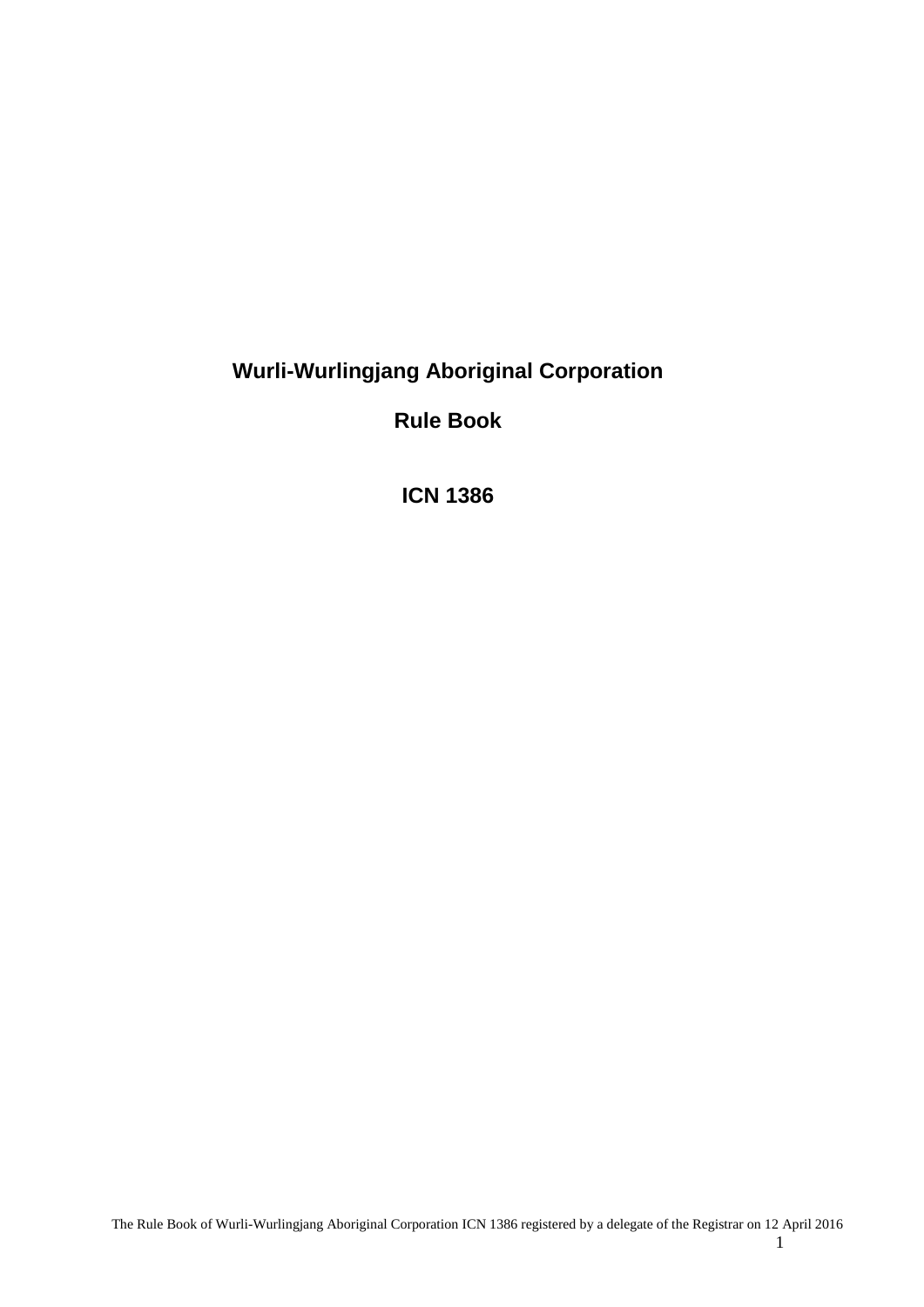# **Wurli-Wurlingjang Aboriginal Corporation**

**Rule Book**

**ICN 1386**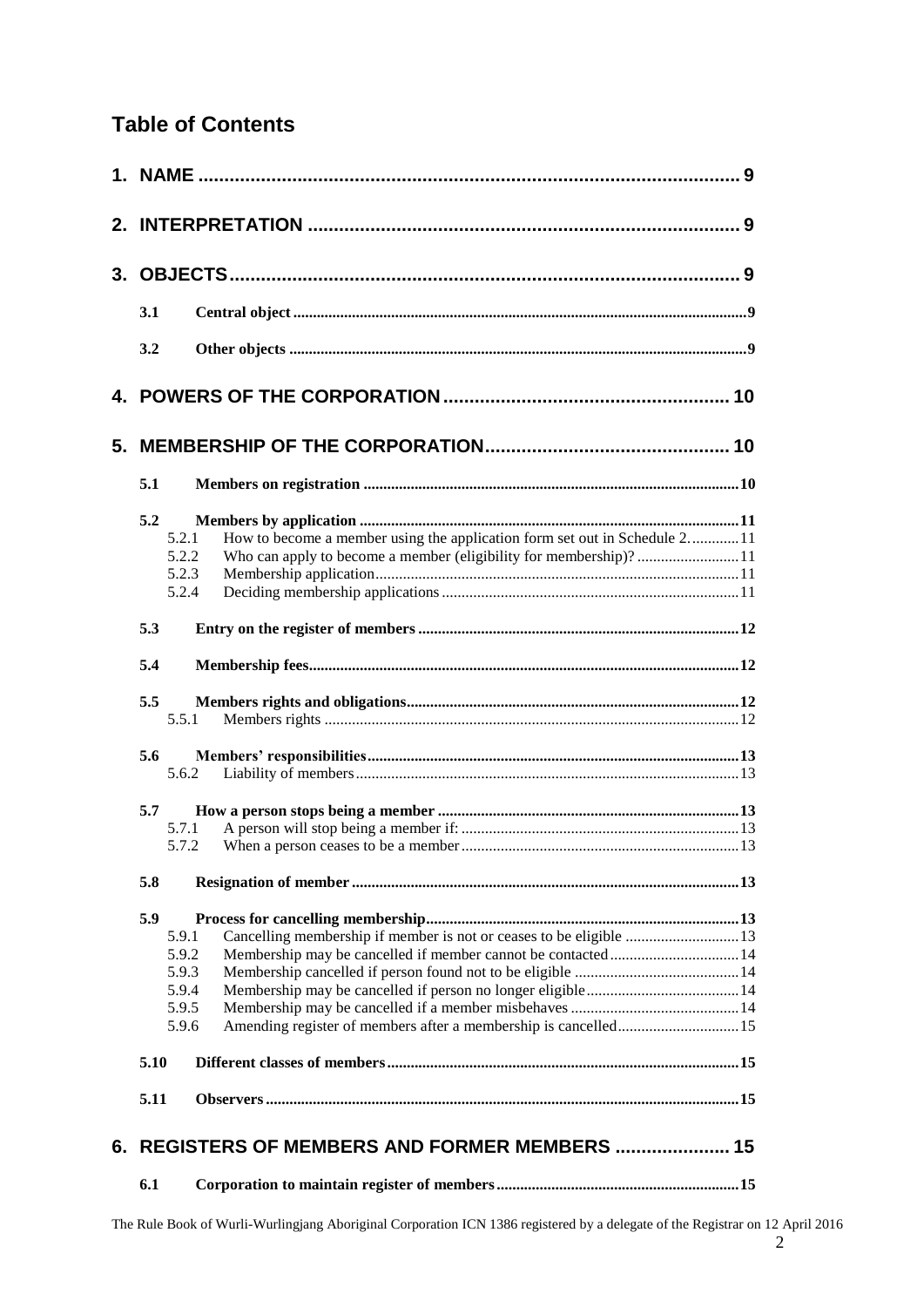# **Table of Contents**

|    | 3.1                                                       |                                                                                                                                   |  |
|----|-----------------------------------------------------------|-----------------------------------------------------------------------------------------------------------------------------------|--|
|    | 3.2                                                       |                                                                                                                                   |  |
|    |                                                           |                                                                                                                                   |  |
| 5. |                                                           |                                                                                                                                   |  |
|    | 5.1                                                       |                                                                                                                                   |  |
|    | 5.2<br>5.2.1<br>5.2.2<br>5.2.3<br>5.2.4                   | How to become a member using the application form set out in Schedule 211                                                         |  |
|    | 5.3                                                       |                                                                                                                                   |  |
|    | 5.4                                                       |                                                                                                                                   |  |
|    | 5.5<br>5.5.1                                              |                                                                                                                                   |  |
|    | 5.6<br>5.6.2                                              |                                                                                                                                   |  |
|    | 5.7<br>5.7.1<br>5.7.2                                     |                                                                                                                                   |  |
|    | 5.8                                                       |                                                                                                                                   |  |
|    | 5.9<br>5.9.1<br>5.9.2<br>5.9.3<br>5.9.4<br>5.9.5<br>5.9.6 | Cancelling membership if member is not or ceases to be eligible 13<br>Membership may be cancelled if member cannot be contacted14 |  |
|    | 5.10                                                      |                                                                                                                                   |  |
|    | 5.11                                                      |                                                                                                                                   |  |
| 6. |                                                           | REGISTERS OF MEMBERS AND FORMER MEMBERS  15                                                                                       |  |
|    | 6.1                                                       |                                                                                                                                   |  |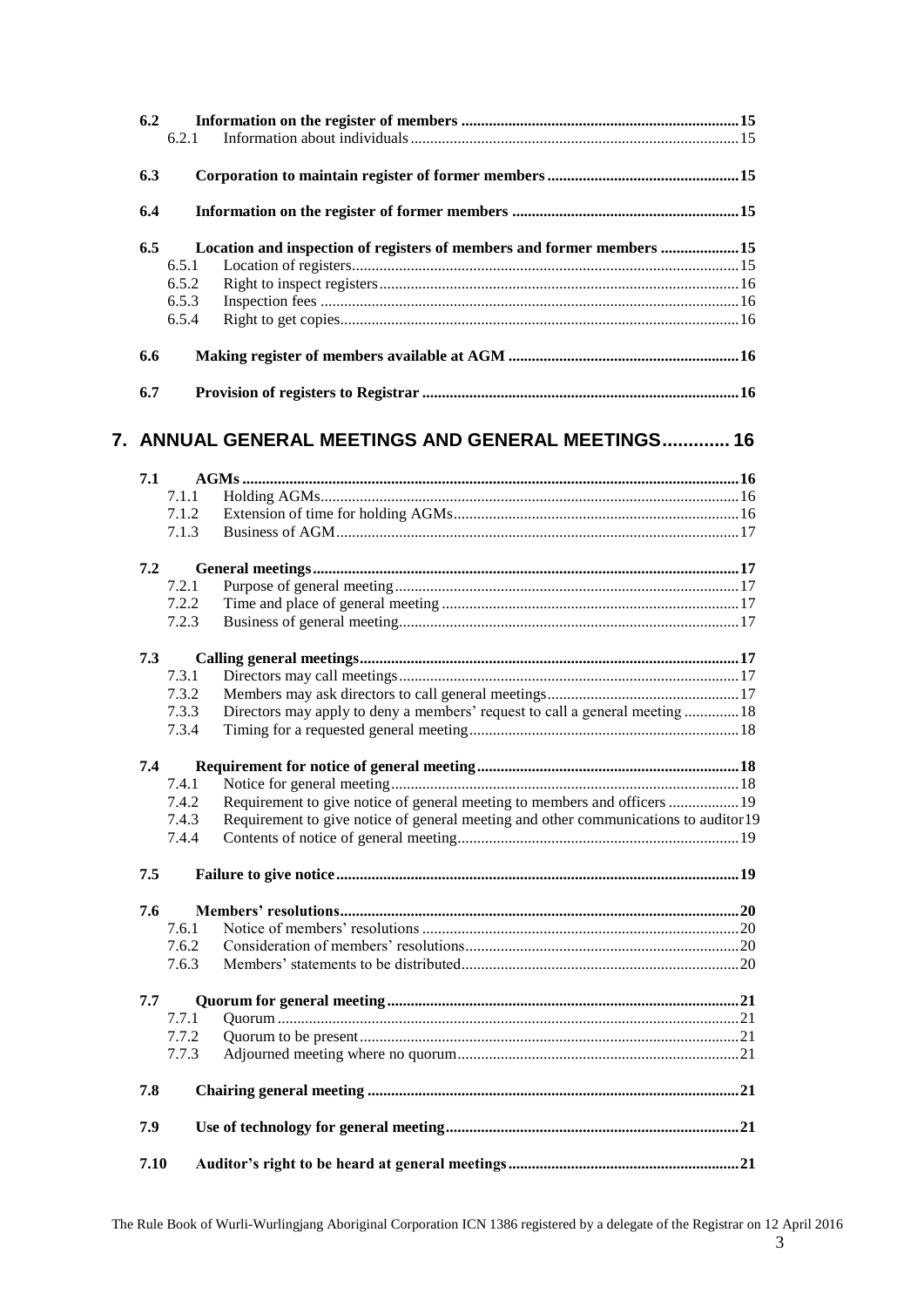| 6.2  | 6.2.1          |                                                                                                                                                                   |  |
|------|----------------|-------------------------------------------------------------------------------------------------------------------------------------------------------------------|--|
| 6.3  |                |                                                                                                                                                                   |  |
| 6.4  |                |                                                                                                                                                                   |  |
| 6.5  |                | Location and inspection of registers of members and former members 15                                                                                             |  |
|      | 6.5.1          |                                                                                                                                                                   |  |
|      | 6.5.2          |                                                                                                                                                                   |  |
|      | 6.5.3          |                                                                                                                                                                   |  |
|      | 6.5.4          |                                                                                                                                                                   |  |
| 6.6  |                |                                                                                                                                                                   |  |
| 6.7  |                |                                                                                                                                                                   |  |
|      |                | 7. ANNUAL GENERAL MEETINGS AND GENERAL MEETINGS 16                                                                                                                |  |
| 7.1  |                |                                                                                                                                                                   |  |
|      | 7.1.1          |                                                                                                                                                                   |  |
|      | 7.1.2          |                                                                                                                                                                   |  |
|      | 7.1.3          |                                                                                                                                                                   |  |
| 7.2  |                |                                                                                                                                                                   |  |
|      | 7.2.1          |                                                                                                                                                                   |  |
|      | 7.2.2          |                                                                                                                                                                   |  |
|      | 7.2.3          |                                                                                                                                                                   |  |
| 7.3  |                |                                                                                                                                                                   |  |
|      | 7.3.1          |                                                                                                                                                                   |  |
|      | 7.3.2          |                                                                                                                                                                   |  |
|      | 7.3.3<br>7.3.4 | Directors may apply to deny a members' request to call a general meeting18                                                                                        |  |
|      |                |                                                                                                                                                                   |  |
| 7.4  |                |                                                                                                                                                                   |  |
|      | 7.4.1          |                                                                                                                                                                   |  |
|      | 7.4.2<br>7.4.3 | Requirement to give notice of general meeting to members and officers  19<br>Requirement to give notice of general meeting and other communications to auditor 19 |  |
|      | 7.4.4          |                                                                                                                                                                   |  |
| 7.5  |                |                                                                                                                                                                   |  |
| 7.6  |                |                                                                                                                                                                   |  |
|      | 7.6.1          |                                                                                                                                                                   |  |
|      | 7.6.2          |                                                                                                                                                                   |  |
|      | 7.6.3          |                                                                                                                                                                   |  |
| 7.7  |                |                                                                                                                                                                   |  |
|      | 7.7.1          |                                                                                                                                                                   |  |
|      | 7.7.2          |                                                                                                                                                                   |  |
|      | 7.7.3          |                                                                                                                                                                   |  |
| 7.8  |                |                                                                                                                                                                   |  |
| 7.9  |                |                                                                                                                                                                   |  |
| 7.10 |                |                                                                                                                                                                   |  |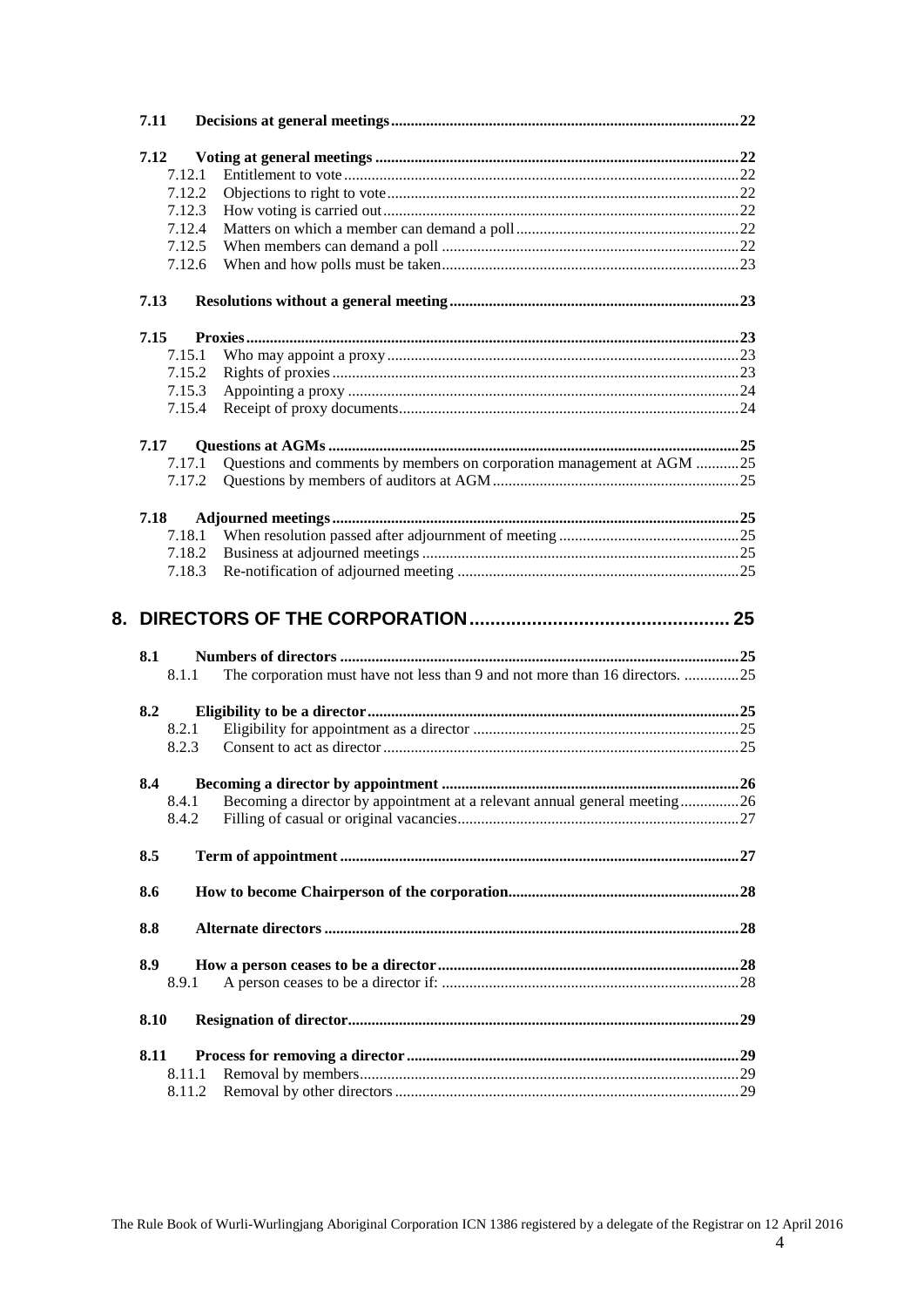| 7.11 |                                                                                       |  |
|------|---------------------------------------------------------------------------------------|--|
| 7.12 |                                                                                       |  |
|      | 7.12.1                                                                                |  |
|      | 7.12.2                                                                                |  |
|      | 7.12.3                                                                                |  |
|      | 7.12.4                                                                                |  |
|      |                                                                                       |  |
|      | 7.12.5                                                                                |  |
|      | 7.12.6                                                                                |  |
| 7.13 |                                                                                       |  |
| 7.15 |                                                                                       |  |
|      | 7.15.1                                                                                |  |
|      | 7.15.2                                                                                |  |
|      | 7.15.3                                                                                |  |
|      | 7.15.4                                                                                |  |
|      |                                                                                       |  |
| 7.17 |                                                                                       |  |
|      | Questions and comments by members on corporation management at AGM 25<br>7.17.1       |  |
|      | 7.17.2                                                                                |  |
| 7.18 |                                                                                       |  |
|      | 7.18.1                                                                                |  |
|      | 7.18.2                                                                                |  |
|      | 7.18.3                                                                                |  |
|      |                                                                                       |  |
|      |                                                                                       |  |
| 8.1  |                                                                                       |  |
|      | The corporation must have not less than 9 and not more than 16 directors. 25<br>8.1.1 |  |
| 8.2  |                                                                                       |  |
|      | 8.2.1                                                                                 |  |
|      |                                                                                       |  |
|      | 8.2.3                                                                                 |  |
| 8.4  |                                                                                       |  |
|      | 8.4.1 Becoming a director by appointment at a relevant annual general meeting26       |  |
|      | 8.4.2                                                                                 |  |
| 8.5  |                                                                                       |  |
| 8.6  |                                                                                       |  |
|      |                                                                                       |  |
| 8.8  |                                                                                       |  |
| 8.9  |                                                                                       |  |
|      | 8.9.1                                                                                 |  |
| 8.10 |                                                                                       |  |
| 8.11 |                                                                                       |  |
|      | 8.11.1                                                                                |  |
|      | 8.11.2                                                                                |  |
|      |                                                                                       |  |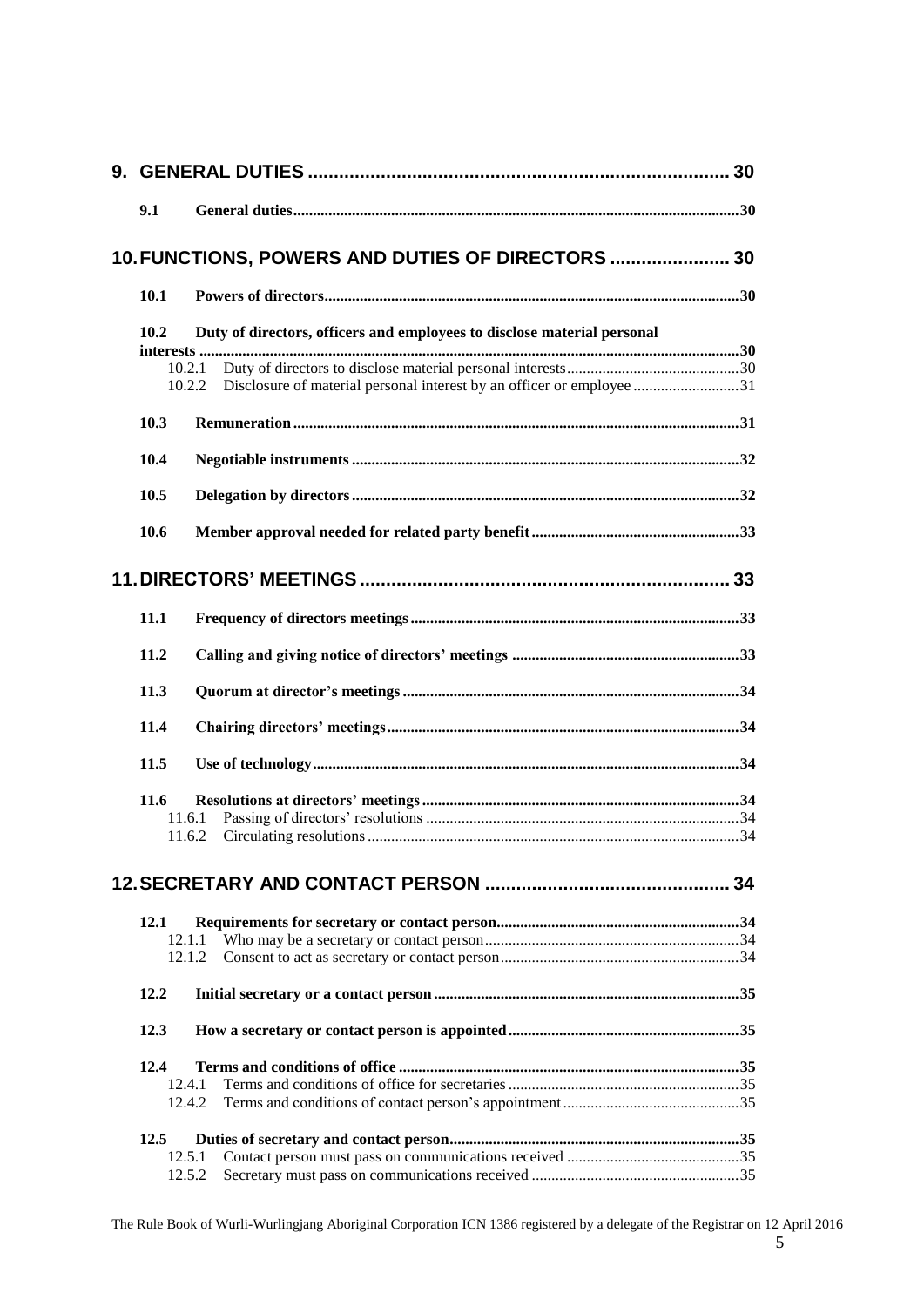| 9.1  |                                                                                           |  |
|------|-------------------------------------------------------------------------------------------|--|
|      | 10. FUNCTIONS, POWERS AND DUTIES OF DIRECTORS  30                                         |  |
| 10.1 |                                                                                           |  |
| 10.2 | Duty of directors, officers and employees to disclose material personal                   |  |
|      | 10.2.1<br>Disclosure of material personal interest by an officer or employee 31<br>10.2.2 |  |
| 10.3 |                                                                                           |  |
| 10.4 |                                                                                           |  |
| 10.5 |                                                                                           |  |
| 10.6 |                                                                                           |  |
|      |                                                                                           |  |
| 11.1 |                                                                                           |  |
| 11.2 |                                                                                           |  |
| 11.3 |                                                                                           |  |
| 11.4 |                                                                                           |  |
| 11.5 |                                                                                           |  |
| 11.6 |                                                                                           |  |
|      | 11.6.1                                                                                    |  |
|      | 11.6.2                                                                                    |  |
|      |                                                                                           |  |
| 12.1 |                                                                                           |  |
|      | 12.1.1                                                                                    |  |
|      | 12.1.2                                                                                    |  |
| 12.2 |                                                                                           |  |
| 12.3 |                                                                                           |  |
| 12.4 |                                                                                           |  |
|      | 12.4.1                                                                                    |  |
|      | 12.4.2                                                                                    |  |
| 12.5 |                                                                                           |  |
|      | 12.5.1                                                                                    |  |
|      | 12.5.2                                                                                    |  |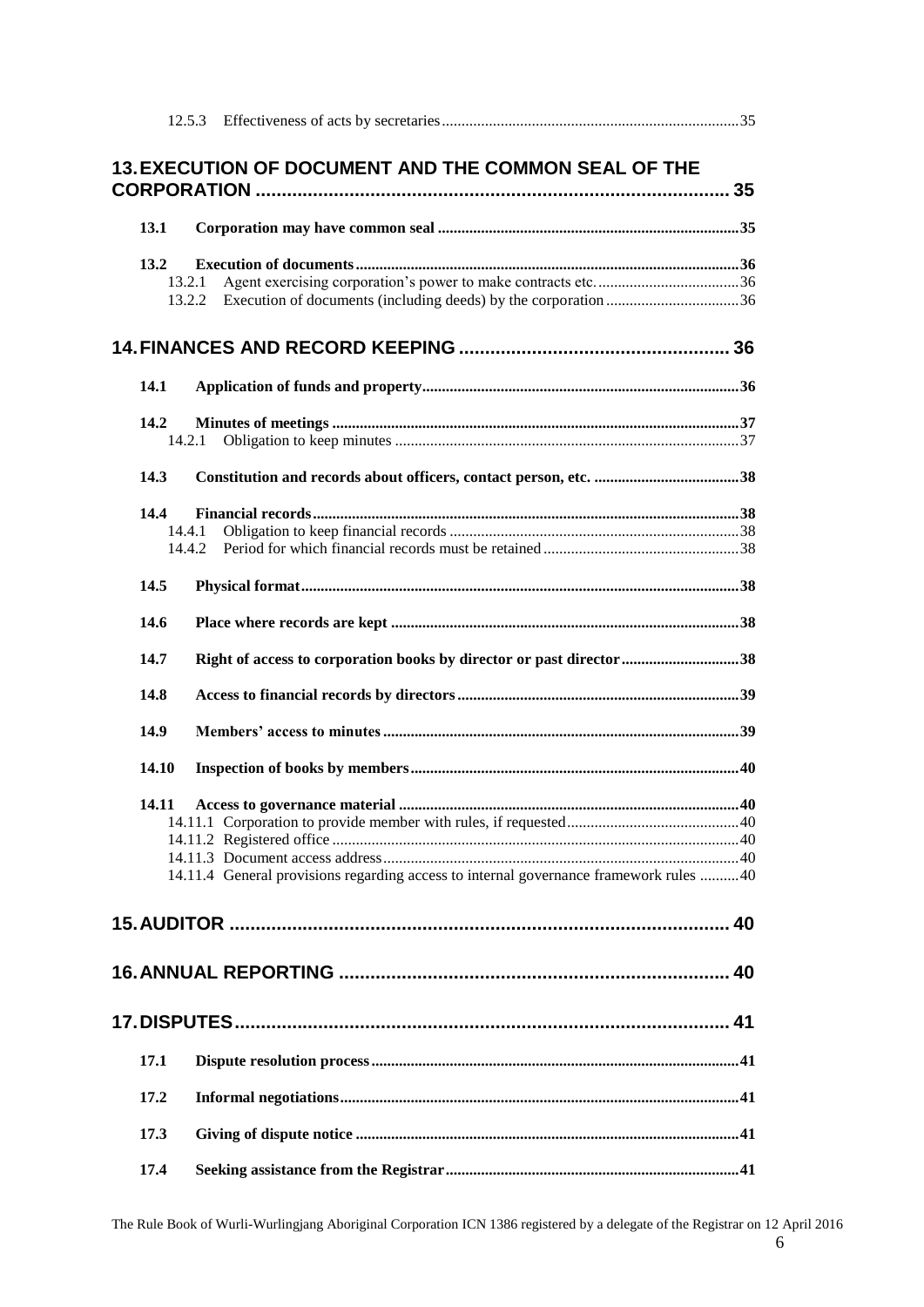|       | <b>13. EXECUTION OF DOCUMENT AND THE COMMON SEAL OF THE</b>                           |  |
|-------|---------------------------------------------------------------------------------------|--|
|       |                                                                                       |  |
| 13.1  |                                                                                       |  |
| 13.2  |                                                                                       |  |
|       | 13.2.1                                                                                |  |
|       | 13.2.2                                                                                |  |
|       |                                                                                       |  |
| 14.1  |                                                                                       |  |
| 14.2  |                                                                                       |  |
|       | 14.2.1                                                                                |  |
| 14.3  |                                                                                       |  |
|       |                                                                                       |  |
| 14.4  | 14.4.1                                                                                |  |
|       | 14.4.2                                                                                |  |
| 14.5  |                                                                                       |  |
|       |                                                                                       |  |
| 14.6  |                                                                                       |  |
| 14.7  | Right of access to corporation books by director or past director 38                  |  |
| 14.8  |                                                                                       |  |
| 14.9  |                                                                                       |  |
| 14.10 |                                                                                       |  |
| 14.11 |                                                                                       |  |
|       |                                                                                       |  |
|       |                                                                                       |  |
|       |                                                                                       |  |
|       | 14.11.4 General provisions regarding access to internal governance framework rules 40 |  |
|       |                                                                                       |  |
|       |                                                                                       |  |
|       |                                                                                       |  |
|       |                                                                                       |  |
| 17.1  |                                                                                       |  |
| 17.2  |                                                                                       |  |
| 17.3  |                                                                                       |  |
| 17.4  |                                                                                       |  |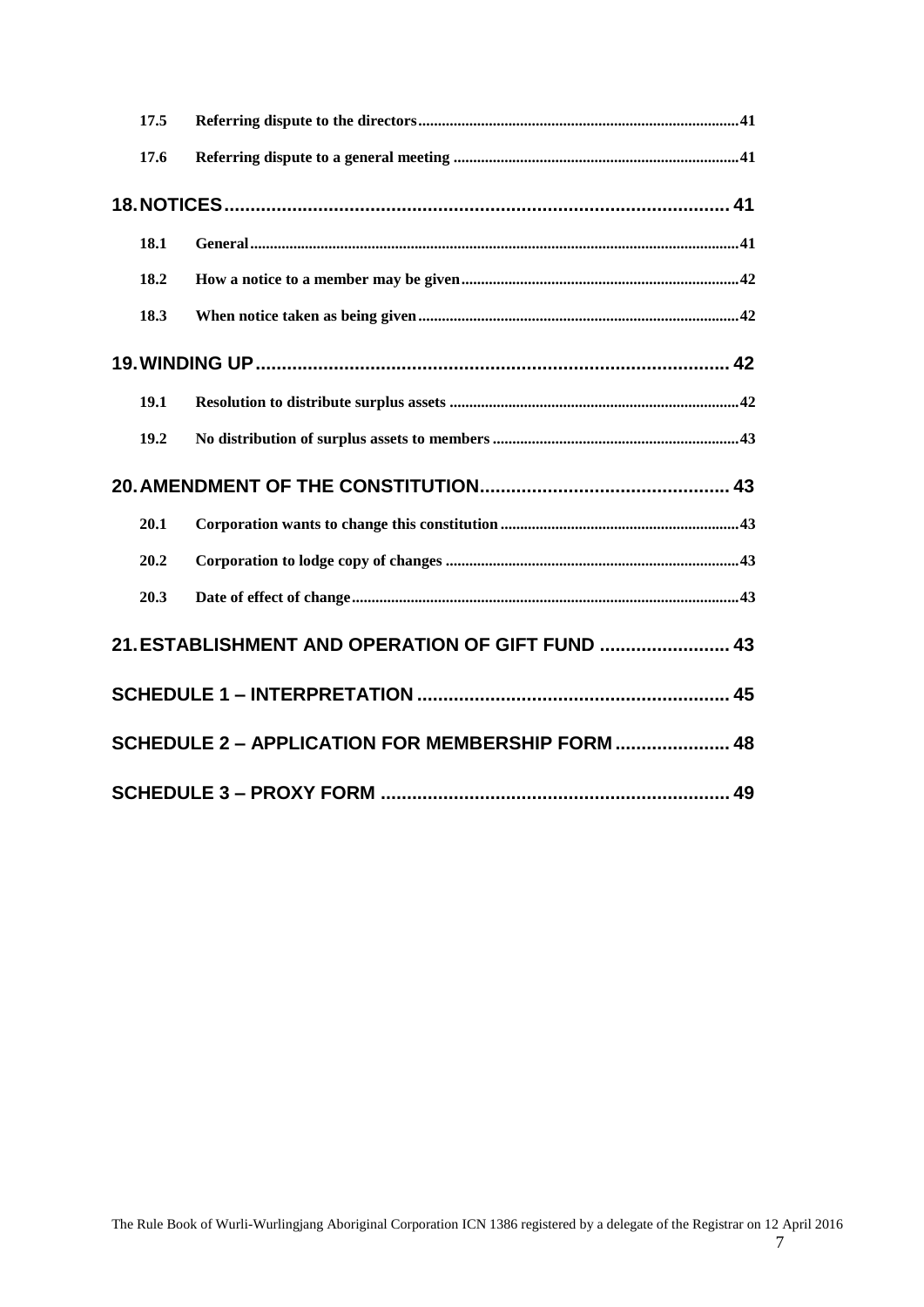|  | 17.5 |                                                  |  |
|--|------|--------------------------------------------------|--|
|  | 17.6 |                                                  |  |
|  |      |                                                  |  |
|  | 18.1 |                                                  |  |
|  | 18.2 |                                                  |  |
|  | 18.3 |                                                  |  |
|  |      |                                                  |  |
|  | 19.1 |                                                  |  |
|  | 19.2 |                                                  |  |
|  |      |                                                  |  |
|  | 20.1 |                                                  |  |
|  | 20.2 |                                                  |  |
|  | 20.3 |                                                  |  |
|  |      | 21. ESTABLISHMENT AND OPERATION OF GIFT FUND  43 |  |
|  |      |                                                  |  |
|  |      |                                                  |  |
|  |      | SCHEDULE 2 - APPLICATION FOR MEMBERSHIP FORM  48 |  |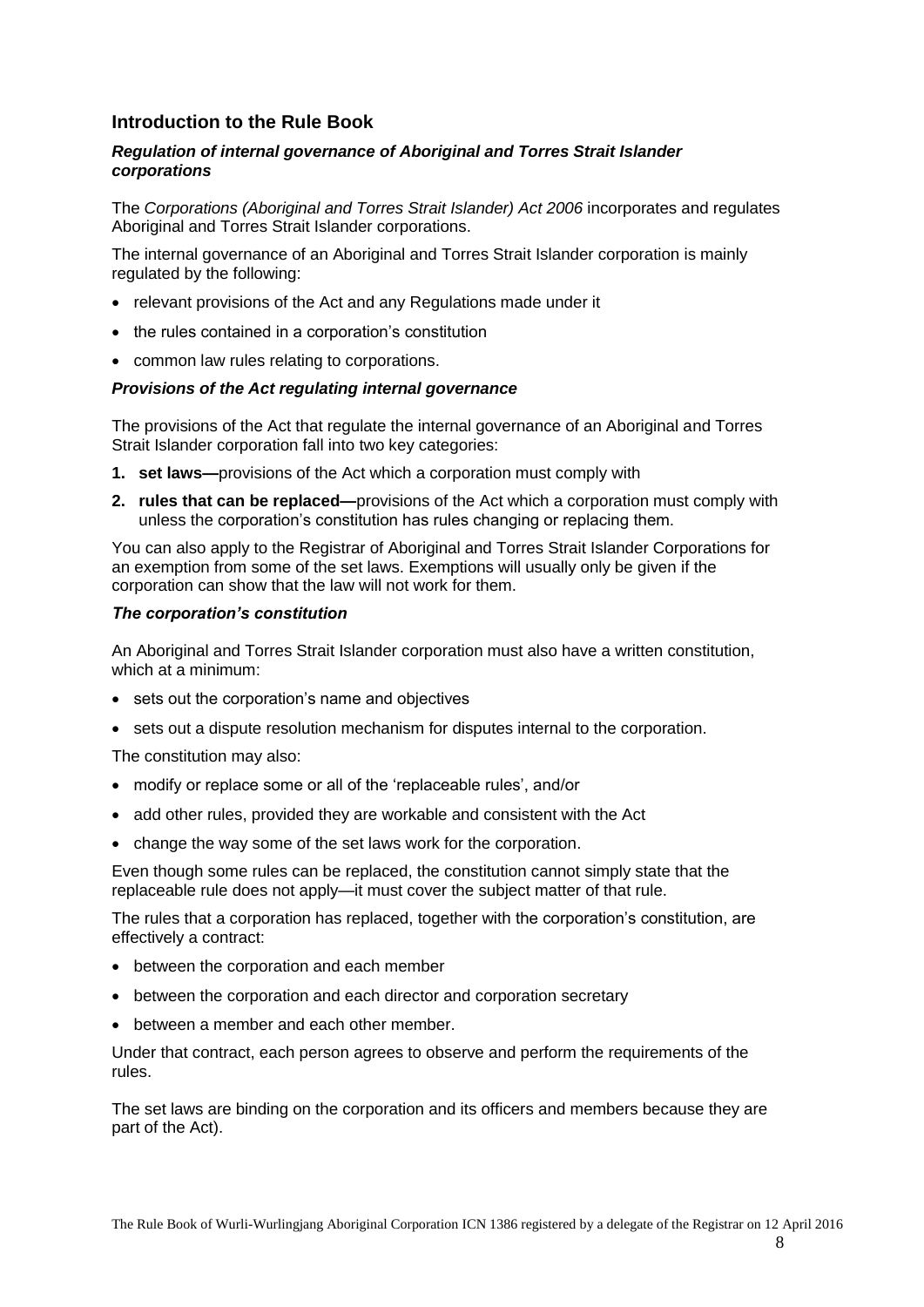## **Introduction to the Rule Book**

## *Regulation of internal governance of Aboriginal and Torres Strait Islander corporations*

The *Corporations (Aboriginal and Torres Strait Islander) Act 2006* incorporates and regulates Aboriginal and Torres Strait Islander corporations.

The internal governance of an Aboriginal and Torres Strait Islander corporation is mainly regulated by the following:

- relevant provisions of the Act and any Regulations made under it
- the rules contained in a corporation's constitution
- common law rules relating to corporations.

#### *Provisions of the Act regulating internal governance*

The provisions of the Act that regulate the internal governance of an Aboriginal and Torres Strait Islander corporation fall into two key categories:

- **1. set laws—**provisions of the Act which a corporation must comply with
- **2. rules that can be replaced—**provisions of the Act which a corporation must comply with unless the corporation's constitution has rules changing or replacing them.

You can also apply to the Registrar of Aboriginal and Torres Strait Islander Corporations for an exemption from some of the set laws. Exemptions will usually only be given if the corporation can show that the law will not work for them.

#### *The corporation's constitution*

An Aboriginal and Torres Strait Islander corporation must also have a written constitution, which at a minimum:

- sets out the corporation's name and objectives
- sets out a dispute resolution mechanism for disputes internal to the corporation.

The constitution may also:

- modify or replace some or all of the 'replaceable rules', and/or
- add other rules, provided they are workable and consistent with the Act
- change the way some of the set laws work for the corporation.

Even though some rules can be replaced, the constitution cannot simply state that the replaceable rule does not apply—it must cover the subject matter of that rule.

The rules that a corporation has replaced, together with the corporation's constitution, are effectively a contract:

- between the corporation and each member
- between the corporation and each director and corporation secretary
- between a member and each other member.

Under that contract, each person agrees to observe and perform the requirements of the rules.

The set laws are binding on the corporation and its officers and members because they are part of the Act).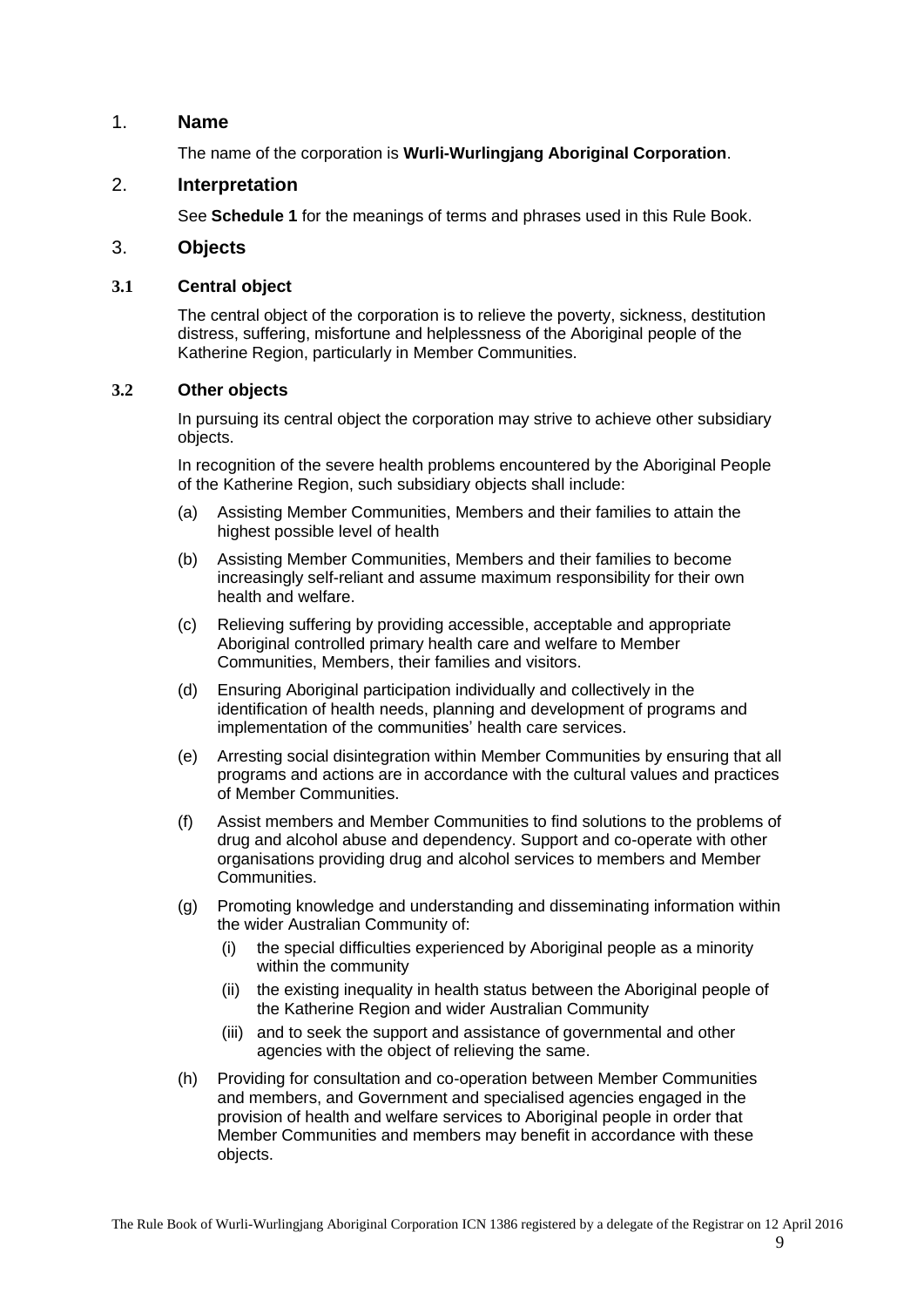## <span id="page-8-0"></span>1. **Name**

The name of the corporation is **Wurli-Wurlingjang Aboriginal Corporation**.

## <span id="page-8-1"></span>2. **Interpretation**

See **Schedule 1** for the meanings of terms and phrases used in this Rule Book.

#### <span id="page-8-2"></span>3. **Objects**

## <span id="page-8-3"></span>**3.1 Central object**

The central object of the corporation is to relieve the poverty, sickness, destitution distress, suffering, misfortune and helplessness of the Aboriginal people of the Katherine Region, particularly in Member Communities.

#### <span id="page-8-4"></span>**3.2 Other objects**

In pursuing its central object the corporation may strive to achieve other subsidiary objects.

In recognition of the severe health problems encountered by the Aboriginal People of the Katherine Region, such subsidiary objects shall include:

- (a) Assisting Member Communities, Members and their families to attain the highest possible level of health
- (b) Assisting Member Communities, Members and their families to become increasingly self-reliant and assume maximum responsibility for their own health and welfare.
- (c) Relieving suffering by providing accessible, acceptable and appropriate Aboriginal controlled primary health care and welfare to Member Communities, Members, their families and visitors.
- (d) Ensuring Aboriginal participation individually and collectively in the identification of health needs, planning and development of programs and implementation of the communities' health care services.
- (e) Arresting social disintegration within Member Communities by ensuring that all programs and actions are in accordance with the cultural values and practices of Member Communities.
- (f) Assist members and Member Communities to find solutions to the problems of drug and alcohol abuse and dependency. Support and co-operate with other organisations providing drug and alcohol services to members and Member **Communities**
- (g) Promoting knowledge and understanding and disseminating information within the wider Australian Community of:
	- (i) the special difficulties experienced by Aboriginal people as a minority within the community
	- (ii) the existing inequality in health status between the Aboriginal people of the Katherine Region and wider Australian Community
	- (iii) and to seek the support and assistance of governmental and other agencies with the object of relieving the same.
- (h) Providing for consultation and co-operation between Member Communities and members, and Government and specialised agencies engaged in the provision of health and welfare services to Aboriginal people in order that Member Communities and members may benefit in accordance with these objects.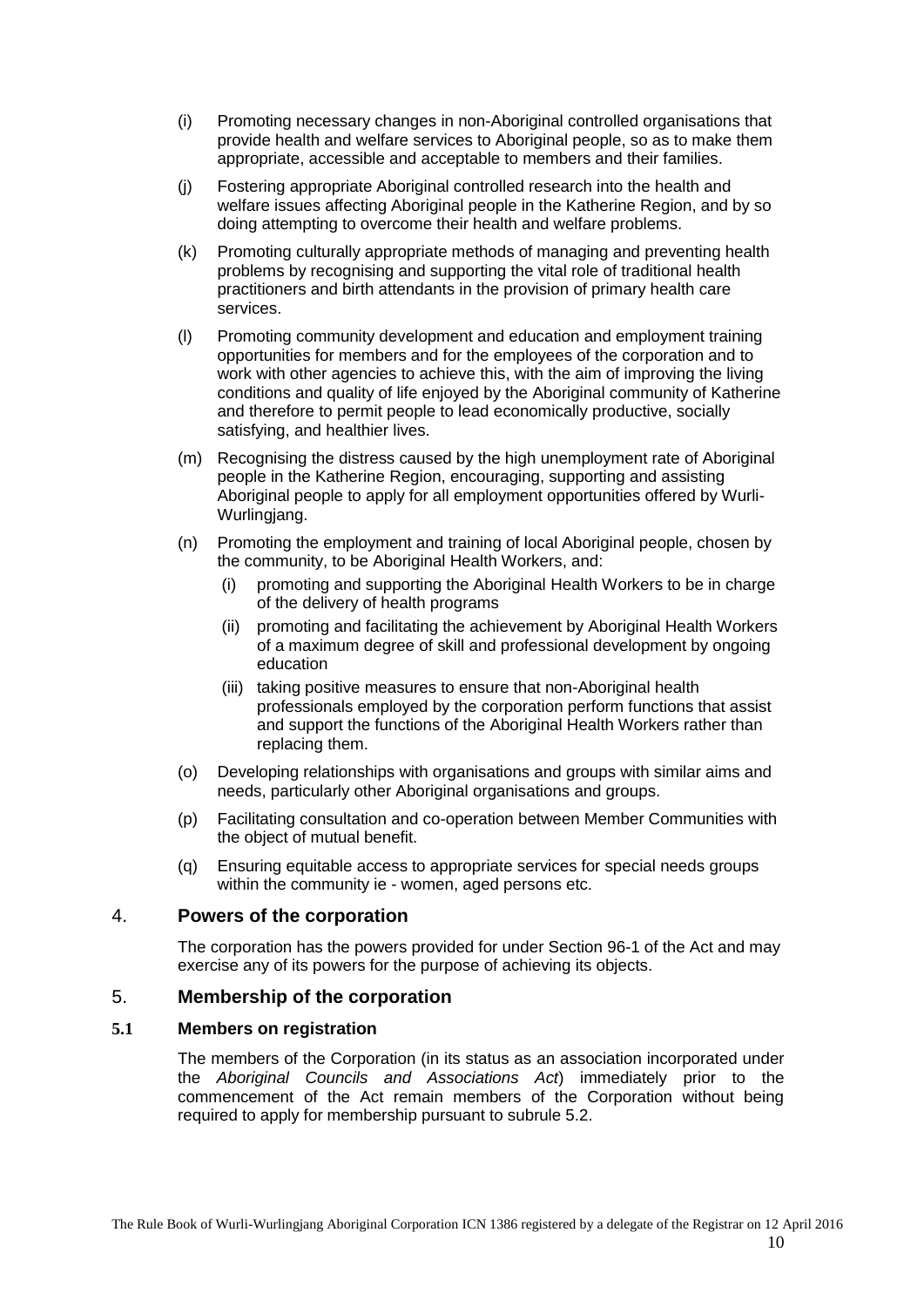- (i) Promoting necessary changes in non-Aboriginal controlled organisations that provide health and welfare services to Aboriginal people, so as to make them appropriate, accessible and acceptable to members and their families.
- (j) Fostering appropriate Aboriginal controlled research into the health and welfare issues affecting Aboriginal people in the Katherine Region, and by so doing attempting to overcome their health and welfare problems.
- (k) Promoting culturally appropriate methods of managing and preventing health problems by recognising and supporting the vital role of traditional health practitioners and birth attendants in the provision of primary health care services.
- (l) Promoting community development and education and employment training opportunities for members and for the employees of the corporation and to work with other agencies to achieve this, with the aim of improving the living conditions and quality of life enjoyed by the Aboriginal community of Katherine and therefore to permit people to lead economically productive, socially satisfying, and healthier lives.
- (m) Recognising the distress caused by the high unemployment rate of Aboriginal people in the Katherine Region, encouraging, supporting and assisting Aboriginal people to apply for all employment opportunities offered by Wurli-Wurlingjang.
- (n) Promoting the employment and training of local Aboriginal people, chosen by the community, to be Aboriginal Health Workers, and:
	- (i) promoting and supporting the Aboriginal Health Workers to be in charge of the delivery of health programs
	- (ii) promoting and facilitating the achievement by Aboriginal Health Workers of a maximum degree of skill and professional development by ongoing education
	- (iii) taking positive measures to ensure that non-Aboriginal health professionals employed by the corporation perform functions that assist and support the functions of the Aboriginal Health Workers rather than replacing them.
- (o) Developing relationships with organisations and groups with similar aims and needs, particularly other Aboriginal organisations and groups.
- (p) Facilitating consultation and co-operation between Member Communities with the object of mutual benefit.
- (q) Ensuring equitable access to appropriate services for special needs groups within the community ie - women, aged persons etc.

## <span id="page-9-0"></span>4. **Powers of the corporation**

The corporation has the powers provided for under Section 96-1 of the Act and may exercise any of its powers for the purpose of achieving its objects.

## <span id="page-9-1"></span>5. **Membership of the corporation**

### <span id="page-9-2"></span>**5.1 Members on registration**

The members of the Corporation (in its status as an association incorporated under the *Aboriginal Councils and Associations Act*) immediately prior to the commencement of the Act remain members of the Corporation without being required to apply for membership pursuant to subrule [5.2.](#page-10-0)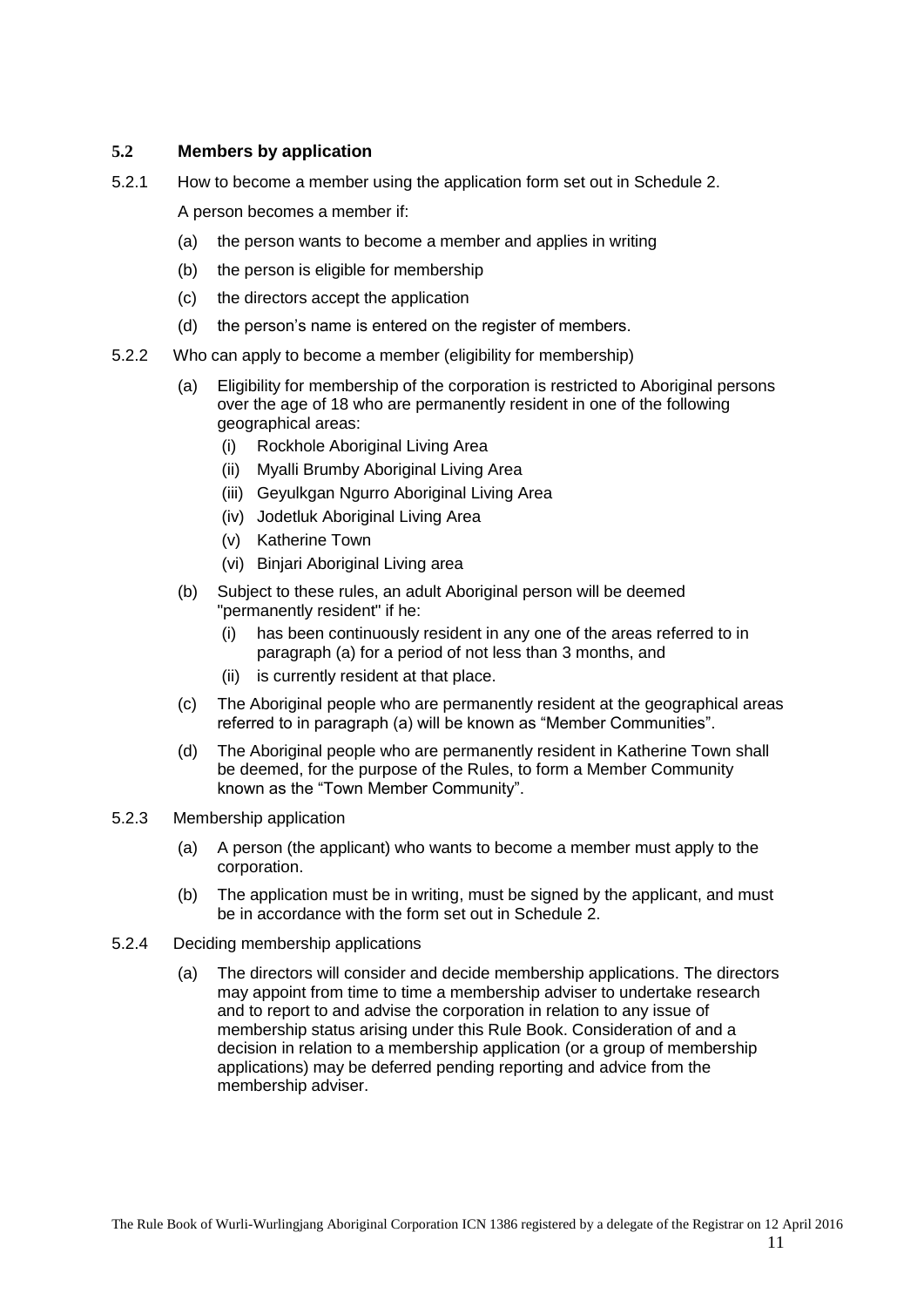## <span id="page-10-0"></span>**5.2 Members by application**

5.2.1 How to become a member using the application form set out in Schedule 2.

<span id="page-10-1"></span>A person becomes a member if:

- (a) the person wants to become a member and applies in writing
- (b) the person is eligible for membership
- (c) the directors accept the application
- (d) the person's name is entered on the register of members.
- <span id="page-10-6"></span><span id="page-10-5"></span><span id="page-10-2"></span>5.2.2 Who can apply to become a member (eligibility for membership)
	- (a) Eligibility for membership of the corporation is restricted to Aboriginal persons over the age of 18 who are permanently resident in one of the following geographical areas:
		- (i) Rockhole Aboriginal Living Area
		- (ii) Myalli Brumby Aboriginal Living Area
		- (iii) Geyulkgan Ngurro Aboriginal Living Area
		- (iv) Jodetluk Aboriginal Living Area
		- (v) Katherine Town
		- (vi) Binjari Aboriginal Living area
	- (b) Subject to these rules, an adult Aboriginal person will be deemed "permanently resident" if he:
		- (i) has been continuously resident in any one of the areas referred to in paragraph (a) for a period of not less than 3 months, and
		- (ii) is currently resident at that place.
	- (c) The Aboriginal people who are permanently resident at the geographical areas referred to in paragraph (a) will be known as "Member Communities".
	- (d) The Aboriginal people who are permanently resident in Katherine Town shall be deemed, for the purpose of the Rules, to form a Member Community known as the "Town Member Community".
- <span id="page-10-3"></span>5.2.3 Membership application
	- (a) A person (the applicant) who wants to become a member must apply to the corporation.
	- (b) The application must be in writing, must be signed by the applicant, and must be in accordance with the form set out in Schedule 2.
- <span id="page-10-4"></span>5.2.4 Deciding membership applications
	- (a) The directors will consider and decide membership applications. The directors may appoint from time to time a membership adviser to undertake research and to report to and advise the corporation in relation to any issue of membership status arising under this Rule Book. Consideration of and a decision in relation to a membership application (or a group of membership applications) may be deferred pending reporting and advice from the membership adviser.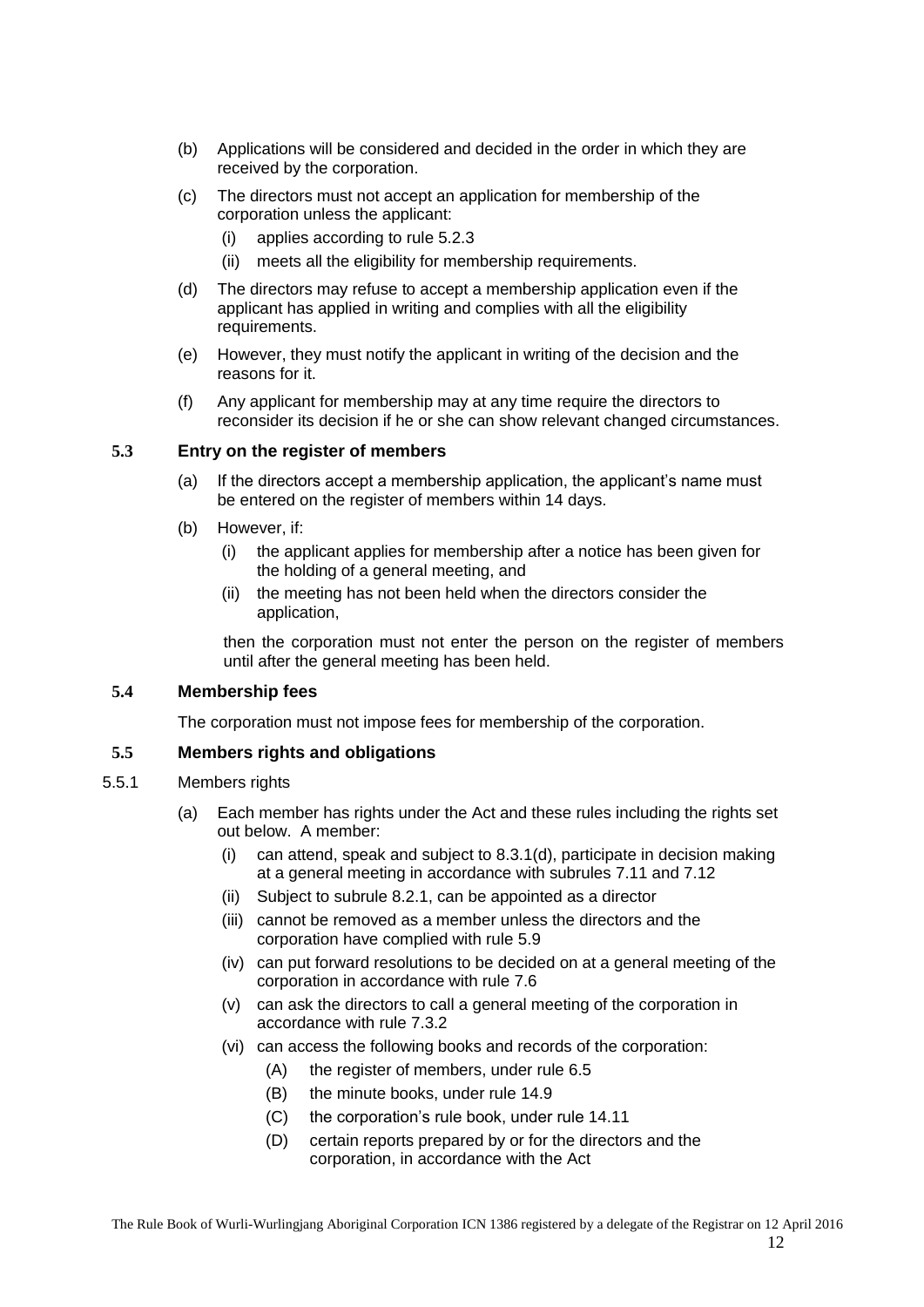- (b) Applications will be considered and decided in the order in which they are received by the corporation.
- (c) The directors must not accept an application for membership of the corporation unless the applicant:
	- (i) applies according to rule [5.2.3](#page-10-3)
	- (ii) meets all the eligibility for membership requirements.
- (d) The directors may refuse to accept a membership application even if the applicant has applied in writing and complies with all the eligibility requirements.
- (e) However, they must notify the applicant in writing of the decision and the reasons for it.
- (f) Any applicant for membership may at any time require the directors to reconsider its decision if he or she can show relevant changed circumstances.

#### <span id="page-11-0"></span>**5.3 Entry on the register of members**

- (a) If the directors accept a membership application, the applicant's name must be entered on the register of members within 14 days.
- (b) However, if:
	- (i) the applicant applies for membership after a notice has been given for the holding of a general meeting, and
	- (ii) the meeting has not been held when the directors consider the application,

then the corporation must not enter the person on the register of members until after the general meeting has been held.

#### <span id="page-11-1"></span>**5.4 Membership fees**

The corporation must not impose fees for membership of the corporation.

#### <span id="page-11-2"></span>**5.5 Members rights and obligations**

- <span id="page-11-3"></span>5.5.1 Members rights
	- (a) Each member has rights under the Act and these rules including the rights set out below. A member:
		- (i) can attend, speak and subject to [8.3.1\(d\),](#page-25-2) participate in decision making at a general meeting in accordance with subrules [7.11](#page-21-0) and [7.12](#page-21-1)
		- (ii) Subject to subrule [8.2.1,](#page-24-11) can be appointed as a director
		- (iii) cannot be removed as a member unless the directors and the corporation have complied with rule [5.9](#page-12-6)
		- (iv) can put forward resolutions to be decided on at a general meeting of the corporation in accordance with rule [7.6](#page-19-0)
		- (v) can ask the directors to call a general meeting of the corporation in accordance with rule [7.3.2](#page-16-7)
		- (vi) can access the following books and records of the corporation:
			- (A) the register of members, under rule [6.5](#page-14-9)
			- (B) the minute books, under rule [14.9](#page-38-1)
			- (C) the corporation's rule book, under rule [14.11](#page-39-1)
			- (D) certain reports prepared by or for the directors and the corporation, in accordance with the Act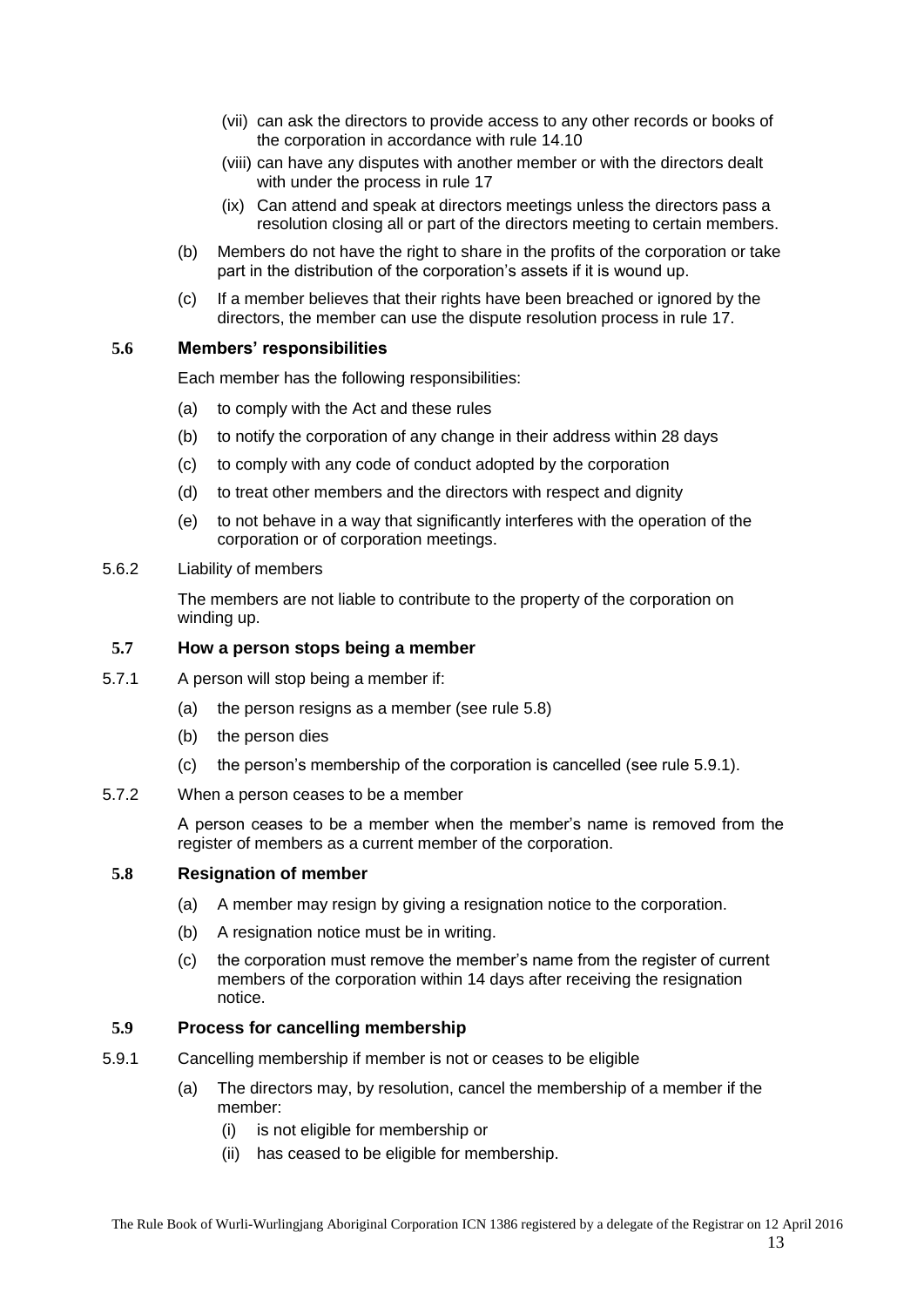- (vii) can ask the directors to provide access to any other records or books of the corporation in accordance with rule [14.10](#page-39-0)
- (viii) can have any disputes with another member or with the directors dealt with under the process in rule [17](#page-40-0)
- (ix) Can attend and speak at directors meetings unless the directors pass a resolution closing all or part of the directors meeting to certain members.
- (b) Members do not have the right to share in the profits of the corporation or take part in the distribution of the corporation's assets if it is wound up.
- (c) If a member believes that their rights have been breached or ignored by the directors, the member can use the dispute resolution process in rule [17.](#page-40-0)

#### <span id="page-12-0"></span>**5.6 Members' responsibilities**

Each member has the following responsibilities:

- (a) to comply with the Act and these rules
- (b) to notify the corporation of any change in their address within 28 days
- (c) to comply with any code of conduct adopted by the corporation
- (d) to treat other members and the directors with respect and dignity
- (e) to not behave in a way that significantly interferes with the operation of the corporation or of corporation meetings.
- <span id="page-12-1"></span>5.6.2 Liability of members

The members are not liable to contribute to the property of the corporation on winding up.

#### <span id="page-12-2"></span>**5.7 How a person stops being a member**

- <span id="page-12-3"></span>5.7.1 A person will stop being a member if:
	- (a) the person resigns as a member (see rule [5.8\)](#page-12-5)
	- (b) the person dies
	- (c) the person's membership of the corporation is cancelled (see rule [5.9.1\)](#page-12-7).
- <span id="page-12-4"></span>5.7.2 When a person ceases to be a member

A person ceases to be a member when the member's name is removed from the register of members as a current member of the corporation.

#### <span id="page-12-5"></span>**5.8 Resignation of member**

- (a) A member may resign by giving a resignation notice to the corporation.
- (b) A resignation notice must be in writing.
- (c) the corporation must remove the member's name from the register of current members of the corporation within 14 days after receiving the resignation notice.

#### <span id="page-12-6"></span>**5.9 Process for cancelling membership**

- <span id="page-12-7"></span>5.9.1 Cancelling membership if member is not or ceases to be eligible
	- (a) The directors may, by resolution, cancel the membership of a member if the member:
		- (i) is not eligible for membership or
		- (ii) has ceased to be eligible for membership.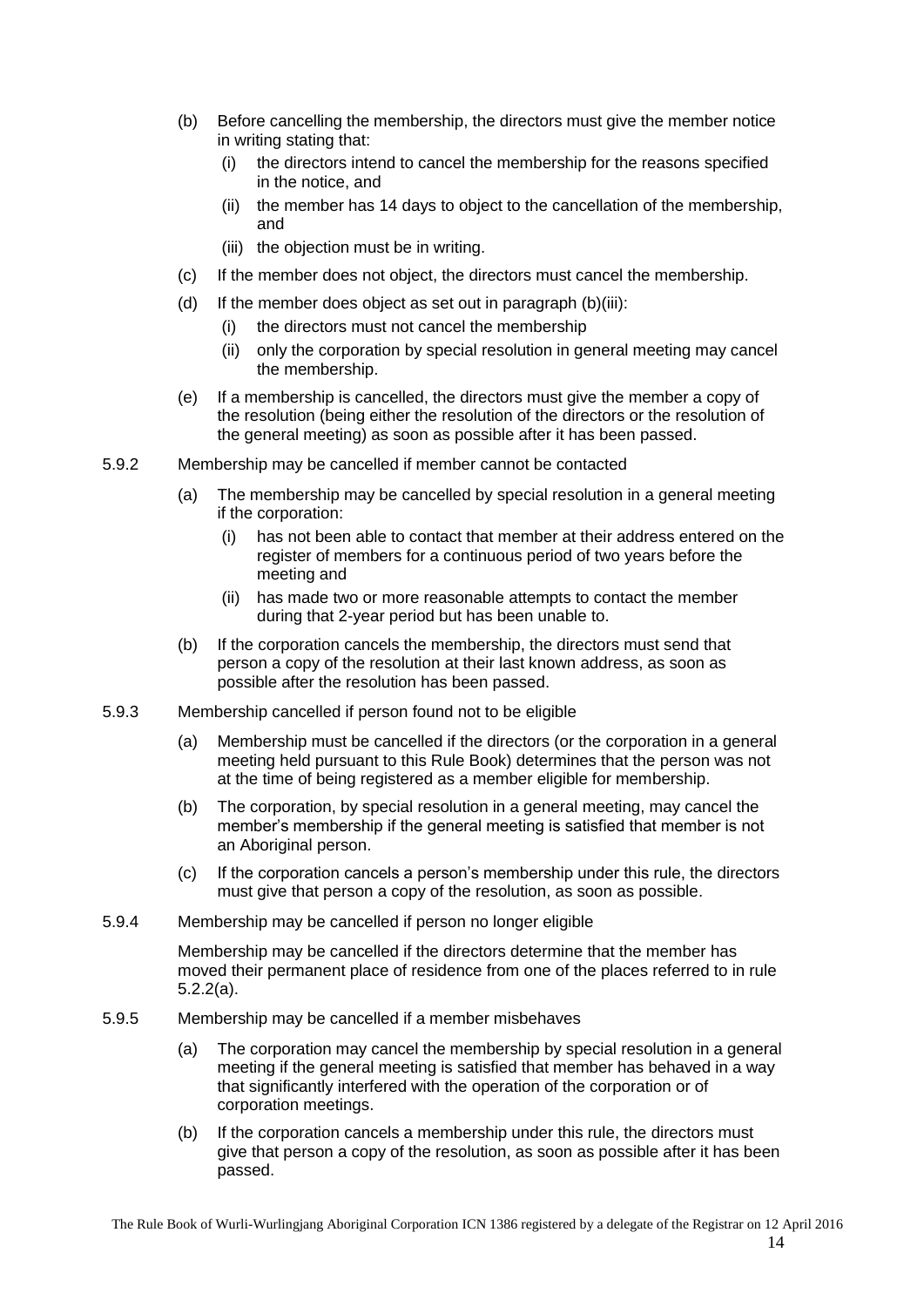- (b) Before cancelling the membership, the directors must give the member notice in writing stating that:
	- (i) the directors intend to cancel the membership for the reasons specified in the notice, and
	- (ii) the member has 14 days to object to the cancellation of the membership, and
	- (iii) the objection must be in writing.
- <span id="page-13-4"></span>(c) If the member does not object, the directors must cancel the membership.
- (d) If the member does object as set out in paragraph [\(b\)\(iii\):](#page-13-4)
	- (i) the directors must not cancel the membership
	- (ii) only the corporation by special resolution in general meeting may cancel the membership.
- (e) If a membership is cancelled, the directors must give the member a copy of the resolution (being either the resolution of the directors or the resolution of the general meeting) as soon as possible after it has been passed.
- <span id="page-13-0"></span>5.9.2 Membership may be cancelled if member cannot be contacted
	- (a) The membership may be cancelled by special resolution in a general meeting if the corporation:
		- (i) has not been able to contact that member at their address entered on the register of members for a continuous period of two years before the meeting and
		- (ii) has made two or more reasonable attempts to contact the member during that 2-year period but has been unable to.
	- (b) If the corporation cancels the membership, the directors must send that person a copy of the resolution at their last known address, as soon as possible after the resolution has been passed.
- <span id="page-13-1"></span>5.9.3 Membership cancelled if person found not to be eligible
	- (a) Membership must be cancelled if the directors (or the corporation in a general meeting held pursuant to this Rule Book) determines that the person was not at the time of being registered as a member eligible for membership.
	- (b) The corporation, by special resolution in a general meeting, may cancel the member's membership if the general meeting is satisfied that member is not an Aboriginal person.
	- (c) If the corporation cancels a person's membership under this rule, the directors must give that person a copy of the resolution, as soon as possible.
- <span id="page-13-2"></span>5.9.4 Membership may be cancelled if person no longer eligible

Membership may be cancelled if the directors determine that the member has moved their permanent place of residence from one of the places referred to in rule [5.2.2\(a\).](#page-10-5)

- <span id="page-13-3"></span>5.9.5 Membership may be cancelled if a member misbehaves
	- (a) The corporation may cancel the membership by special resolution in a general meeting if the general meeting is satisfied that member has behaved in a way that significantly interfered with the operation of the corporation or of corporation meetings.
	- (b) If the corporation cancels a membership under this rule, the directors must give that person a copy of the resolution, as soon as possible after it has been passed.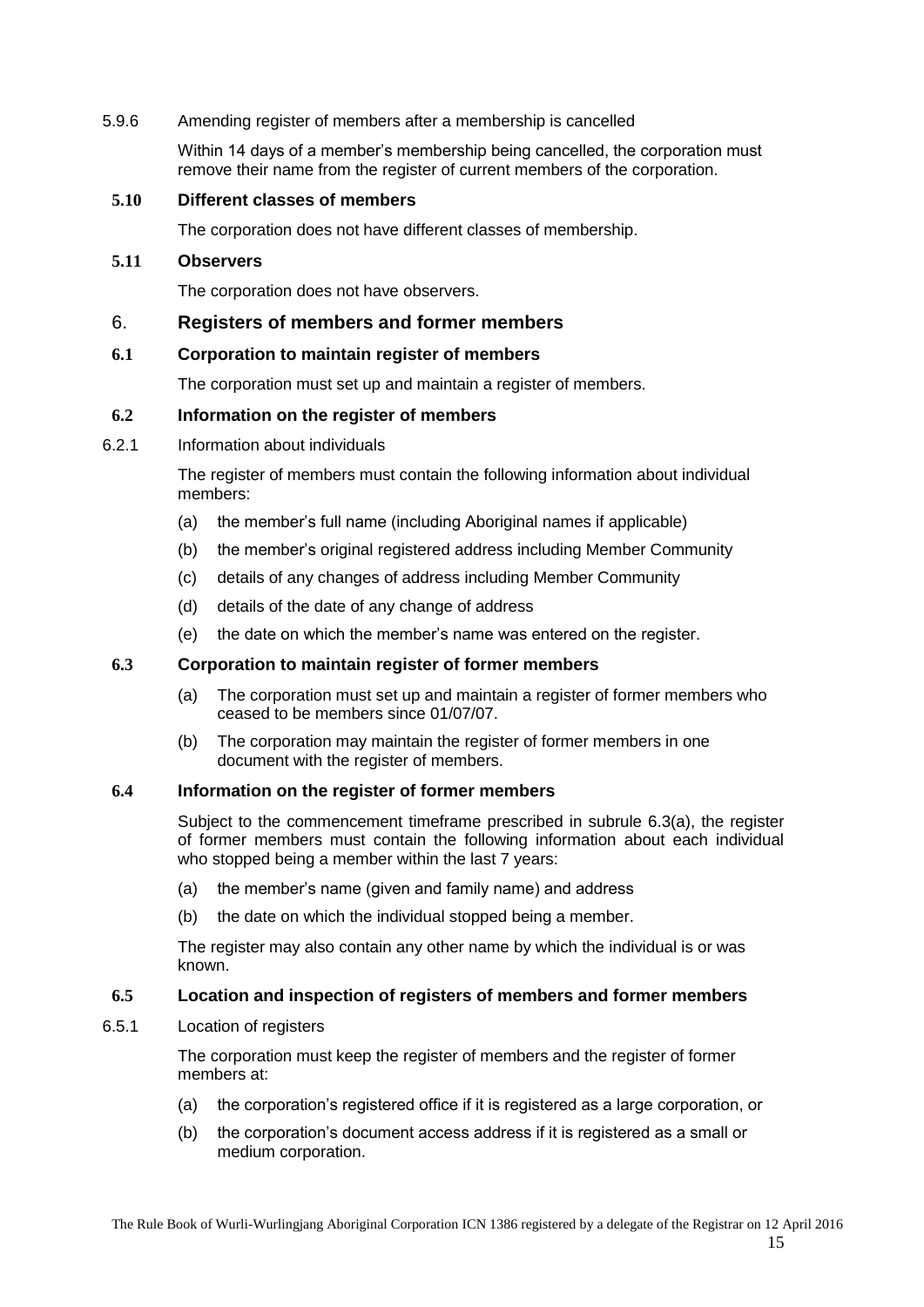#### <span id="page-14-0"></span>5.9.6 Amending register of members after a membership is cancelled

Within 14 days of a member's membership being cancelled, the corporation must remove their name from the register of current members of the corporation.

#### <span id="page-14-1"></span>**5.10 Different classes of members**

The corporation does not have different classes of membership.

#### <span id="page-14-2"></span>**5.11 Observers**

The corporation does not have observers.

#### <span id="page-14-3"></span>6. **Registers of members and former members**

#### <span id="page-14-4"></span>**6.1 Corporation to maintain register of members**

The corporation must set up and maintain a register of members.

#### <span id="page-14-5"></span>**6.2 Information on the register of members**

<span id="page-14-6"></span>6.2.1 Information about individuals

The register of members must contain the following information about individual members:

- (a) the member's full name (including Aboriginal names if applicable)
- (b) the member's original registered address including Member Community
- (c) details of any changes of address including Member Community
- (d) details of the date of any change of address
- (e) the date on which the member's name was entered on the register.

#### <span id="page-14-11"></span><span id="page-14-7"></span>**6.3 Corporation to maintain register of former members**

- (a) The corporation must set up and maintain a register of former members who ceased to be members since 01/07/07.
- (b) The corporation may maintain the register of former members in one document with the register of members.

#### <span id="page-14-8"></span>**6.4 Information on the register of former members**

Subject to the commencement timeframe prescribed in subrule [6.3\(a\),](#page-14-11) the register of former members must contain the following information about each individual who stopped being a member within the last 7 years:

- (a) the member's name (given and family name) and address
- (b) the date on which the individual stopped being a member.

The register may also contain any other name by which the individual is or was known.

#### <span id="page-14-9"></span>**6.5 Location and inspection of registers of members and former members**

<span id="page-14-10"></span>6.5.1 Location of registers

The corporation must keep the register of members and the register of former members at:

- (a) the corporation's registered office if it is registered as a large corporation, or
- (b) the corporation's document access address if it is registered as a small or medium corporation.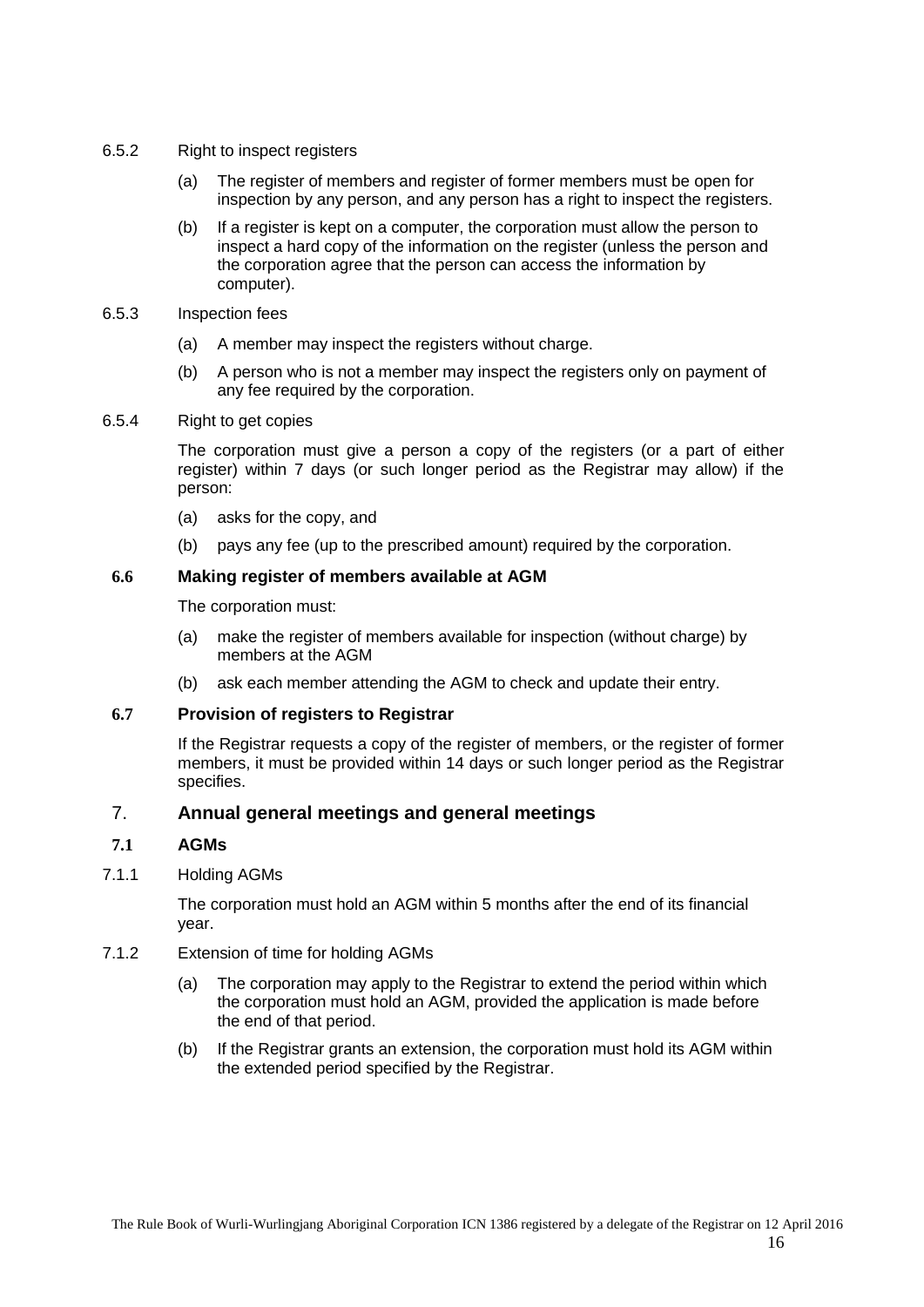- <span id="page-15-0"></span>6.5.2 Right to inspect registers
	- (a) The register of members and register of former members must be open for inspection by any person, and any person has a right to inspect the registers.
	- (b) If a register is kept on a computer, the corporation must allow the person to inspect a hard copy of the information on the register (unless the person and the corporation agree that the person can access the information by computer).
- <span id="page-15-1"></span>6.5.3 Inspection fees
	- (a) A member may inspect the registers without charge.
	- (b) A person who is not a member may inspect the registers only on payment of any fee required by the corporation.
- <span id="page-15-2"></span>6.5.4 Right to get copies

The corporation must give a person a copy of the registers (or a part of either register) within 7 days (or such longer period as the Registrar may allow) if the person:

- (a) asks for the copy, and
- (b) pays any fee (up to the prescribed amount) required by the corporation.

#### <span id="page-15-3"></span>**6.6 Making register of members available at AGM**

The corporation must:

- (a) make the register of members available for inspection (without charge) by members at the AGM
- (b) ask each member attending the AGM to check and update their entry.

#### <span id="page-15-4"></span>**6.7 Provision of registers to Registrar**

If the Registrar requests a copy of the register of members, or the register of former members, it must be provided within 14 days or such longer period as the Registrar specifies.

## <span id="page-15-5"></span>7. **Annual general meetings and general meetings**

## <span id="page-15-6"></span>**7.1 AGMs**

#### <span id="page-15-7"></span>7.1.1 Holding AGMs

The corporation must hold an AGM within 5 months after the end of its financial year.

- <span id="page-15-8"></span>7.1.2 Extension of time for holding AGMs
	- (a) The corporation may apply to the Registrar to extend the period within which the corporation must hold an AGM, provided the application is made before the end of that period.
	- (b) If the Registrar grants an extension, the corporation must hold its AGM within the extended period specified by the Registrar.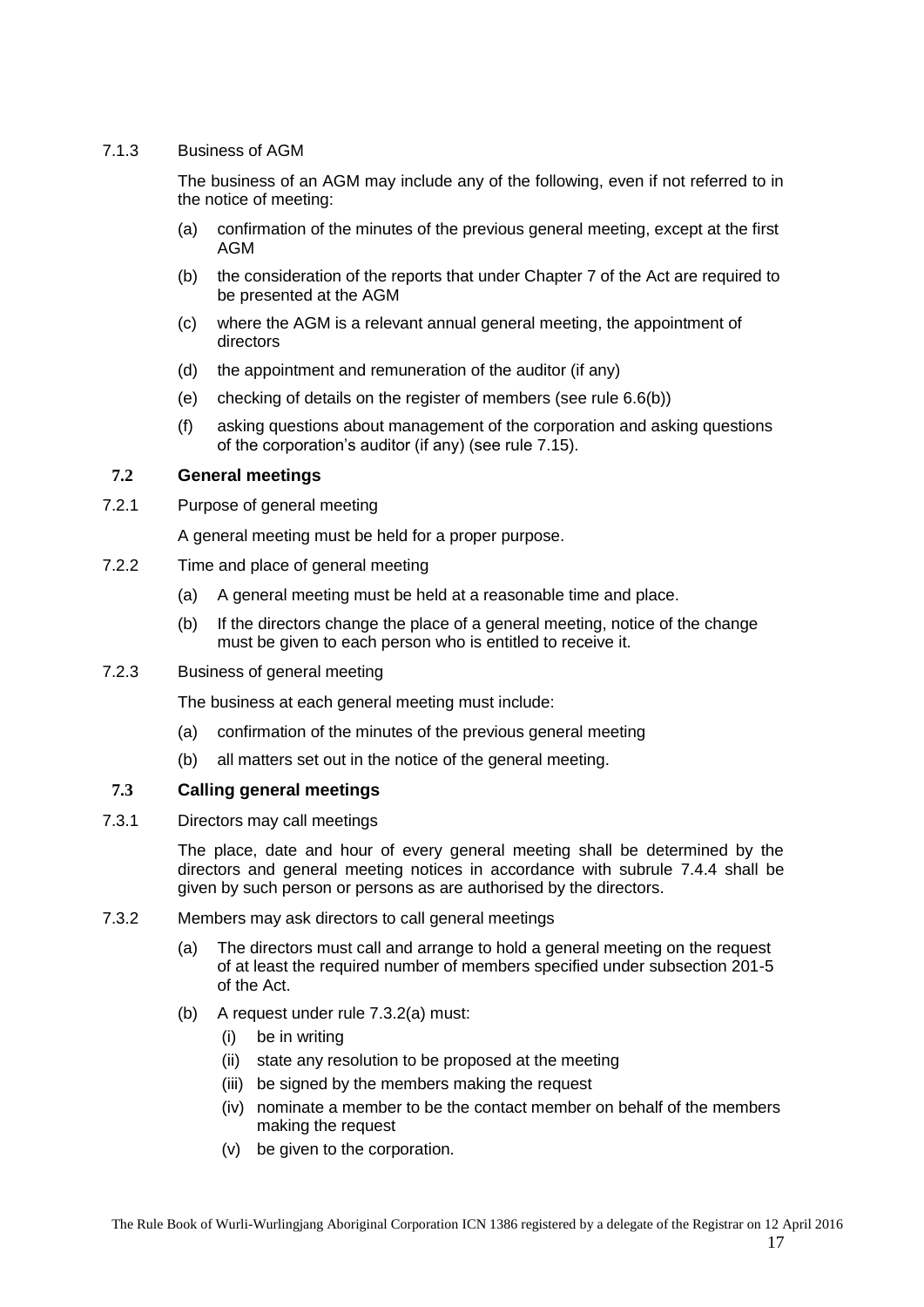## <span id="page-16-0"></span>7.1.3 Business of AGM

The business of an AGM may include any of the following, even if not referred to in the notice of meeting:

- (a) confirmation of the minutes of the previous general meeting, except at the first AGM
- (b) the consideration of the reports that under Chapter 7 of the Act are required to be presented at the AGM
- (c) where the AGM is a relevant annual general meeting, the appointment of directors
- (d) the appointment and remuneration of the auditor (if any)
- (e) checking of details on the register of members (see rule [6.6\(b\)\)](#page-15-3)
- (f) asking questions about management of the corporation and asking questions of the corporation's auditor (if any) (see rule [7.15\)](#page-24-0).

#### <span id="page-16-1"></span>**7.2 General meetings**

<span id="page-16-2"></span>7.2.1 Purpose of general meeting

A general meeting must be held for a proper purpose.

- <span id="page-16-3"></span>7.2.2 Time and place of general meeting
	- (a) A general meeting must be held at a reasonable time and place.
	- (b) If the directors change the place of a general meeting, notice of the change must be given to each person who is entitled to receive it.
- <span id="page-16-4"></span>7.2.3 Business of general meeting

The business at each general meeting must include:

- (a) confirmation of the minutes of the previous general meeting
- (b) all matters set out in the notice of the general meeting.

#### <span id="page-16-5"></span>**7.3 Calling general meetings**

<span id="page-16-6"></span>7.3.1 Directors may call meetings

The place, date and hour of every general meeting shall be determined by the directors and general meeting notices in accordance with subrule [7.4.4](#page-18-2) shall be given by such person or persons as are authorised by the directors.

- <span id="page-16-8"></span><span id="page-16-7"></span>7.3.2 Members may ask directors to call general meetings
	- (a) The directors must call and arrange to hold a general meeting on the request of at least the required number of members specified under subsection 201-5 of the Act.
	- (b) A request under rule [7.3.2\(a\)](#page-16-7) must:
		- (i) be in writing
		- (ii) state any resolution to be proposed at the meeting
		- (iii) be signed by the members making the request
		- (iv) nominate a member to be the contact member on behalf of the members making the request
		- (v) be given to the corporation.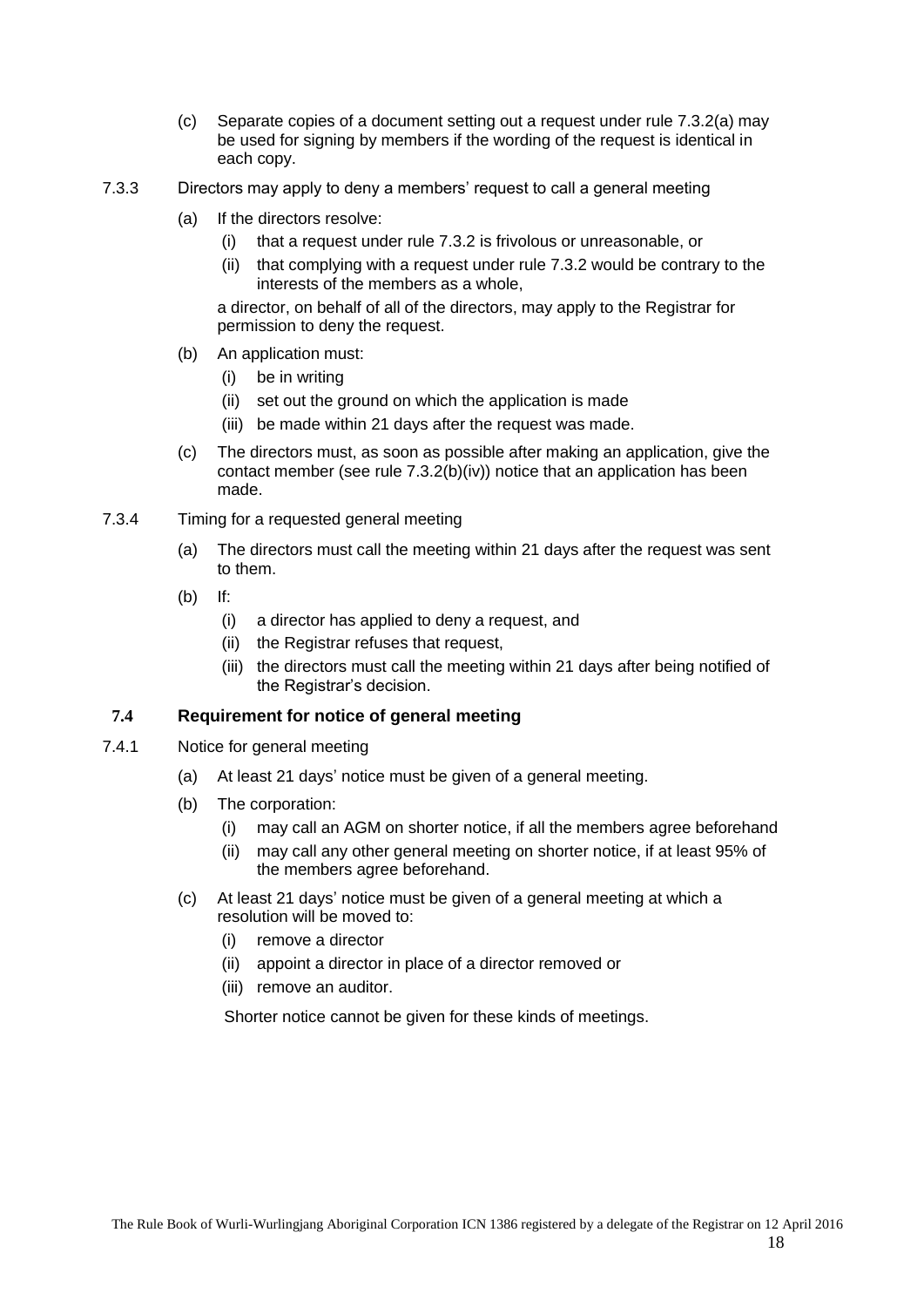- (c) Separate copies of a document setting out a request under rule [7.3.2\(a\)](#page-16-7) may be used for signing by members if the wording of the request is identical in each copy.
- <span id="page-17-0"></span>7.3.3 Directors may apply to deny a members' request to call a general meeting
	- (a) If the directors resolve:
		- (i) that a request under rule [7.3.2](#page-16-7) is frivolous or unreasonable, or
		- (ii) that complying with a request under rule [7.3.2](#page-16-7) would be contrary to the interests of the members as a whole,

a director, on behalf of all of the directors, may apply to the Registrar for permission to deny the request.

- (b) An application must:
	- (i) be in writing
	- (ii) set out the ground on which the application is made
	- (iii) be made within 21 days after the request was made.
- (c) The directors must, as soon as possible after making an application, give the contact member (see rule [7.3.2\(b\)\(iv\)\)](#page-16-8) notice that an application has been made.
- <span id="page-17-1"></span>7.3.4 Timing for a requested general meeting
	- (a) The directors must call the meeting within 21 days after the request was sent to them.
	- (b) If:
		- (i) a director has applied to deny a request, and
		- (ii) the Registrar refuses that request,
		- (iii) the directors must call the meeting within 21 days after being notified of the Registrar's decision.

## <span id="page-17-2"></span>**7.4 Requirement for notice of general meeting**

- <span id="page-17-3"></span>7.4.1 Notice for general meeting
	- (a) At least 21 days' notice must be given of a general meeting.
	- (b) The corporation:
		- (i) may call an AGM on shorter notice, if all the members agree beforehand
		- (ii) may call any other general meeting on shorter notice, if at least 95% of the members agree beforehand.
	- (c) At least 21 days' notice must be given of a general meeting at which a resolution will be moved to:
		- (i) remove a director
		- (ii) appoint a director in place of a director removed or
		- (iii) remove an auditor.

Shorter notice cannot be given for these kinds of meetings.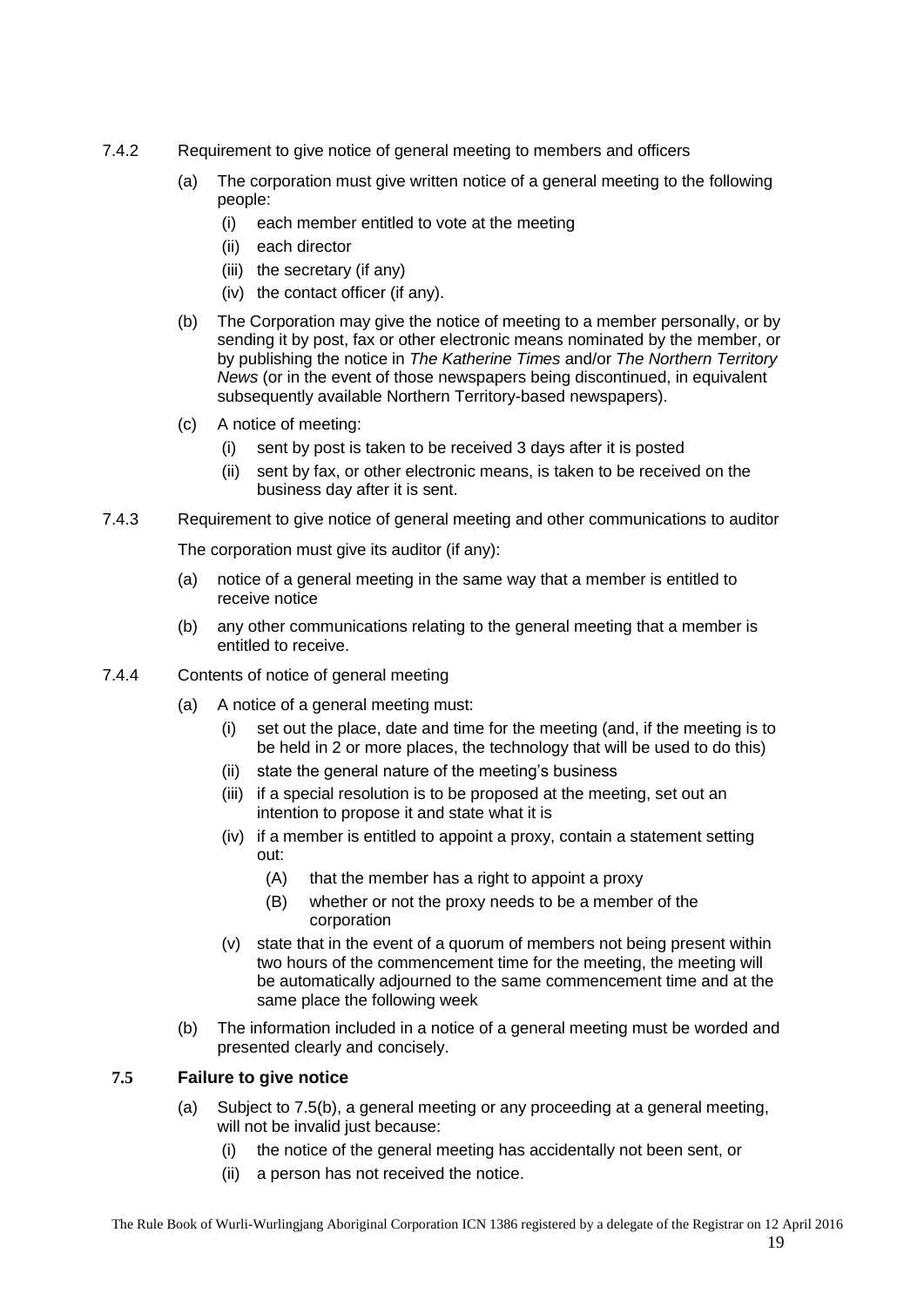- <span id="page-18-0"></span>7.4.2 Requirement to give notice of general meeting to members and officers
	- (a) The corporation must give written notice of a general meeting to the following people:
		- (i) each member entitled to vote at the meeting
		- (ii) each director
		- (iii) the secretary (if any)
		- (iv) the contact officer (if any).
	- (b) The Corporation may give the notice of meeting to a member personally, or by sending it by post, fax or other electronic means nominated by the member, or by publishing the notice in *The Katherine Times* and/or *The Northern Territory News* (or in the event of those newspapers being discontinued, in equivalent subsequently available Northern Territory-based newspapers).
	- (c) A notice of meeting:
		- (i) sent by post is taken to be received 3 days after it is posted
		- (ii) sent by fax, or other electronic means, is taken to be received on the business day after it is sent.
- <span id="page-18-1"></span>7.4.3 Requirement to give notice of general meeting and other communications to auditor

The corporation must give its auditor (if any):

- (a) notice of a general meeting in the same way that a member is entitled to receive notice
- (b) any other communications relating to the general meeting that a member is entitled to receive.
- <span id="page-18-2"></span>7.4.4 Contents of notice of general meeting
	- (a) A notice of a general meeting must:
		- (i) set out the place, date and time for the meeting (and, if the meeting is to be held in 2 or more places, the technology that will be used to do this)
		- (ii) state the general nature of the meeting's business
		- (iii) if a special resolution is to be proposed at the meeting, set out an intention to propose it and state what it is
		- (iv) if a member is entitled to appoint a proxy, contain a statement setting out:
			- (A) that the member has a right to appoint a proxy
			- (B) whether or not the proxy needs to be a member of the corporation
		- (v) state that in the event of a quorum of members not being present within two hours of the commencement time for the meeting, the meeting will be automatically adjourned to the same commencement time and at the same place the following week
	- (b) The information included in a notice of a general meeting must be worded and presented clearly and concisely.

## <span id="page-18-3"></span>**7.5 Failure to give notice**

- (a) Subject to [7.5\(b\),](#page-18-3) a general meeting or any proceeding at a general meeting, will not be invalid just because:
	- (i) the notice of the general meeting has accidentally not been sent, or
	- (ii) a person has not received the notice.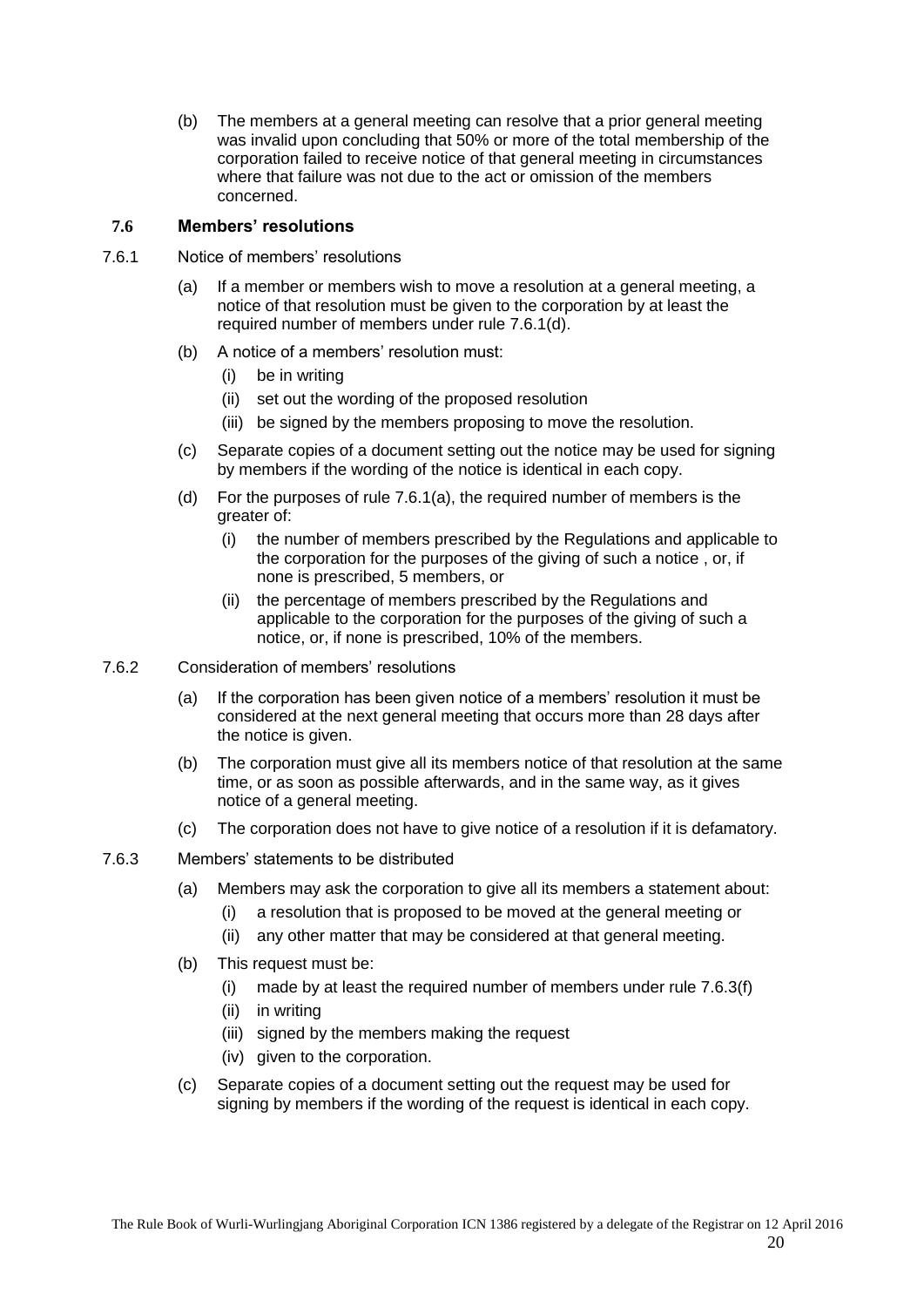(b) The members at a general meeting can resolve that a prior general meeting was invalid upon concluding that 50% or more of the total membership of the corporation failed to receive notice of that general meeting in circumstances where that failure was not due to the act or omission of the members concerned.

## <span id="page-19-0"></span>**7.6 Members' resolutions**

- <span id="page-19-4"></span><span id="page-19-1"></span>7.6.1 Notice of members' resolutions
	- (a) If a member or members wish to move a resolution at a general meeting, a notice of that resolution must be given to the corporation by at least the required number of members under rule [7.6.1\(d\).](#page-19-1)
	- (b) A notice of a members' resolution must:
		- (i) be in writing
		- (ii) set out the wording of the proposed resolution
		- (iii) be signed by the members proposing to move the resolution.
	- (c) Separate copies of a document setting out the notice may be used for signing by members if the wording of the notice is identical in each copy.
	- (d) For the purposes of rule [7.6.1\(a\),](#page-19-4) the required number of members is the greater of:
		- (i) the number of members prescribed by the Regulations and applicable to the corporation for the purposes of the giving of such a notice , or, if none is prescribed, 5 members, or
		- (ii) the percentage of members prescribed by the Regulations and applicable to the corporation for the purposes of the giving of such a notice, or, if none is prescribed, 10% of the members.
- <span id="page-19-2"></span>7.6.2 Consideration of members' resolutions
	- (a) If the corporation has been given notice of a members' resolution it must be considered at the next general meeting that occurs more than 28 days after the notice is given.
	- (b) The corporation must give all its members notice of that resolution at the same time, or as soon as possible afterwards, and in the same way, as it gives notice of a general meeting.
	- (c) The corporation does not have to give notice of a resolution if it is defamatory.
- <span id="page-19-5"></span><span id="page-19-3"></span>7.6.3 Members' statements to be distributed
	- (a) Members may ask the corporation to give all its members a statement about:
		- (i) a resolution that is proposed to be moved at the general meeting or
		- (ii) any other matter that may be considered at that general meeting.
	- (b) This request must be:
		- (i) made by at least the required number of members under rule [7.6.3\(f\)](#page-20-7)
		- (ii) in writing
		- (iii) signed by the members making the request
		- (iv) given to the corporation.
	- (c) Separate copies of a document setting out the request may be used for signing by members if the wording of the request is identical in each copy.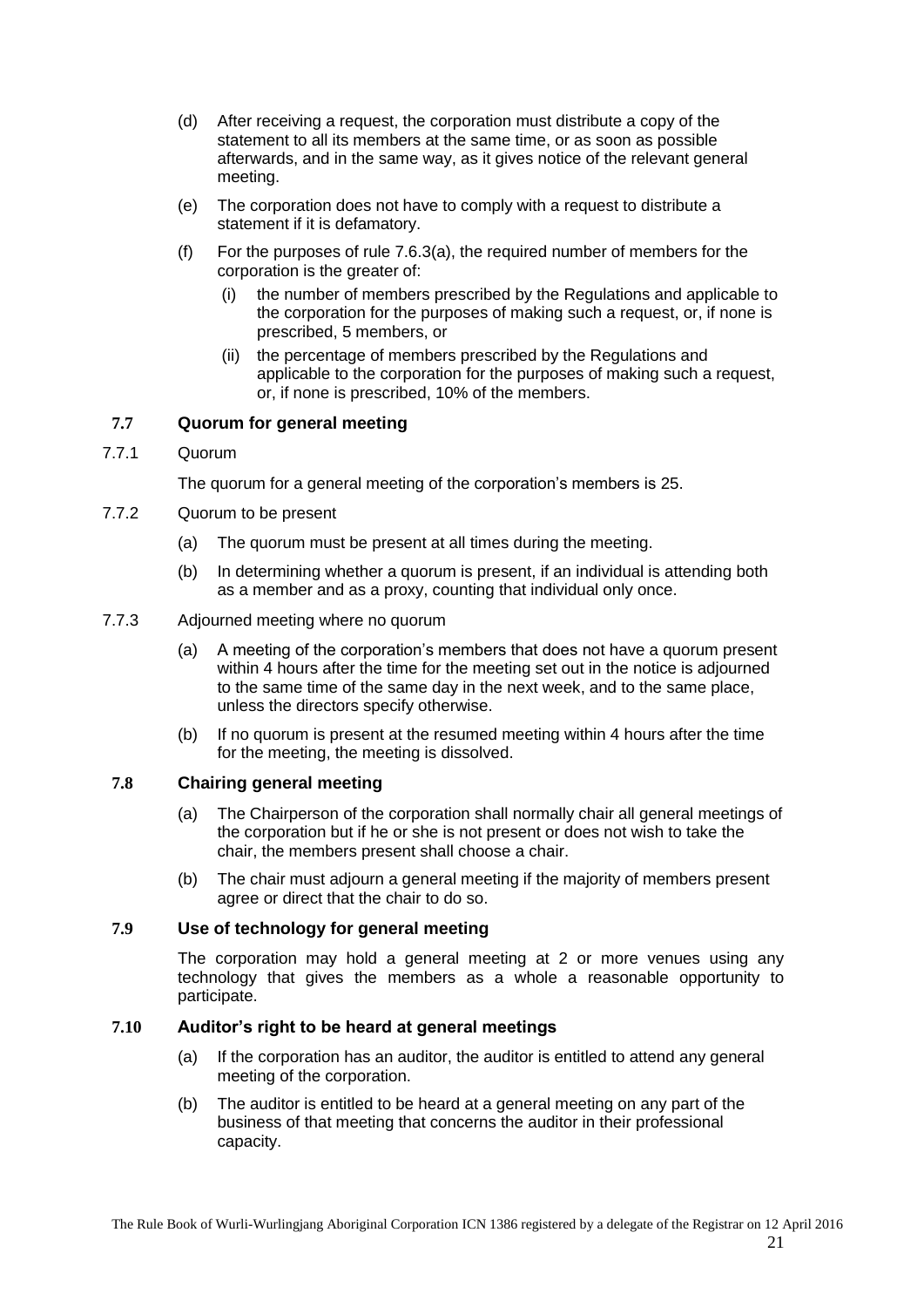- (d) After receiving a request, the corporation must distribute a copy of the statement to all its members at the same time, or as soon as possible afterwards, and in the same way, as it gives notice of the relevant general meeting.
- (e) The corporation does not have to comply with a request to distribute a statement if it is defamatory.
- <span id="page-20-7"></span>(f) For the purposes of rule [7.6.3\(a\),](#page-19-5) the required number of members for the corporation is the greater of:
	- (i) the number of members prescribed by the Regulations and applicable to the corporation for the purposes of making such a request, or, if none is prescribed, 5 members, or
	- (ii) the percentage of members prescribed by the Regulations and applicable to the corporation for the purposes of making such a request, or, if none is prescribed, 10% of the members.

## <span id="page-20-0"></span>**7.7 Quorum for general meeting**

<span id="page-20-1"></span>7.7.1 Quorum

The quorum for a general meeting of the corporation's members is 25.

- <span id="page-20-2"></span>7.7.2 Quorum to be present
	- (a) The quorum must be present at all times during the meeting.
	- (b) In determining whether a quorum is present, if an individual is attending both as a member and as a proxy, counting that individual only once.
- <span id="page-20-3"></span>7.7.3 Adjourned meeting where no quorum
	- (a) A meeting of the corporation's members that does not have a quorum present within 4 hours after the time for the meeting set out in the notice is adjourned to the same time of the same day in the next week, and to the same place, unless the directors specify otherwise.
	- (b) If no quorum is present at the resumed meeting within 4 hours after the time for the meeting, the meeting is dissolved.

#### <span id="page-20-4"></span>**7.8 Chairing general meeting**

- (a) The Chairperson of the corporation shall normally chair all general meetings of the corporation but if he or she is not present or does not wish to take the chair, the members present shall choose a chair.
- (b) The chair must adjourn a general meeting if the majority of members present agree or direct that the chair to do so.

#### <span id="page-20-5"></span>**7.9 Use of technology for general meeting**

The corporation may hold a general meeting at 2 or more venues using any technology that gives the members as a whole a reasonable opportunity to participate.

#### <span id="page-20-6"></span>**7.10 Auditor's right to be heard at general meetings**

- (a) If the corporation has an auditor, the auditor is entitled to attend any general meeting of the corporation.
- (b) The auditor is entitled to be heard at a general meeting on any part of the business of that meeting that concerns the auditor in their professional capacity.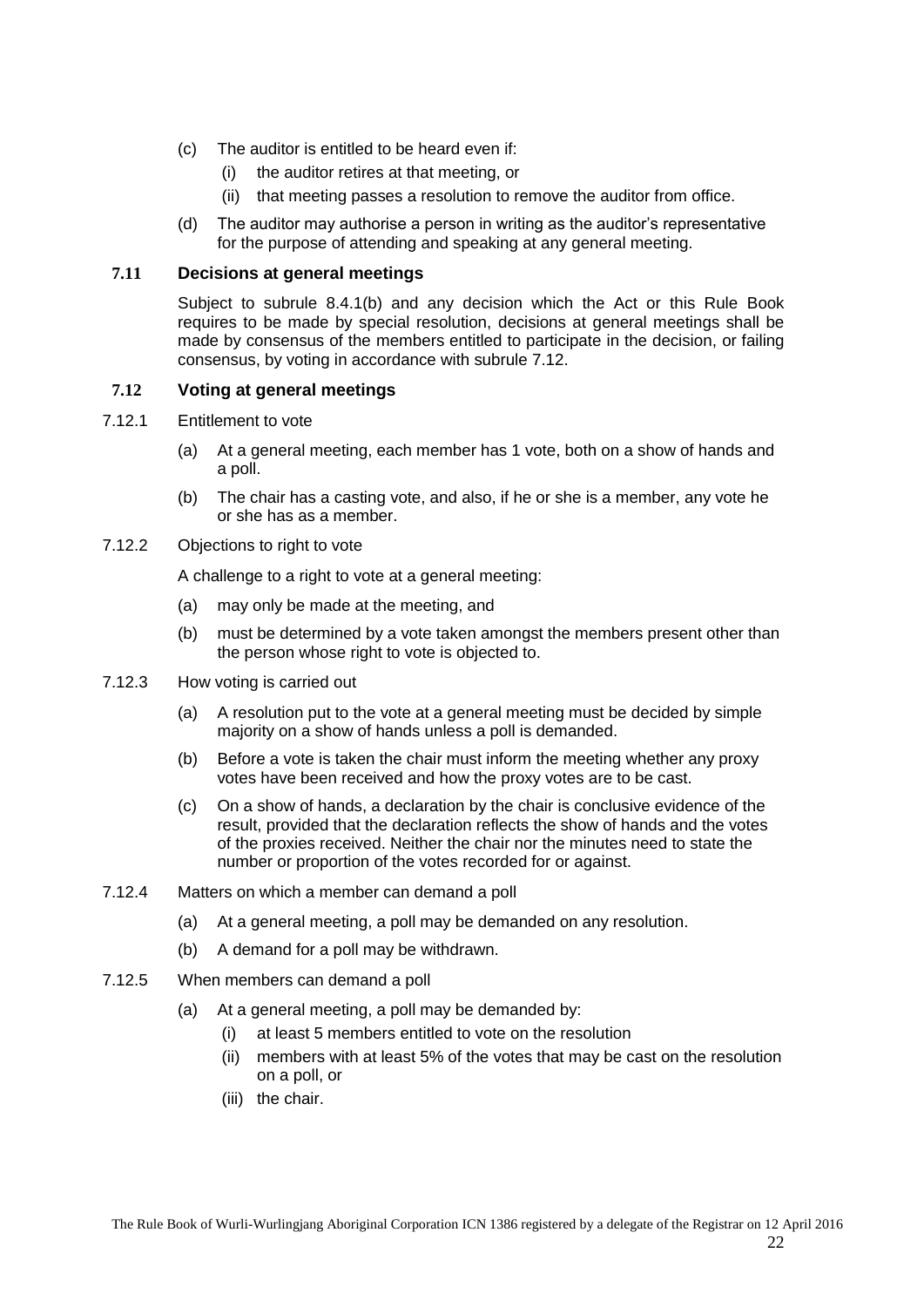- (c) The auditor is entitled to be heard even if:
	- (i) the auditor retires at that meeting, or
	- (ii) that meeting passes a resolution to remove the auditor from office.
- (d) The auditor may authorise a person in writing as the auditor's representative for the purpose of attending and speaking at any general meeting.

## <span id="page-21-0"></span>**7.11 Decisions at general meetings**

Subject to subrule 8.4.1(b) and any decision which the Act or this Rule Book requires to be made by special resolution, decisions at general meetings shall be made by consensus of the members entitled to participate in the decision, or failing consensus, by voting in accordance with subrule [7.12.](#page-21-1)

## <span id="page-21-1"></span>**7.12 Voting at general meetings**

- <span id="page-21-2"></span>7.12.1 Entitlement to vote
	- (a) At a general meeting, each member has 1 vote, both on a show of hands and a poll.
	- (b) The chair has a casting vote, and also, if he or she is a member, any vote he or she has as a member.

#### <span id="page-21-3"></span>7.12.2 Objections to right to vote

A challenge to a right to vote at a general meeting:

- (a) may only be made at the meeting, and
- (b) must be determined by a vote taken amongst the members present other than the person whose right to vote is objected to.
- <span id="page-21-4"></span>7.12.3 How voting is carried out
	- (a) A resolution put to the vote at a general meeting must be decided by simple majority on a show of hands unless a poll is demanded.
	- (b) Before a vote is taken the chair must inform the meeting whether any proxy votes have been received and how the proxy votes are to be cast.
	- (c) On a show of hands, a declaration by the chair is conclusive evidence of the result, provided that the declaration reflects the show of hands and the votes of the proxies received. Neither the chair nor the minutes need to state the number or proportion of the votes recorded for or against.
- <span id="page-21-5"></span>7.12.4 Matters on which a member can demand a poll
	- (a) At a general meeting, a poll may be demanded on any resolution.
	- (b) A demand for a poll may be withdrawn.
- <span id="page-21-6"></span>7.12.5 When members can demand a poll
	- (a) At a general meeting, a poll may be demanded by:
		- (i) at least 5 members entitled to vote on the resolution
		- (ii) members with at least 5% of the votes that may be cast on the resolution on a poll, or
		- (iii) the chair.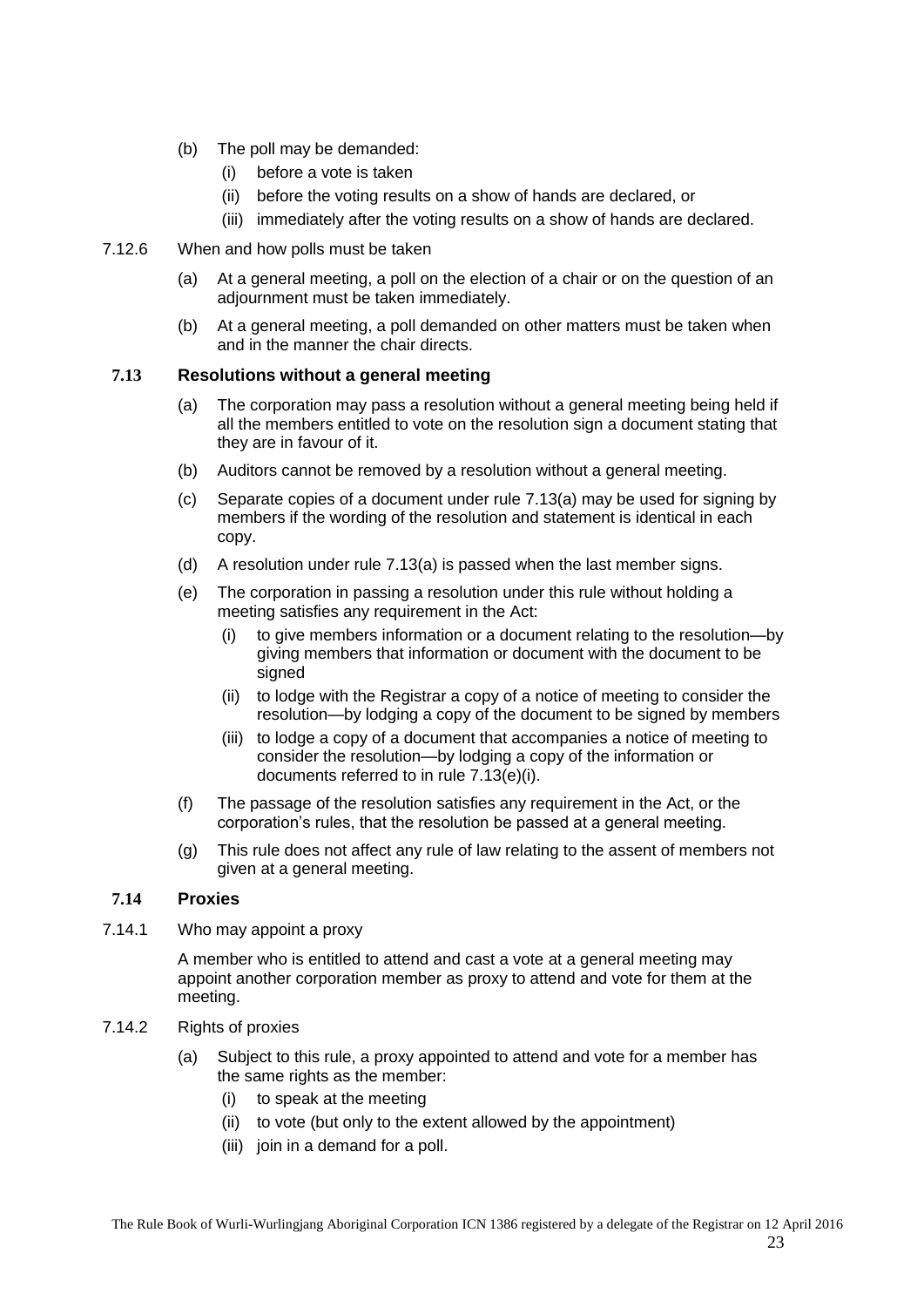- (b) The poll may be demanded:
	- (i) before a vote is taken
	- (ii) before the voting results on a show of hands are declared, or
	- (iii) immediately after the voting results on a show of hands are declared.
- <span id="page-22-0"></span>7.12.6 When and how polls must be taken
	- (a) At a general meeting, a poll on the election of a chair or on the question of an adjournment must be taken immediately.
	- (b) At a general meeting, a poll demanded on other matters must be taken when and in the manner the chair directs.

#### <span id="page-22-5"></span><span id="page-22-1"></span>**7.13 Resolutions without a general meeting**

- (a) The corporation may pass a resolution without a general meeting being held if all the members entitled to vote on the resolution sign a document stating that they are in favour of it.
- (b) Auditors cannot be removed by a resolution without a general meeting.
- (c) Separate copies of a document under rule [7.13\(a\)](#page-22-5) may be used for signing by members if the wording of the resolution and statement is identical in each copy.
- (d) A resolution under rule [7.13\(a\)](#page-22-5) is passed when the last member signs.
- <span id="page-22-6"></span>(e) The corporation in passing a resolution under this rule without holding a meeting satisfies any requirement in the Act:
	- (i) to give members information or a document relating to the resolution—by giving members that information or document with the document to be signed
	- (ii) to lodge with the Registrar a copy of a notice of meeting to consider the resolution—by lodging a copy of the document to be signed by members
	- (iii) to lodge a copy of a document that accompanies a notice of meeting to consider the resolution—by lodging a copy of the information or documents referred to in rul[e 7.13\(e\)\(i\).](#page-22-6)
- (f) The passage of the resolution satisfies any requirement in the Act, or the corporation's rules, that the resolution be passed at a general meeting.
- (g) This rule does not affect any rule of law relating to the assent of members not given at a general meeting.

#### <span id="page-22-2"></span>**7.14 Proxies**

<span id="page-22-3"></span>7.14.1 Who may appoint a proxy

A member who is entitled to attend and cast a vote at a general meeting may appoint another corporation member as proxy to attend and vote for them at the meeting.

- <span id="page-22-4"></span>7.14.2 Rights of proxies
	- (a) Subject to this rule, a proxy appointed to attend and vote for a member has the same rights as the member:
		- (i) to speak at the meeting
		- (ii) to vote (but only to the extent allowed by the appointment)
		- (iii) join in a demand for a poll.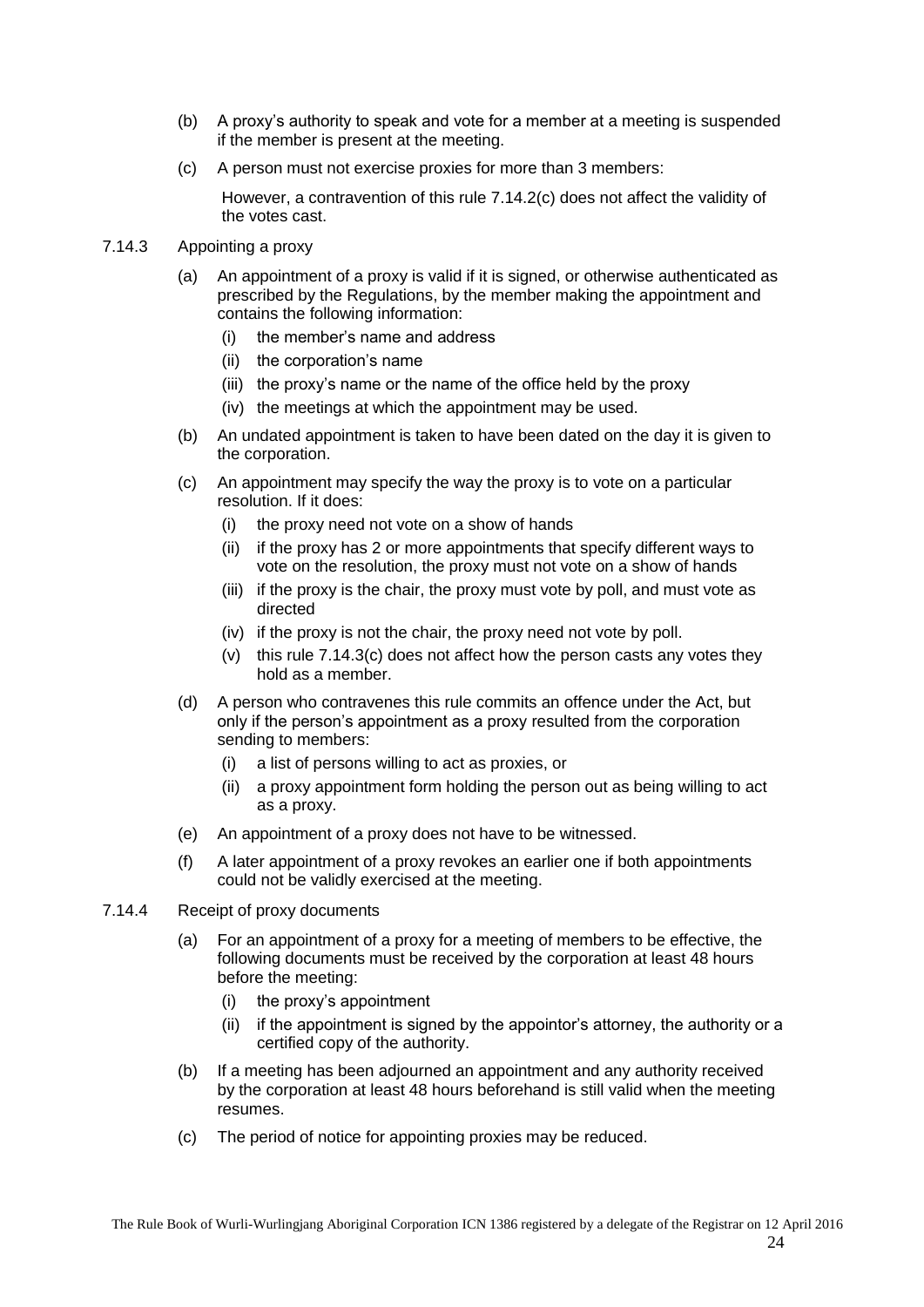- (b) A proxy's authority to speak and vote for a member at a meeting is suspended if the member is present at the meeting.
- <span id="page-23-2"></span>(c) A person must not exercise proxies for more than 3 members:

However, a contravention of this rule [7.14.2\(c\)](#page-23-2) does not affect the validity of the votes cast.

## <span id="page-23-0"></span>7.14.3 Appointing a proxy

- (a) An appointment of a proxy is valid if it is signed, or otherwise authenticated as prescribed by the Regulations, by the member making the appointment and contains the following information:
	- (i) the member's name and address
	- (ii) the corporation's name
	- (iii) the proxy's name or the name of the office held by the proxy
	- (iv) the meetings at which the appointment may be used.
- (b) An undated appointment is taken to have been dated on the day it is given to the corporation.
- <span id="page-23-3"></span>(c) An appointment may specify the way the proxy is to vote on a particular resolution. If it does:
	- (i) the proxy need not vote on a show of hands
	- (ii) if the proxy has 2 or more appointments that specify different ways to vote on the resolution, the proxy must not vote on a show of hands
	- (iii) if the proxy is the chair, the proxy must vote by poll, and must vote as directed
	- (iv) if the proxy is not the chair, the proxy need not vote by poll.
	- (v) this rule [7.14.3\(c\)](#page-23-3) does not affect how the person casts any votes they hold as a member.
- (d) A person who contravenes this rule commits an offence under the Act, but only if the person's appointment as a proxy resulted from the corporation sending to members:
	- (i) a list of persons willing to act as proxies, or
	- (ii) a proxy appointment form holding the person out as being willing to act as a proxy.
- (e) An appointment of a proxy does not have to be witnessed.
- (f) A later appointment of a proxy revokes an earlier one if both appointments could not be validly exercised at the meeting.
- <span id="page-23-1"></span>7.14.4 Receipt of proxy documents
	- (a) For an appointment of a proxy for a meeting of members to be effective, the following documents must be received by the corporation at least 48 hours before the meeting:
		- (i) the proxy's appointment
		- (ii) if the appointment is signed by the appointor's attorney, the authority or a certified copy of the authority.
	- (b) If a meeting has been adjourned an appointment and any authority received by the corporation at least 48 hours beforehand is still valid when the meeting resumes.
	- (c) The period of notice for appointing proxies may be reduced.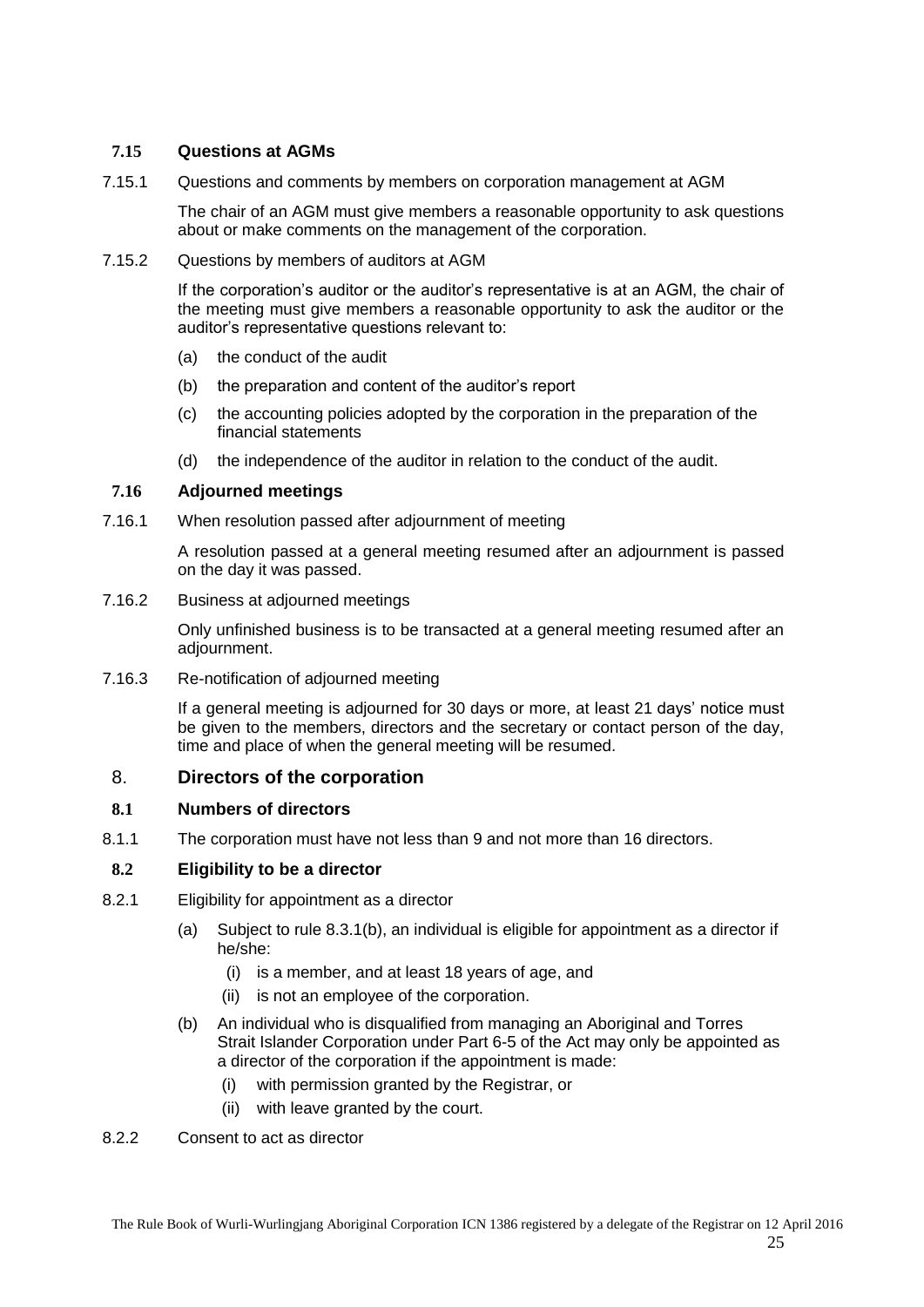## <span id="page-24-0"></span>**7.15 Questions at AGMs**

<span id="page-24-1"></span>7.15.1 Questions and comments by members on corporation management at AGM

The chair of an AGM must give members a reasonable opportunity to ask questions about or make comments on the management of the corporation.

<span id="page-24-2"></span>7.15.2 Questions by members of auditors at AGM

If the corporation's auditor or the auditor's representative is at an AGM, the chair of the meeting must give members a reasonable opportunity to ask the auditor or the auditor's representative questions relevant to:

- (a) the conduct of the audit
- (b) the preparation and content of the auditor's report
- (c) the accounting policies adopted by the corporation in the preparation of the financial statements
- (d) the independence of the auditor in relation to the conduct of the audit.

#### <span id="page-24-3"></span>**7.16 Adjourned meetings**

<span id="page-24-4"></span>7.16.1 When resolution passed after adjournment of meeting

A resolution passed at a general meeting resumed after an adjournment is passed on the day it was passed.

<span id="page-24-5"></span>7.16.2 Business at adjourned meetings

Only unfinished business is to be transacted at a general meeting resumed after an adjournment.

<span id="page-24-6"></span>7.16.3 Re-notification of adjourned meeting

If a general meeting is adjourned for 30 days or more, at least 21 days' notice must be given to the members, directors and the secretary or contact person of the day, time and place of when the general meeting will be resumed.

#### <span id="page-24-7"></span>8. **Directors of the corporation**

#### <span id="page-24-8"></span>**8.1 Numbers of directors**

<span id="page-24-9"></span>8.1.1 The corporation must have not less than 9 and not more than 16 directors.

#### <span id="page-24-10"></span>**8.2 Eligibility to be a director**

- <span id="page-24-11"></span>8.2.1 Eligibility for appointment as a director
	- (a) Subject to rule [8.3.1\(b\),](#page-25-3) an individual is eligible for appointment as a director if he/she:
		- (i) is a member, and at least 18 years of age, and
		- (ii) is not an employee of the corporation.
	- (b) An individual who is disqualified from managing an Aboriginal and Torres Strait Islander Corporation under Part 6-5 of the Act may only be appointed as a director of the corporation if the appointment is made:
		- (i) with permission granted by the Registrar, or
		- (ii) with leave granted by the court.
- <span id="page-24-12"></span>8.2.2 Consent to act as director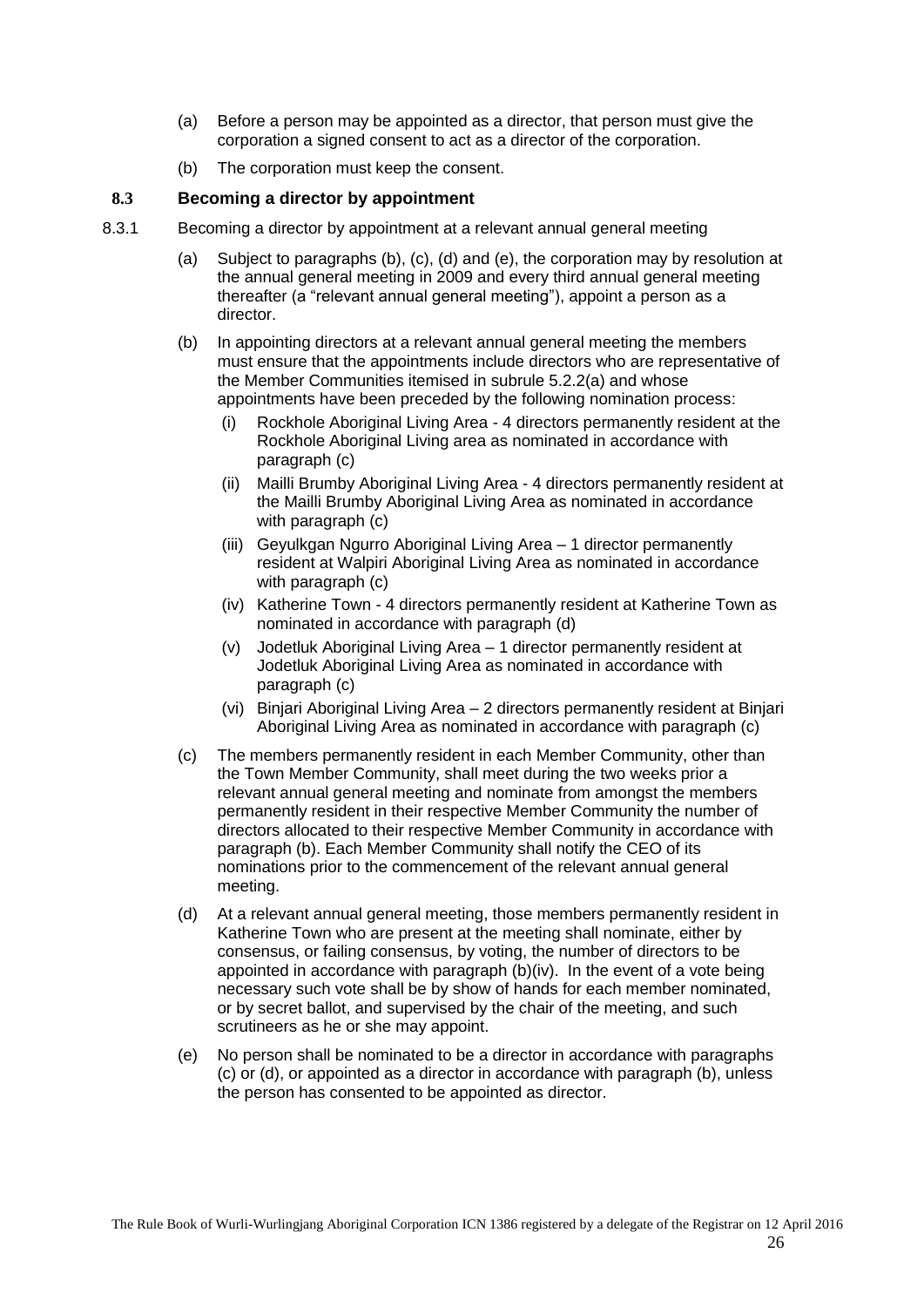- (a) Before a person may be appointed as a director, that person must give the corporation a signed consent to act as a director of the corporation.
- (b) The corporation must keep the consent.

## <span id="page-25-0"></span>**8.3 Becoming a director by appointment**

- <span id="page-25-7"></span><span id="page-25-6"></span><span id="page-25-5"></span><span id="page-25-4"></span><span id="page-25-3"></span><span id="page-25-2"></span><span id="page-25-1"></span>8.3.1 Becoming a director by appointment at a relevant annual general meeting
	- (a) Subject to paragraphs [\(b\),](#page-25-3) [\(c\),](#page-25-4) [\(d\)](#page-25-2) and [\(e\),](#page-25-5) the corporation may by resolution at the annual general meeting in 2009 and every third annual general meeting thereafter (a "relevant annual general meeting"), appoint a person as a director.
	- (b) In appointing directors at a relevant annual general meeting the members must ensure that the appointments include directors who are representative of the Member Communities itemised in subrule [5.2.2\(a\)](#page-10-5) and whose appointments have been preceded by the following nomination process:
		- (i) Rockhole Aboriginal Living Area 4 directors permanently resident at the Rockhole Aboriginal Living area as nominated in accordance with paragraph [\(c\)](#page-25-4)
		- (ii) Mailli Brumby Aboriginal Living Area 4 directors permanently resident at the Mailli Brumby Aboriginal Living Area as nominated in accordance with paragraph [\(c\)](#page-25-4)
		- (iii) Geyulkgan Ngurro Aboriginal Living Area 1 director permanently resident at Walpiri Aboriginal Living Area as nominated in accordance with paragraph [\(c\)](#page-25-4)
		- (iv) Katherine Town 4 directors permanently resident at Katherine Town as nominated in accordance with paragraph [\(d\)](#page-25-2)
		- (v) Jodetluk Aboriginal Living Area 1 director permanently resident at Jodetluk Aboriginal Living Area as nominated in accordance with paragraph [\(c\)](#page-25-4)
		- (vi) Binjari Aboriginal Living Area 2 directors permanently resident at Binjari Aboriginal Living Area as nominated in accordance with paragraph (c)
	- (c) The members permanently resident in each Member Community, other than the Town Member Community, shall meet during the two weeks prior a relevant annual general meeting and nominate from amongst the members permanently resident in their respective Member Community the number of directors allocated to their respective Member Community in accordance with paragraph [\(b\).](#page-25-3) Each Member Community shall notify the CEO of its nominations prior to the commencement of the relevant annual general meeting.
	- (d) At a relevant annual general meeting, those members permanently resident in Katherine Town who are present at the meeting shall nominate, either by consensus, or failing consensus, by voting, the number of directors to be appointed in accordance with paragraph [\(b\)\(iv\).](#page-25-6) In the event of a vote being necessary such vote shall be by show of hands for each member nominated, or by secret ballot, and supervised by the chair of the meeting, and such scrutineers as he or she may appoint.
	- (e) No person shall be nominated to be a director in accordance with paragraphs [\(c\)](#page-25-4) or [\(d\),](#page-25-2) or appointed as a director in accordance with paragraph [\(b\),](#page-25-3) unless the person has consented to be appointed as director.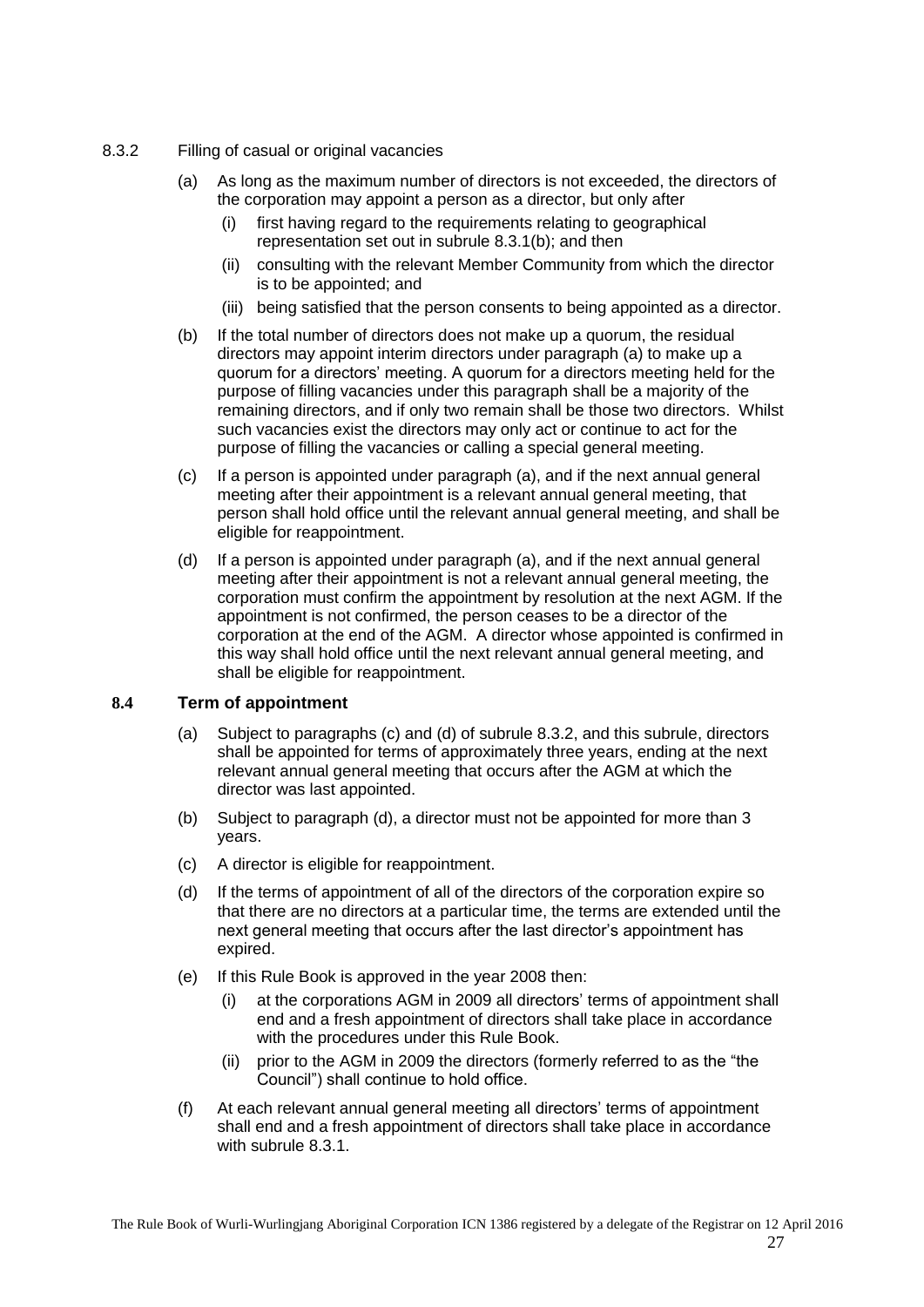- <span id="page-26-2"></span><span id="page-26-0"></span>8.3.2 Filling of casual or original vacancies
	- (a) As long as the maximum number of directors is not exceeded, the directors of the corporation may appoint a person as a director, but only after
		- (i) first having regard to the requirements relating to geographical representation set out in subrule [8.3.1\(b\);](#page-25-3) and then
		- (ii) consulting with the relevant Member Community from which the director is to be appointed; and
		- (iii) being satisfied that the person consents to being appointed as a director.
	- (b) If the total number of directors does not make up a quorum, the residual directors may appoint interim directors under paragraph [\(a\)](#page-26-2) to make up a quorum for a directors' meeting. A quorum for a directors meeting held for the purpose of filling vacancies under this paragraph shall be a majority of the remaining directors, and if only two remain shall be those two directors. Whilst such vacancies exist the directors may only act or continue to act for the purpose of filling the vacancies or calling a special general meeting.
	- (c) If a person is appointed under paragraph [\(a\),](#page-26-2) and if the next annual general meeting after their appointment is a relevant annual general meeting, that person shall hold office until the relevant annual general meeting, and shall be eligible for reappointment.
	- (d) If a person is appointed under paragraph (a), and if the next annual general meeting after their appointment is not a relevant annual general meeting, the corporation must confirm the appointment by resolution at the next AGM. If the appointment is not confirmed, the person ceases to be a director of the corporation at the end of the AGM. A director whose appointed is confirmed in this way shall hold office until the next relevant annual general meeting, and shall be eligible for reappointment.

#### <span id="page-26-1"></span>**8.4 Term of appointment**

- (a) Subject to paragraphs (c) and (d) of subrule [8.3.2,](#page-26-0) and this subrule, directors shall be appointed for terms of approximately three years, ending at the next relevant annual general meeting that occurs after the AGM at which the director was last appointed.
- (b) Subject to paragraph [\(d\),](#page-26-3) a director must not be appointed for more than 3 years.
- (c) A director is eligible for reappointment.
- <span id="page-26-3"></span>(d) If the terms of appointment of all of the directors of the corporation expire so that there are no directors at a particular time, the terms are extended until the next general meeting that occurs after the last director's appointment has expired.
- (e) If this Rule Book is approved in the year 2008 then:
	- (i) at the corporations AGM in 2009 all directors' terms of appointment shall end and a fresh appointment of directors shall take place in accordance with the procedures under this Rule Book.
	- $(i)$  prior to the AGM in 2009 the directors (formerly referred to as the "the Council") shall continue to hold office.
- (f) At each relevant annual general meeting all directors' terms of appointment shall end and a fresh appointment of directors shall take place in accordance with subrule [8.3.1.](#page-25-1)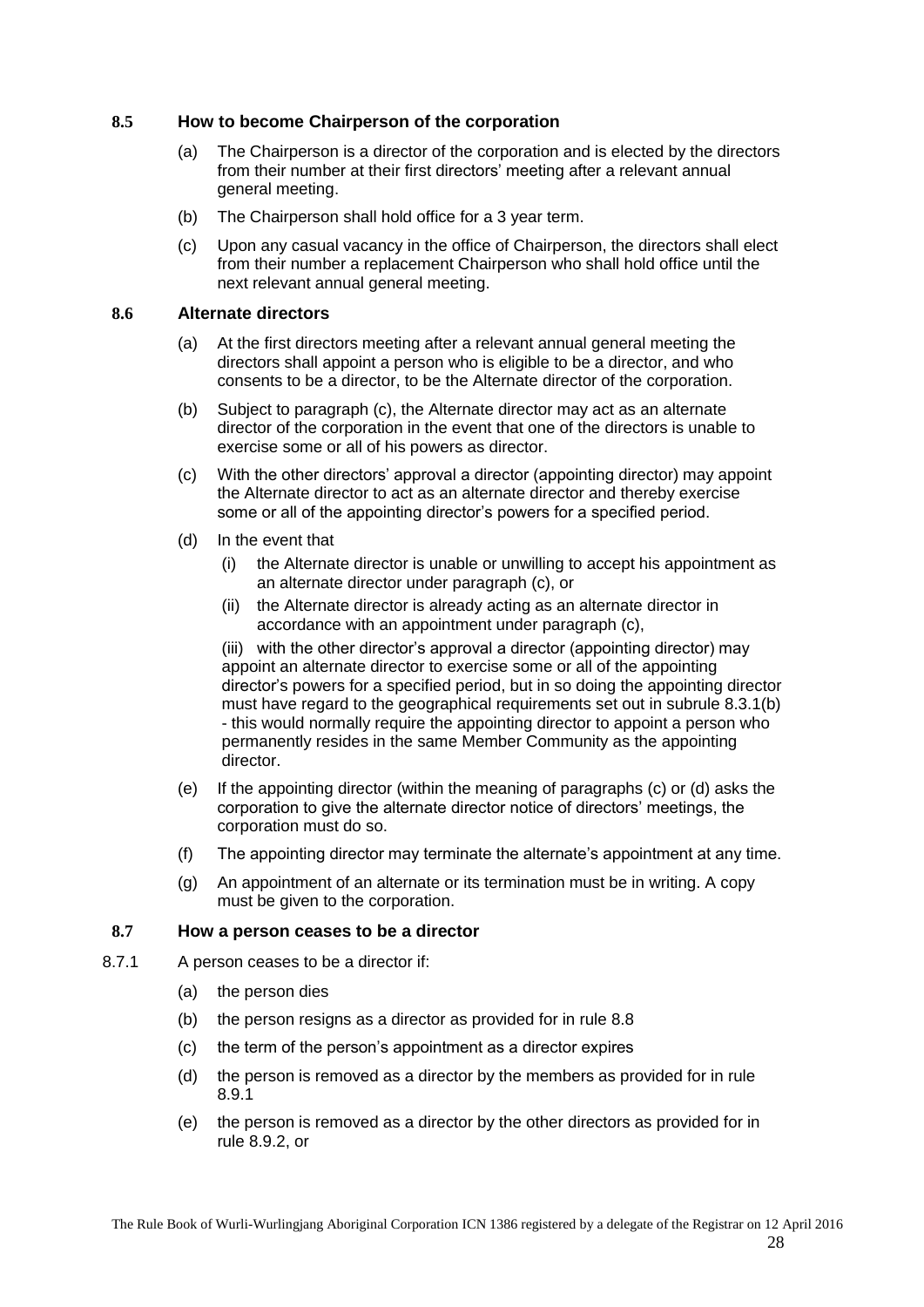## <span id="page-27-0"></span>**8.5 How to become Chairperson of the corporation**

- (a) The Chairperson is a director of the corporation and is elected by the directors from their number at their first directors' meeting after a relevant annual general meeting.
- (b) The Chairperson shall hold office for a 3 year term.
- (c) Upon any casual vacancy in the office of Chairperson, the directors shall elect from their number a replacement Chairperson who shall hold office until the next relevant annual general meeting.

#### <span id="page-27-1"></span>**8.6 Alternate directors**

- (a) At the first directors meeting after a relevant annual general meeting the directors shall appoint a person who is eligible to be a director, and who consents to be a director, to be the Alternate director of the corporation.
- (b) Subject to paragraph [\(c\),](#page-27-4) the Alternate director may act as an alternate director of the corporation in the event that one of the directors is unable to exercise some or all of his powers as director.
- <span id="page-27-4"></span>(c) With the other directors' approval a director (appointing director) may appoint the Alternate director to act as an alternate director and thereby exercise some or all of the appointing director's powers for a specified period.
- <span id="page-27-5"></span>(d) In the event that
	- (i) the Alternate director is unable or unwilling to accept his appointment as an alternate director under paragraph [\(c\),](#page-27-4) or
	- (ii) the Alternate director is already acting as an alternate director in accordance with an appointment under paragraph [\(c\),](#page-27-4)

(iii) with the other director's approval a director (appointing director) may appoint an alternate director to exercise some or all of the appointing director's powers for a specified period, but in so doing the appointing director must have regard to the geographical requirements set out in subrule [8.3.1\(b\)](#page-25-3) - this would normally require the appointing director to appoint a person who permanently resides in the same Member Community as the appointing director.

- (e) If the appointing director (within the meaning of paragraphs [\(c\)](#page-27-4) or [\(d\)](#page-27-5) asks the corporation to give the alternate director notice of directors' meetings, the corporation must do so.
- (f) The appointing director may terminate the alternate's appointment at any time.
- (g) An appointment of an alternate or its termination must be in writing. A copy must be given to the corporation.

#### <span id="page-27-2"></span>**8.7 How a person ceases to be a director**

- <span id="page-27-3"></span>8.7.1 A person ceases to be a director if:
	- (a) the person dies
	- (b) the person resigns as a director as provided for in rule [8.8](#page-28-0)
	- (c) the term of the person's appointment as a director expires
	- (d) the person is removed as a director by the members as provided for in rule [8.9.1](#page-28-2)
	- (e) the person is removed as a director by the other directors as provided for in rule [8.9.2,](#page-28-3) or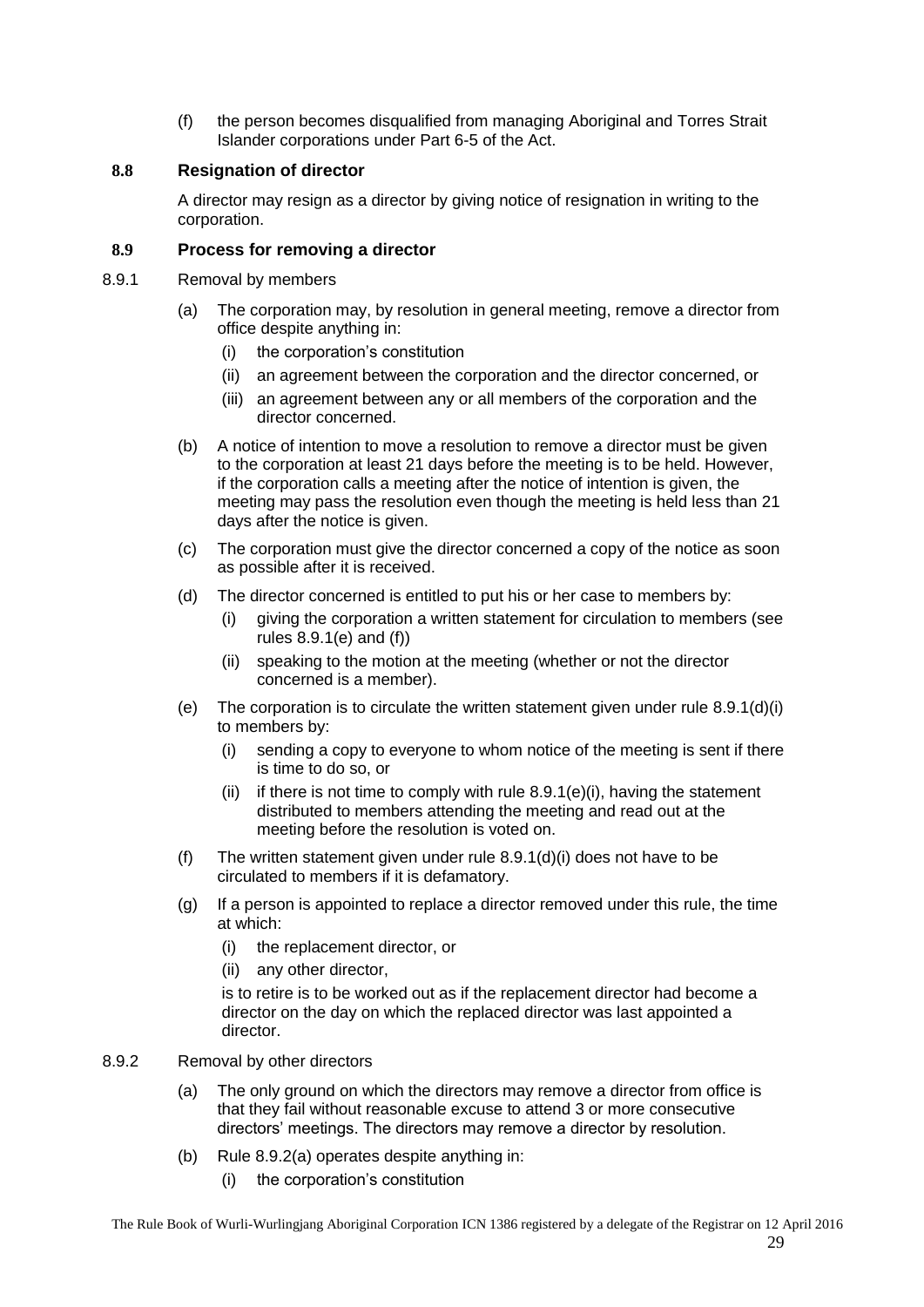(f) the person becomes disqualified from managing Aboriginal and Torres Strait Islander corporations under Part 6-5 of the Act.

## <span id="page-28-0"></span>**8.8 Resignation of director**

A director may resign as a director by giving notice of resignation in writing to the corporation.

## <span id="page-28-1"></span>**8.9 Process for removing a director**

- <span id="page-28-6"></span><span id="page-28-2"></span>8.9.1 Removal by members
	- (a) The corporation may, by resolution in general meeting, remove a director from office despite anything in:
		- (i) the corporation's constitution
		- (ii) an agreement between the corporation and the director concerned, or
		- (iii) an agreement between any or all members of the corporation and the director concerned.
	- (b) A notice of intention to move a resolution to remove a director must be given to the corporation at least 21 days before the meeting is to be held. However, if the corporation calls a meeting after the notice of intention is given, the meeting may pass the resolution even though the meeting is held less than 21 days after the notice is given.
	- (c) The corporation must give the director concerned a copy of the notice as soon as possible after it is received.
	- (d) The director concerned is entitled to put his or her case to members by:
		- (i) giving the corporation a written statement for circulation to members (see rules [8.9.1\(e\)](#page-28-4) and [\(f\)\)](#page-28-5)
		- (ii) speaking to the motion at the meeting (whether or not the director concerned is a member).
	- (e) The corporation is to circulate the written statement given under rule  $8.9.1(d)(i)$ to members by:
		- (i) sending a copy to everyone to whom notice of the meeting is sent if there is time to do so, or
		- (ii) if there is not time to comply with rule  $8.9.1(e)$  (i), having the statement distributed to members attending the meeting and read out at the meeting before the resolution is voted on.
	- (f) The written statement given under rule [8.9.1\(d\)\(i\)](#page-28-6) does not have to be circulated to members if it is defamatory.
	- (g) If a person is appointed to replace a director removed under this rule, the time at which:
		- (i) the replacement director, or
		- (ii) any other director,

<span id="page-28-7"></span><span id="page-28-5"></span><span id="page-28-4"></span>is to retire is to be worked out as if the replacement director had become a director on the day on which the replaced director was last appointed a director.

- <span id="page-28-8"></span><span id="page-28-3"></span>8.9.2 Removal by other directors
	- (a) The only ground on which the directors may remove a director from office is that they fail without reasonable excuse to attend 3 or more consecutive directors' meetings. The directors may remove a director by resolution.
	- (b) Rule [8.9.2\(a\)](#page-28-8) operates despite anything in:
		- (i) the corporation's constitution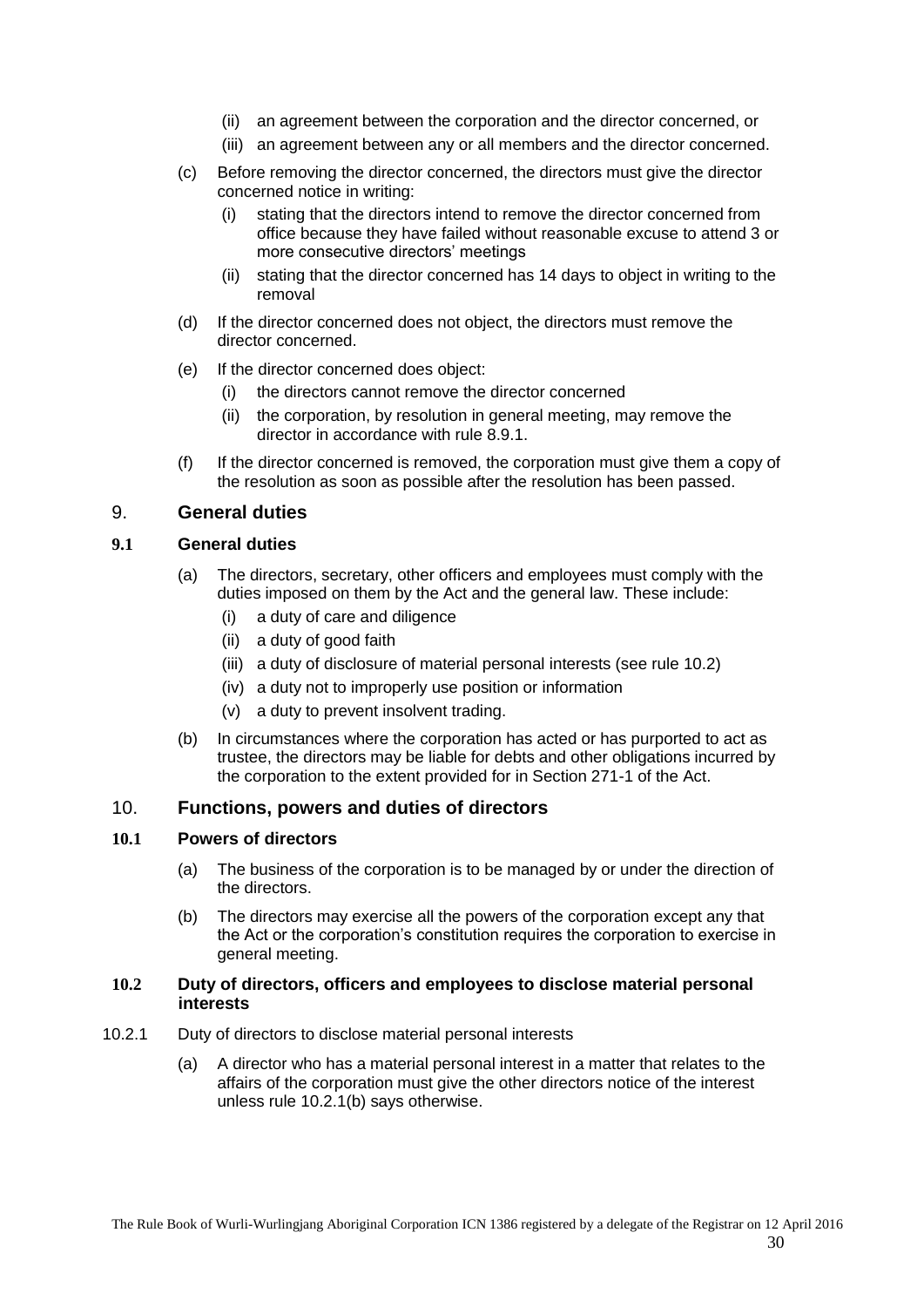- (ii) an agreement between the corporation and the director concerned, or
- (iii) an agreement between any or all members and the director concerned.
- (c) Before removing the director concerned, the directors must give the director concerned notice in writing:
	- (i) stating that the directors intend to remove the director concerned from office because they have failed without reasonable excuse to attend 3 or more consecutive directors' meetings
	- (ii) stating that the director concerned has 14 days to object in writing to the removal
- (d) If the director concerned does not object, the directors must remove the director concerned.
- (e) If the director concerned does object:
	- (i) the directors cannot remove the director concerned
	- (ii) the corporation, by resolution in general meeting, may remove the director in accordance with rule [8.9.1.](#page-28-2)
- (f) If the director concerned is removed, the corporation must give them a copy of the resolution as soon as possible after the resolution has been passed.

## <span id="page-29-0"></span>9. **General duties**

#### <span id="page-29-1"></span>**9.1 General duties**

- (a) The directors, secretary, other officers and employees must comply with the duties imposed on them by the Act and the general law. These include:
	- (i) a duty of care and diligence
	- (ii) a duty of good faith
	- (iii) a duty of disclosure of material personal interests (see rule [10.2\)](#page-29-4)
	- (iv) a duty not to improperly use position or information
	- (v) a duty to prevent insolvent trading.
- (b) In circumstances where the corporation has acted or has purported to act as trustee, the directors may be liable for debts and other obligations incurred by the corporation to the extent provided for in Section 271-1 of the Act.

## <span id="page-29-2"></span>10. **Functions, powers and duties of directors**

#### <span id="page-29-3"></span>**10.1 Powers of directors**

- (a) The business of the corporation is to be managed by or under the direction of the directors.
- (b) The directors may exercise all the powers of the corporation except any that the Act or the corporation's constitution requires the corporation to exercise in general meeting.

#### <span id="page-29-4"></span>**10.2 Duty of directors, officers and employees to disclose material personal interests**

- <span id="page-29-6"></span><span id="page-29-5"></span>10.2.1 Duty of directors to disclose material personal interests
	- (a) A director who has a material personal interest in a matter that relates to the affairs of the corporation must give the other directors notice of the interest unless rule [10.2.1\(b\)](#page-30-2) says otherwise.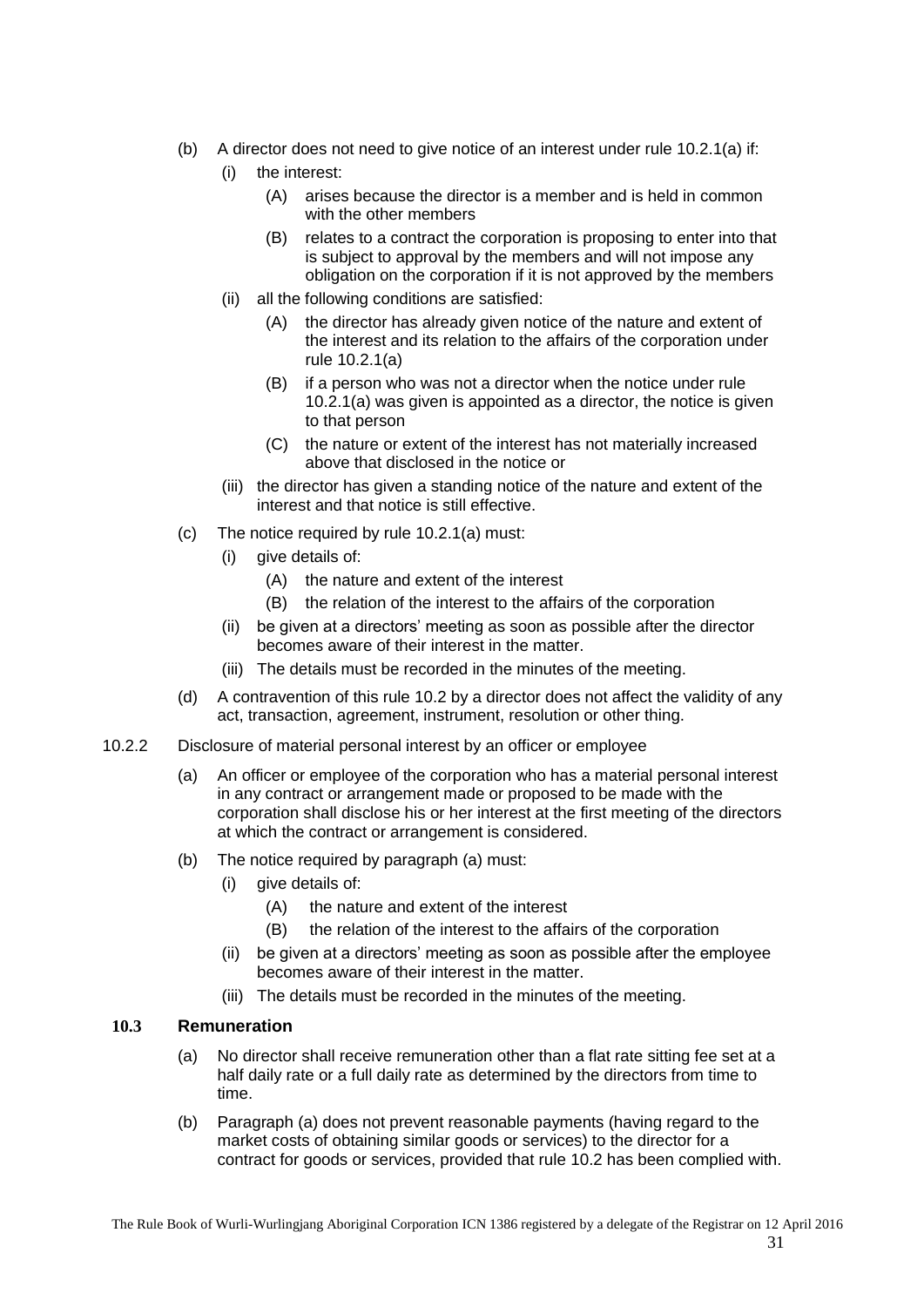- <span id="page-30-2"></span>(b) A director does not need to give notice of an interest under rule [10.2.1\(a\)](#page-29-6) if:
	- (i) the interest:
		- (A) arises because the director is a member and is held in common with the other members
		- (B) relates to a contract the corporation is proposing to enter into that is subject to approval by the members and will not impose any obligation on the corporation if it is not approved by the members
	- (ii) all the following conditions are satisfied:
		- (A) the director has already given notice of the nature and extent of the interest and its relation to the affairs of the corporation under rule [10.2.1\(a\)](#page-29-6)
		- (B) if a person who was not a director when the notice under rule [10.2.1\(a\)](#page-29-6) was given is appointed as a director, the notice is given to that person
		- (C) the nature or extent of the interest has not materially increased above that disclosed in the notice or
	- (iii) the director has given a standing notice of the nature and extent of the interest and that notice is still effective.
- (c) The notice required by rule [10.2.1\(a\)](#page-29-6) must:
	- (i) give details of:
		- (A) the nature and extent of the interest
		- (B) the relation of the interest to the affairs of the corporation
	- (ii) be given at a directors' meeting as soon as possible after the director becomes aware of their interest in the matter.
	- (iii) The details must be recorded in the minutes of the meeting.
- (d) A contravention of this rule [10.2](#page-29-4) by a director does not affect the validity of any act, transaction, agreement, instrument, resolution or other thing.
- <span id="page-30-0"></span>10.2.2 Disclosure of material personal interest by an officer or employee
	- (a) An officer or employee of the corporation who has a material personal interest in any contract or arrangement made or proposed to be made with the corporation shall disclose his or her interest at the first meeting of the directors at which the contract or arrangement is considered.
	- (b) The notice required by paragraph (a) must:
		- (i) give details of:
			- (A) the nature and extent of the interest
			- (B) the relation of the interest to the affairs of the corporation
		- (ii) be given at a directors' meeting as soon as possible after the employee becomes aware of their interest in the matter.
		- (iii) The details must be recorded in the minutes of the meeting.

#### <span id="page-30-3"></span><span id="page-30-1"></span>**10.3 Remuneration**

- (a) No director shall receive remuneration other than a flat rate sitting fee set at a half daily rate or a full daily rate as determined by the directors from time to time.
- (b) Paragraph [\(a\)](#page-30-3) does not prevent reasonable payments (having regard to the market costs of obtaining similar goods or services) to the director for a contract for goods or services, provided that rule [10.2](#page-29-4) has been complied with.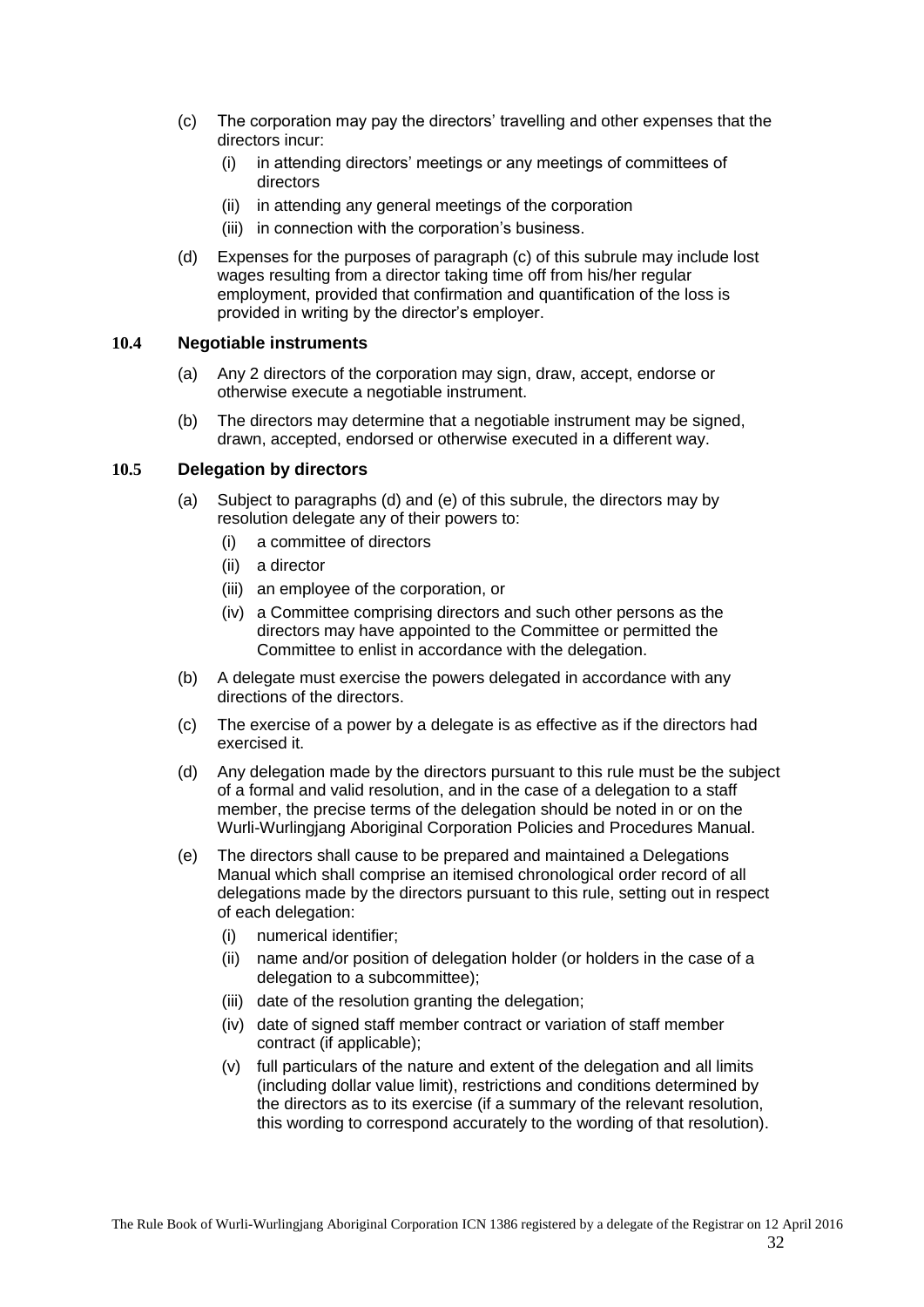- (c) The corporation may pay the directors' travelling and other expenses that the directors incur:
	- (i) in attending directors' meetings or any meetings of committees of directors
	- (ii) in attending any general meetings of the corporation
	- (iii) in connection with the corporation's business.
- (d) Expenses for the purposes of paragraph (c) of this subrule may include lost wages resulting from a director taking time off from his/her regular employment, provided that confirmation and quantification of the loss is provided in writing by the director's employer.

## <span id="page-31-0"></span>**10.4 Negotiable instruments**

- (a) Any 2 directors of the corporation may sign, draw, accept, endorse or otherwise execute a negotiable instrument.
- (b) The directors may determine that a negotiable instrument may be signed, drawn, accepted, endorsed or otherwise executed in a different way.

## <span id="page-31-1"></span>**10.5 Delegation by directors**

- (a) Subject to paragraphs (d) and (e) of this subrule, the directors may by resolution delegate any of their powers to:
	- (i) a committee of directors
	- (ii) a director
	- (iii) an employee of the corporation, or
	- (iv) a Committee comprising directors and such other persons as the directors may have appointed to the Committee or permitted the Committee to enlist in accordance with the delegation.
- (b) A delegate must exercise the powers delegated in accordance with any directions of the directors.
- (c) The exercise of a power by a delegate is as effective as if the directors had exercised it.
- (d) Any delegation made by the directors pursuant to this rule must be the subject of a formal and valid resolution, and in the case of a delegation to a staff member, the precise terms of the delegation should be noted in or on the Wurli-Wurlingjang Aboriginal Corporation Policies and Procedures Manual.
- (e) The directors shall cause to be prepared and maintained a Delegations Manual which shall comprise an itemised chronological order record of all delegations made by the directors pursuant to this rule, setting out in respect of each delegation:
	- (i) numerical identifier;
	- (ii) name and/or position of delegation holder (or holders in the case of a delegation to a subcommittee);
	- (iii) date of the resolution granting the delegation;
	- (iv) date of signed staff member contract or variation of staff member contract (if applicable);
	- (v) full particulars of the nature and extent of the delegation and all limits (including dollar value limit), restrictions and conditions determined by the directors as to its exercise (if a summary of the relevant resolution, this wording to correspond accurately to the wording of that resolution).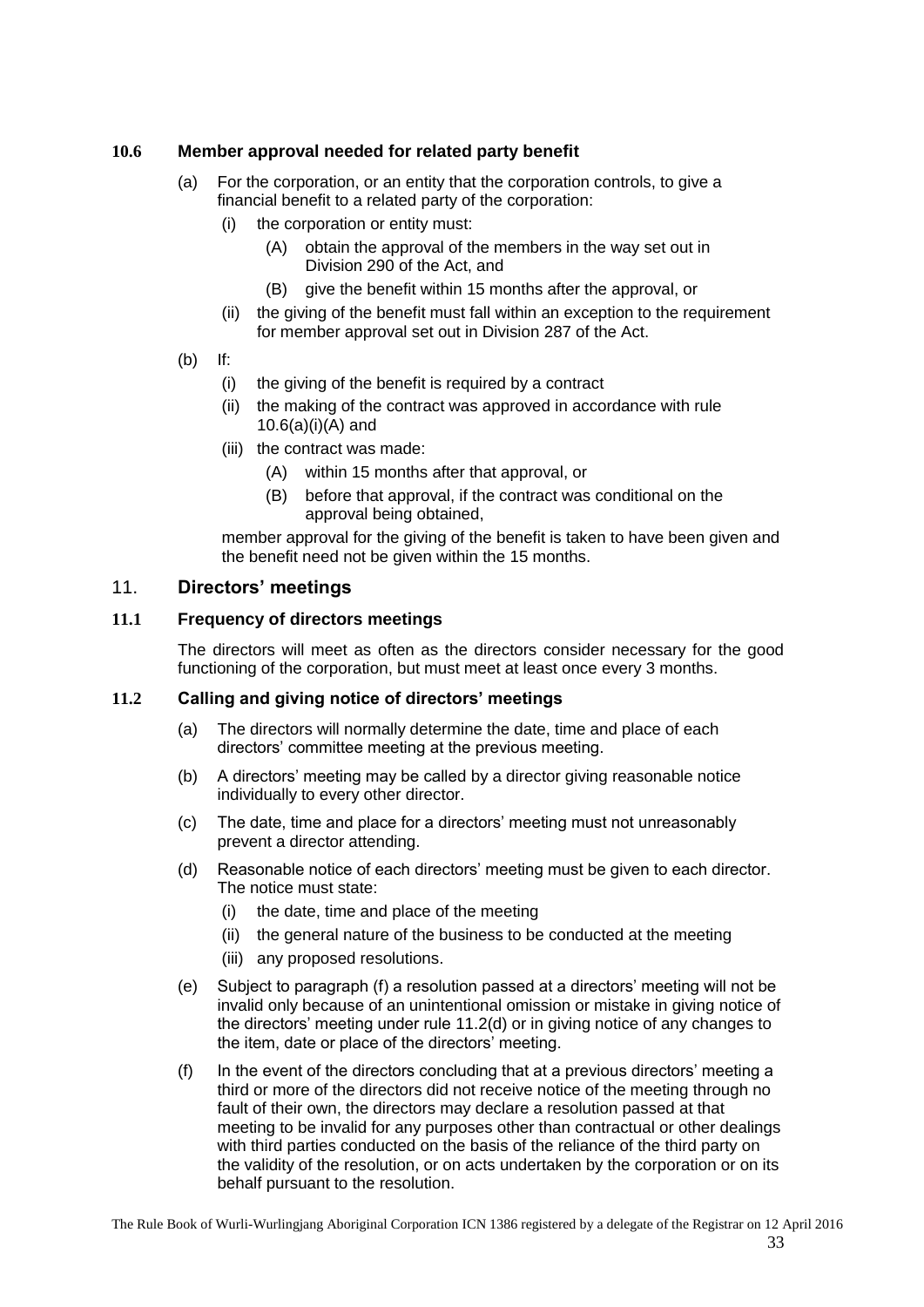## <span id="page-32-4"></span><span id="page-32-0"></span>**10.6 Member approval needed for related party benefit**

- (a) For the corporation, or an entity that the corporation controls, to give a financial benefit to a related party of the corporation:
	- (i) the corporation or entity must:
		- (A) obtain the approval of the members in the way set out in Division 290 of the Act, and
		- (B) give the benefit within 15 months after the approval, or
	- (ii) the giving of the benefit must fall within an exception to the requirement for member approval set out in Division 287 of the Act.
- (b) If:
	- (i) the giving of the benefit is required by a contract
	- (ii) the making of the contract was approved in accordance with rule [10.6\(a\)\(i\)\(A\)](#page-32-4) and
	- (iii) the contract was made:
		- (A) within 15 months after that approval, or
		- (B) before that approval, if the contract was conditional on the approval being obtained,

member approval for the giving of the benefit is taken to have been given and the benefit need not be given within the 15 months.

## <span id="page-32-1"></span>11. **Directors' meetings**

#### <span id="page-32-2"></span>**11.1 Frequency of directors meetings**

The directors will meet as often as the directors consider necessary for the good functioning of the corporation, but must meet at least once every 3 months.

#### <span id="page-32-5"></span><span id="page-32-3"></span>**11.2 Calling and giving notice of directors' meetings**

- (a) The directors will normally determine the date, time and place of each directors' committee meeting at the previous meeting.
- (b) A directors' meeting may be called by a director giving reasonable notice individually to every other director.
- (c) The date, time and place for a directors' meeting must not unreasonably prevent a director attending.
- (d) Reasonable notice of each directors' meeting must be given to each director. The notice must state:
	- (i) the date, time and place of the meeting
	- (ii) the general nature of the business to be conducted at the meeting
	- (iii) any proposed resolutions.
- (e) Subject to paragraph (f) a resolution passed at a directors' meeting will not be invalid only because of an unintentional omission or mistake in giving notice of the directors' meeting under rule [11.2\(d\)](#page-32-3) or in giving notice of any changes to the item, date or place of the directors' meeting.
- (f) In the event of the directors concluding that at a previous directors' meeting a third or more of the directors did not receive notice of the meeting through no fault of their own, the directors may declare a resolution passed at that meeting to be invalid for any purposes other than contractual or other dealings with third parties conducted on the basis of the reliance of the third party on the validity of the resolution, or on acts undertaken by the corporation or on its behalf pursuant to the resolution.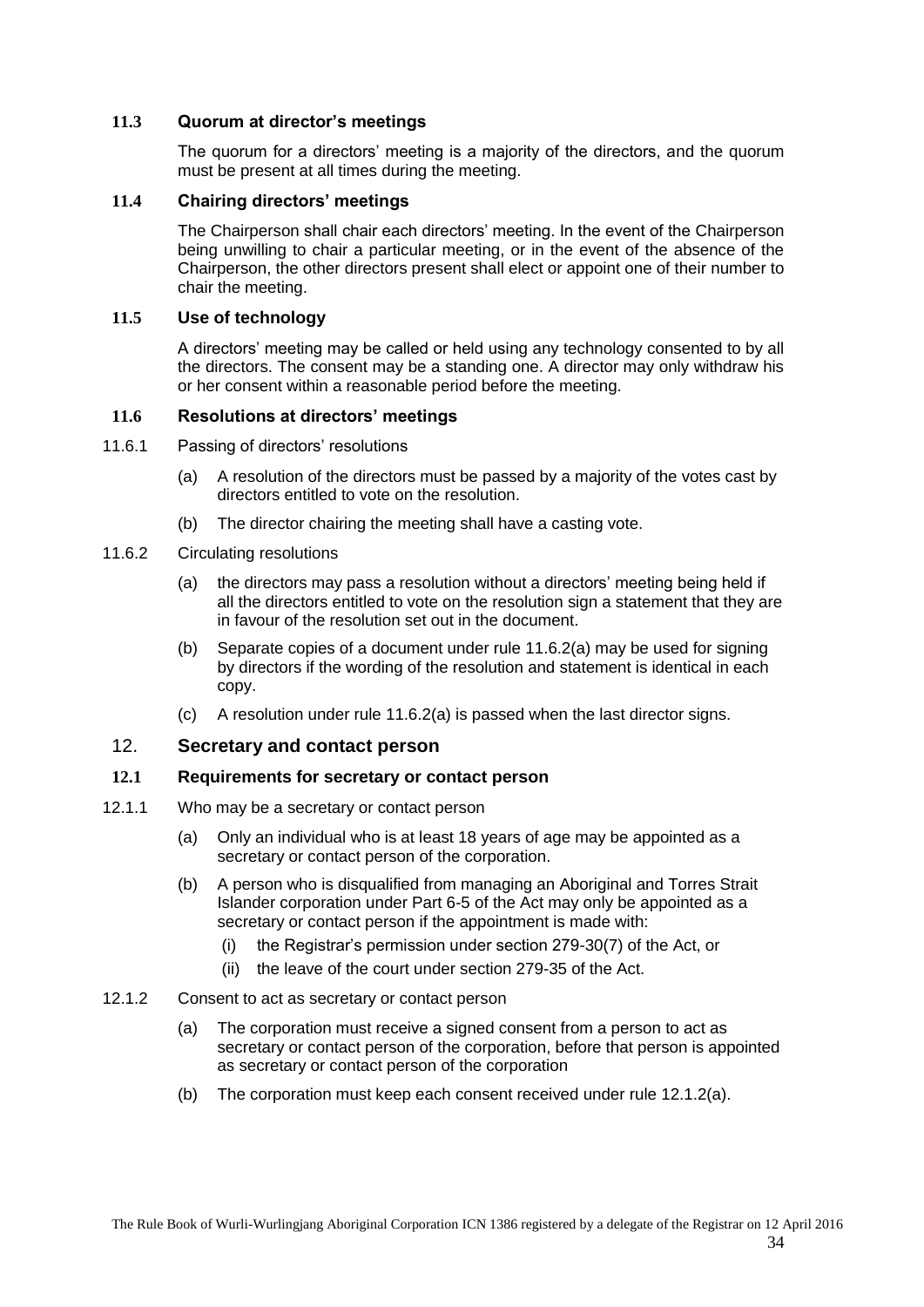## <span id="page-33-0"></span>**11.3 Quorum at director's meetings**

The quorum for a directors' meeting is a majority of the directors, and the quorum must be present at all times during the meeting.

## <span id="page-33-1"></span>**11.4 Chairing directors' meetings**

The Chairperson shall chair each directors' meeting. In the event of the Chairperson being unwilling to chair a particular meeting, or in the event of the absence of the Chairperson, the other directors present shall elect or appoint one of their number to chair the meeting.

#### <span id="page-33-2"></span>**11.5 Use of technology**

A directors' meeting may be called or held using any technology consented to by all the directors. The consent may be a standing one. A director may only withdraw his or her consent within a reasonable period before the meeting.

#### <span id="page-33-3"></span>**11.6 Resolutions at directors' meetings**

- <span id="page-33-4"></span>11.6.1 Passing of directors' resolutions
	- (a) A resolution of the directors must be passed by a majority of the votes cast by directors entitled to vote on the resolution.
	- (b) The director chairing the meeting shall have a casting vote.
- <span id="page-33-10"></span><span id="page-33-5"></span>11.6.2 Circulating resolutions
	- (a) the directors may pass a resolution without a directors' meeting being held if all the directors entitled to vote on the resolution sign a statement that they are in favour of the resolution set out in the document.
	- (b) Separate copies of a document under rule [11.6.2\(a\)](#page-33-10) may be used for signing by directors if the wording of the resolution and statement is identical in each copy.
	- (c) A resolution under rule [11.6.2\(a\)](#page-33-10) is passed when the last director signs.

## <span id="page-33-6"></span>12. **Secretary and contact person**

#### <span id="page-33-7"></span>**12.1 Requirements for secretary or contact person**

- <span id="page-33-8"></span>12.1.1 Who may be a secretary or contact person
	- (a) Only an individual who is at least 18 years of age may be appointed as a secretary or contact person of the corporation.
	- (b) A person who is disqualified from managing an Aboriginal and Torres Strait Islander corporation under Part 6-5 of the Act may only be appointed as a secretary or contact person if the appointment is made with:
		- (i) the Registrar's permission under section 279-30(7) of the Act, or
		- (ii) the leave of the court under section 279-35 of the Act.

#### <span id="page-33-11"></span><span id="page-33-9"></span>12.1.2 Consent to act as secretary or contact person

- (a) The corporation must receive a signed consent from a person to act as secretary or contact person of the corporation, before that person is appointed as secretary or contact person of the corporation
- (b) The corporation must keep each consent received under rule [12.1.2\(a\).](#page-33-11)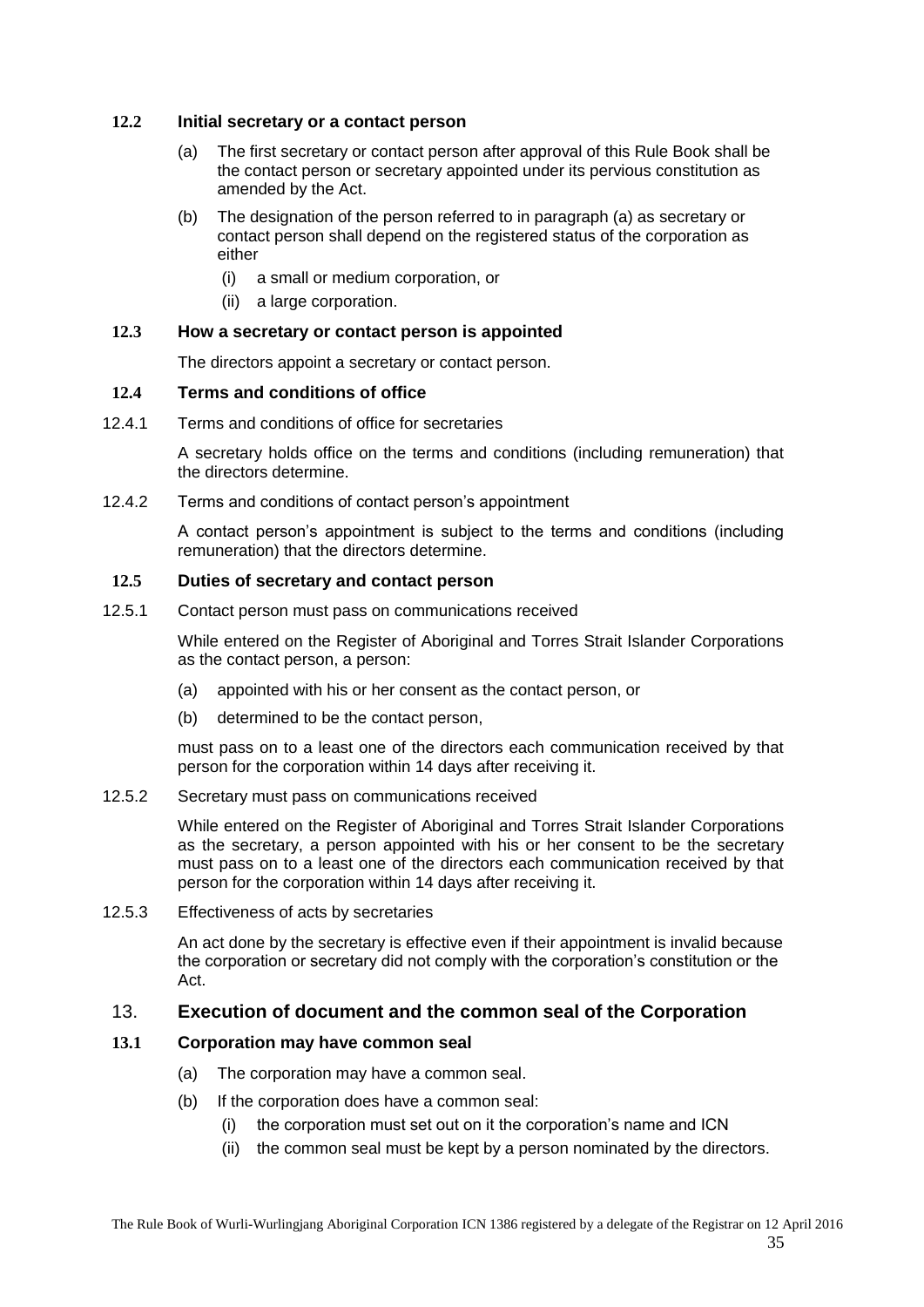#### <span id="page-34-0"></span>**12.2 Initial secretary or a contact person**

- (a) The first secretary or contact person after approval of this Rule Book shall be the contact person or secretary appointed under its pervious constitution as amended by the Act.
- (b) The designation of the person referred to in paragraph (a) as secretary or contact person shall depend on the registered status of the corporation as either
	- (i) a small or medium corporation, or
	- (ii) a large corporation.

## <span id="page-34-1"></span>**12.3 How a secretary or contact person is appointed**

The directors appoint a secretary or contact person.

## <span id="page-34-2"></span>**12.4 Terms and conditions of office**

<span id="page-34-3"></span>12.4.1 Terms and conditions of office for secretaries

A secretary holds office on the terms and conditions (including remuneration) that the directors determine.

#### <span id="page-34-4"></span>12.4.2 Terms and conditions of contact person's appointment

A contact person's appointment is subject to the terms and conditions (including remuneration) that the directors determine.

## <span id="page-34-5"></span>**12.5 Duties of secretary and contact person**

<span id="page-34-6"></span>12.5.1 Contact person must pass on communications received

While entered on the Register of Aboriginal and Torres Strait Islander Corporations as the contact person, a person:

- (a) appointed with his or her consent as the contact person, or
- (b) determined to be the contact person,

must pass on to a least one of the directors each communication received by that person for the corporation within 14 days after receiving it.

## <span id="page-34-7"></span>12.5.2 Secretary must pass on communications received

While entered on the Register of Aboriginal and Torres Strait Islander Corporations as the secretary, a person appointed with his or her consent to be the secretary must pass on to a least one of the directors each communication received by that person for the corporation within 14 days after receiving it.

<span id="page-34-8"></span>12.5.3 Effectiveness of acts by secretaries

An act done by the secretary is effective even if their appointment is invalid because the corporation or secretary did not comply with the corporation's constitution or the Act.

## <span id="page-34-9"></span>13. **Execution of document and the common seal of the Corporation**

## <span id="page-34-10"></span>**13.1 Corporation may have common seal**

- (a) The corporation may have a common seal.
- (b) If the corporation does have a common seal:
	- (i) the corporation must set out on it the corporation's name and ICN
	- (ii) the common seal must be kept by a person nominated by the directors.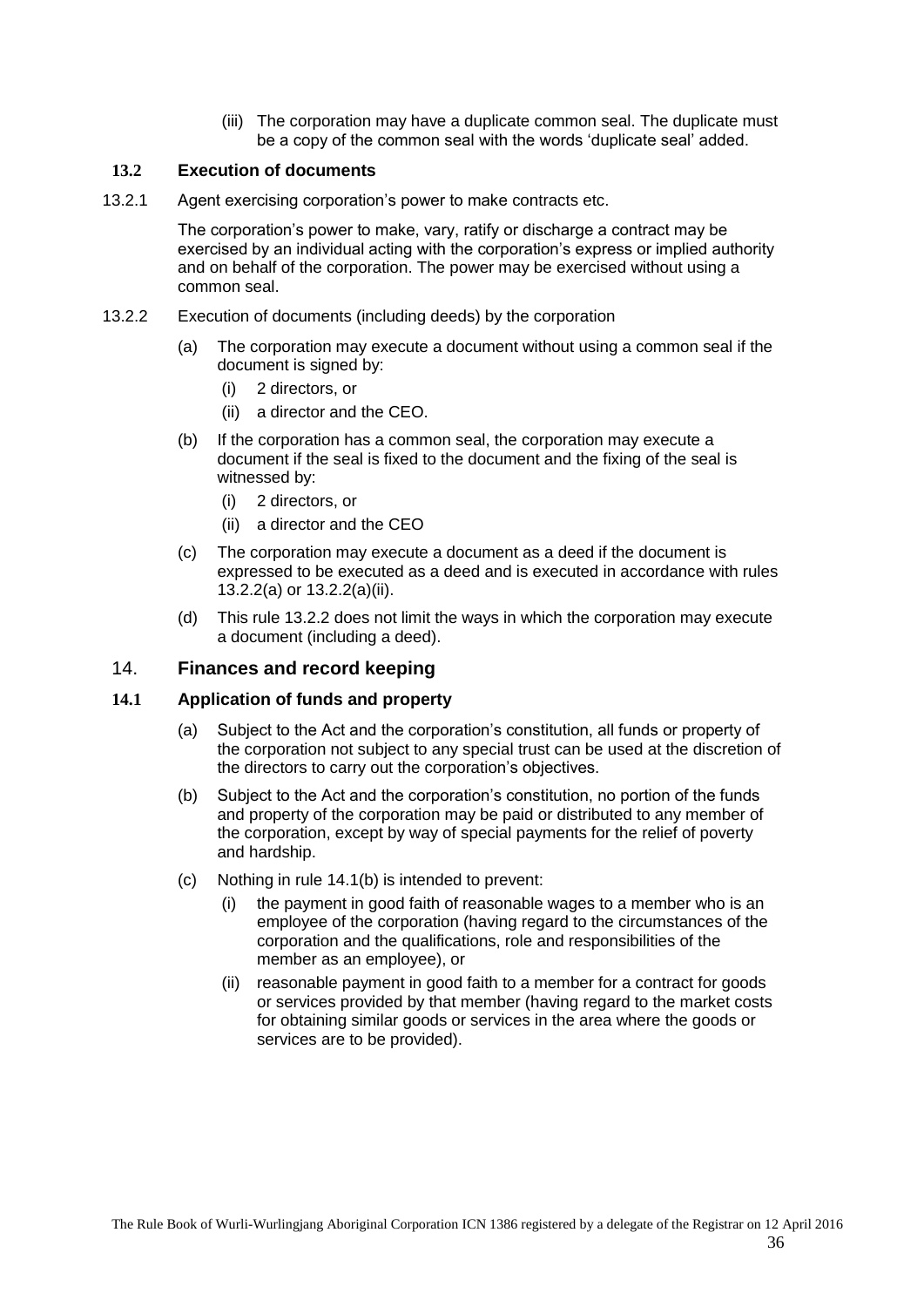(iii) The corporation may have a duplicate common seal. The duplicate must be a copy of the common seal with the words 'duplicate seal' added.

## <span id="page-35-0"></span>**13.2 Execution of documents**

<span id="page-35-1"></span>13.2.1 Agent exercising corporation's power to make contracts etc.

<span id="page-35-6"></span>The corporation's power to make, vary, ratify or discharge a contract may be exercised by an individual acting with the corporation's express or implied authority and on behalf of the corporation. The power may be exercised without using a common seal.

- <span id="page-35-5"></span><span id="page-35-2"></span>13.2.2 Execution of documents (including deeds) by the corporation
	- (a) The corporation may execute a document without using a common seal if the document is signed by:
		- (i) 2 directors, or
		- (ii) a director and the CEO.
	- (b) If the corporation has a common seal, the corporation may execute a document if the seal is fixed to the document and the fixing of the seal is witnessed by:
		- (i) 2 directors, or
		- (ii) a director and the CEO
	- (c) The corporation may execute a document as a deed if the document is expressed to be executed as a deed and is executed in accordance with rules [13.2.2\(a\)](#page-35-5) or [13.2.2\(a\)\(ii\).](#page-35-6)
	- (d) This rule [13.2.2](#page-35-2) does not limit the ways in which the corporation may execute a document (including a deed).

#### <span id="page-35-3"></span>14. **Finances and record keeping**

#### <span id="page-35-4"></span>**14.1 Application of funds and property**

- (a) Subject to the Act and the corporation's constitution, all funds or property of the corporation not subject to any special trust can be used at the discretion of the directors to carry out the corporation's objectives.
- <span id="page-35-7"></span>(b) Subject to the Act and the corporation's constitution, no portion of the funds and property of the corporation may be paid or distributed to any member of the corporation, except by way of special payments for the relief of poverty and hardship.
- (c) Nothing in rule [14.1\(b\)](#page-35-7) is intended to prevent:
	- (i) the payment in good faith of reasonable wages to a member who is an employee of the corporation (having regard to the circumstances of the corporation and the qualifications, role and responsibilities of the member as an employee), or
	- (ii) reasonable payment in good faith to a member for a contract for goods or services provided by that member (having regard to the market costs for obtaining similar goods or services in the area where the goods or services are to be provided).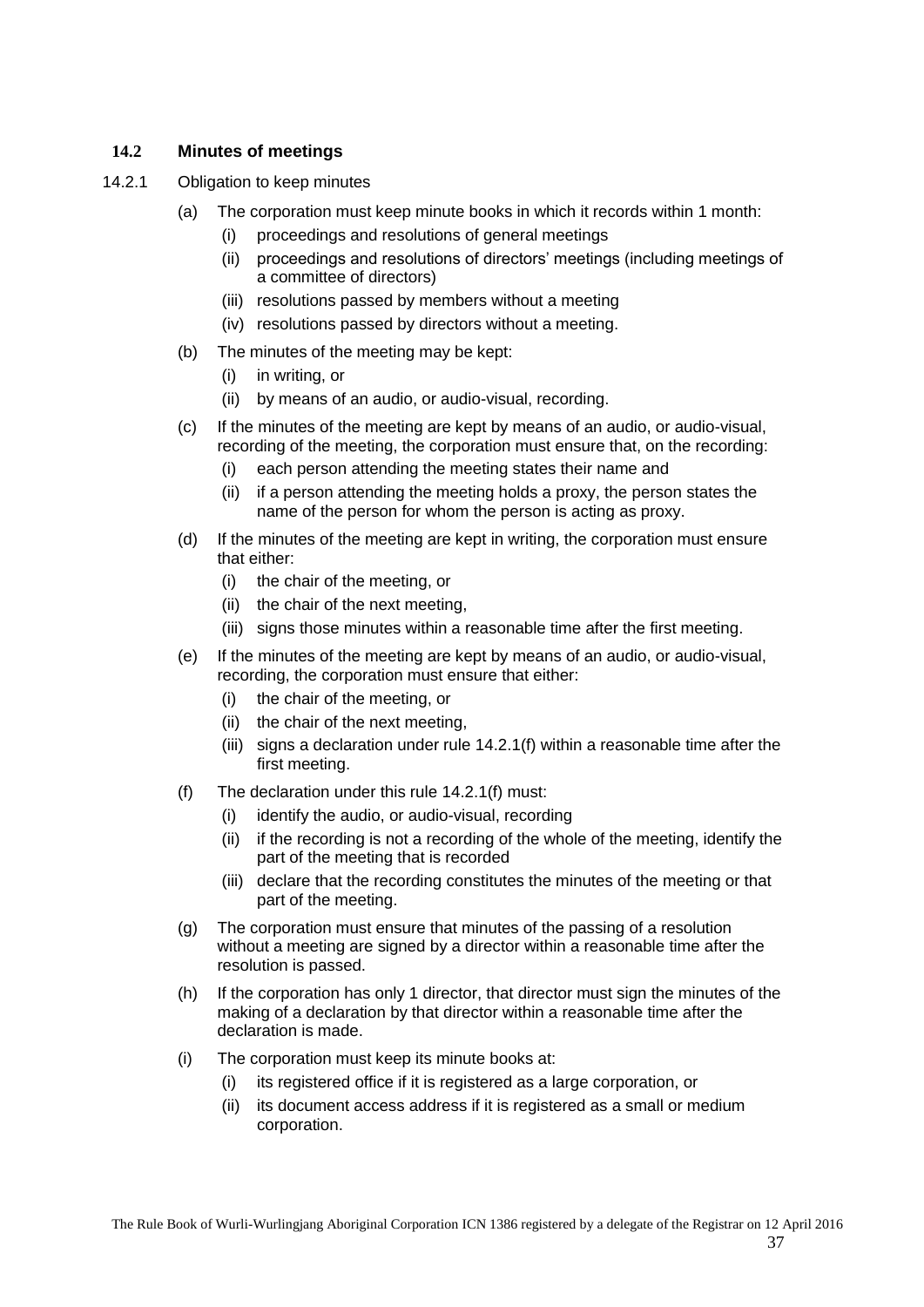## <span id="page-36-0"></span>**14.2 Minutes of meetings**

- <span id="page-36-2"></span><span id="page-36-1"></span>14.2.1 Obligation to keep minutes
	- (a) The corporation must keep minute books in which it records within 1 month:
		- (i) proceedings and resolutions of general meetings
		- (ii) proceedings and resolutions of directors' meetings (including meetings of a committee of directors)
		- (iii) resolutions passed by members without a meeting
		- (iv) resolutions passed by directors without a meeting.
	- (b) The minutes of the meeting may be kept:
		- (i) in writing, or
		- (ii) by means of an audio, or audio-visual, recording.
	- (c) If the minutes of the meeting are kept by means of an audio, or audio-visual, recording of the meeting, the corporation must ensure that, on the recording:
		- (i) each person attending the meeting states their name and
		- (ii) if a person attending the meeting holds a proxy, the person states the name of the person for whom the person is acting as proxy.
	- (d) If the minutes of the meeting are kept in writing, the corporation must ensure that either:
		- (i) the chair of the meeting, or
		- (ii) the chair of the next meeting,
		- (iii) signs those minutes within a reasonable time after the first meeting.
	- (e) If the minutes of the meeting are kept by means of an audio, or audio-visual, recording, the corporation must ensure that either:
		- (i) the chair of the meeting, or
		- (ii) the chair of the next meeting,
		- (iii) signs a declaration under rule [14.2.1\(f\)](#page-36-2) within a reasonable time after the first meeting.
	- (f) The declaration under this rule [14.2.1\(f\)](#page-36-2) must:
		- (i) identify the audio, or audio-visual, recording
		- (ii) if the recording is not a recording of the whole of the meeting, identify the part of the meeting that is recorded
		- (iii) declare that the recording constitutes the minutes of the meeting or that part of the meeting.
	- (g) The corporation must ensure that minutes of the passing of a resolution without a meeting are signed by a director within a reasonable time after the resolution is passed.
	- (h) If the corporation has only 1 director, that director must sign the minutes of the making of a declaration by that director within a reasonable time after the declaration is made.
	- (i) The corporation must keep its minute books at:
		- (i) its registered office if it is registered as a large corporation, or
		- (ii) its document access address if it is registered as a small or medium corporation.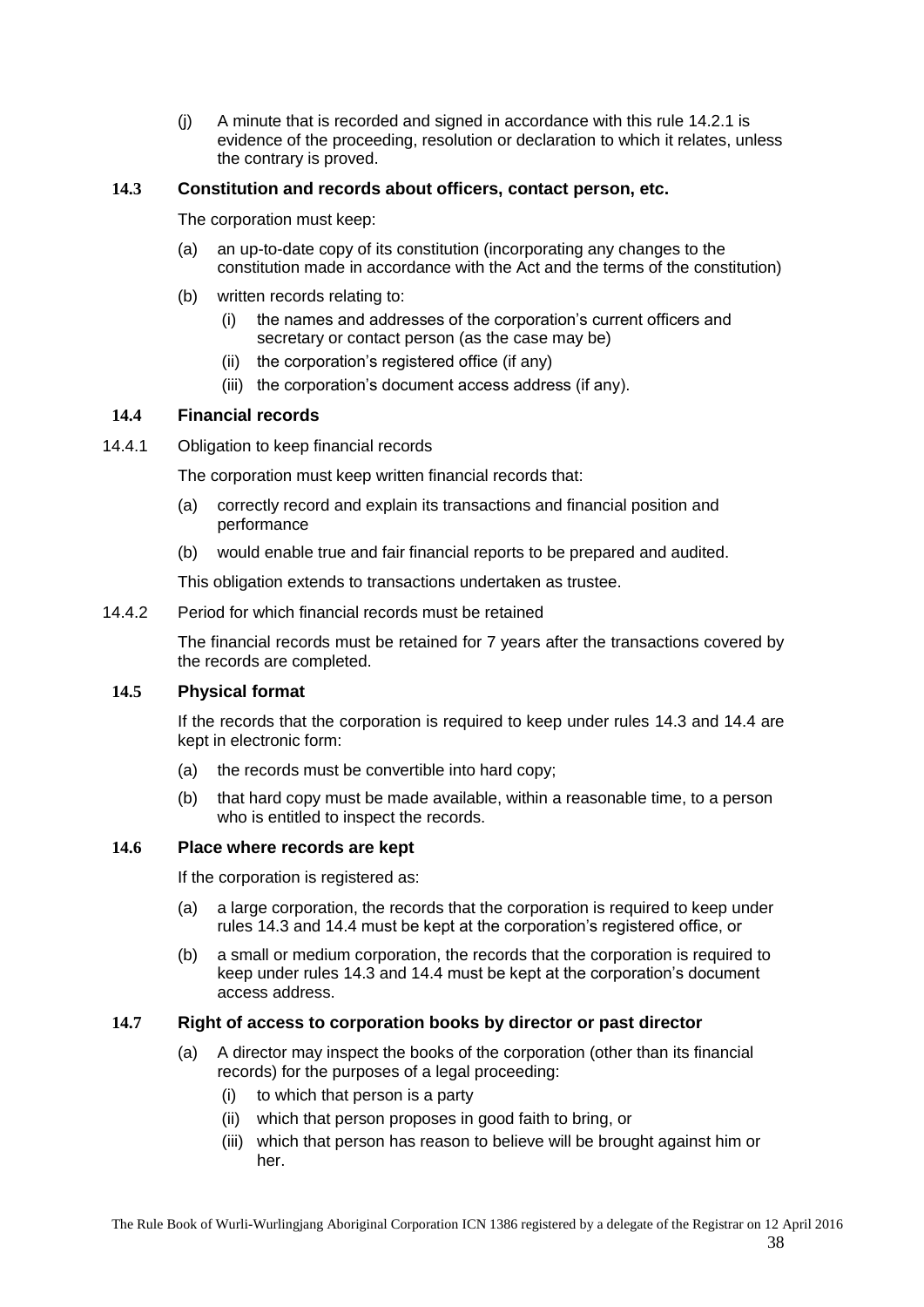(j) A minute that is recorded and signed in accordance with this rule [14.2.1](#page-36-1) is evidence of the proceeding, resolution or declaration to which it relates, unless the contrary is proved.

## <span id="page-37-0"></span>**14.3 Constitution and records about officers, contact person, etc.**

The corporation must keep:

- (a) an up-to-date copy of its constitution (incorporating any changes to the constitution made in accordance with the Act and the terms of the constitution)
- (b) written records relating to:
	- (i) the names and addresses of the corporation's current officers and secretary or contact person (as the case may be)
	- (ii) the corporation's registered office (if any)
	- (iii) the corporation's document access address (if any).

## <span id="page-37-1"></span>**14.4 Financial records**

<span id="page-37-2"></span>14.4.1 Obligation to keep financial records

The corporation must keep written financial records that:

- (a) correctly record and explain its transactions and financial position and performance
- (b) would enable true and fair financial reports to be prepared and audited.

This obligation extends to transactions undertaken as trustee.

#### <span id="page-37-3"></span>14.4.2 Period for which financial records must be retained

The financial records must be retained for 7 years after the transactions covered by the records are completed.

## <span id="page-37-4"></span>**14.5 Physical format**

If the records that the corporation is required to keep under rules [14.3](#page-37-0) and [14.4](#page-37-1) are kept in electronic form:

- (a) the records must be convertible into hard copy;
- (b) that hard copy must be made available, within a reasonable time, to a person who is entitled to inspect the records.

#### <span id="page-37-5"></span>**14.6 Place where records are kept**

If the corporation is registered as:

- (a) a large corporation, the records that the corporation is required to keep under rules [14.3](#page-37-0) and [14.4](#page-37-1) must be kept at the corporation's registered office, or
- (b) a small or medium corporation, the records that the corporation is required to keep under rules [14.3](#page-37-0) and [14.4](#page-37-1) must be kept at the corporation's document access address.

#### <span id="page-37-6"></span>**14.7 Right of access to corporation books by director or past director**

- (a) A director may inspect the books of the corporation (other than its financial records) for the purposes of a legal proceeding:
	- (i) to which that person is a party
	- (ii) which that person proposes in good faith to bring, or
	- (iii) which that person has reason to believe will be brought against him or her.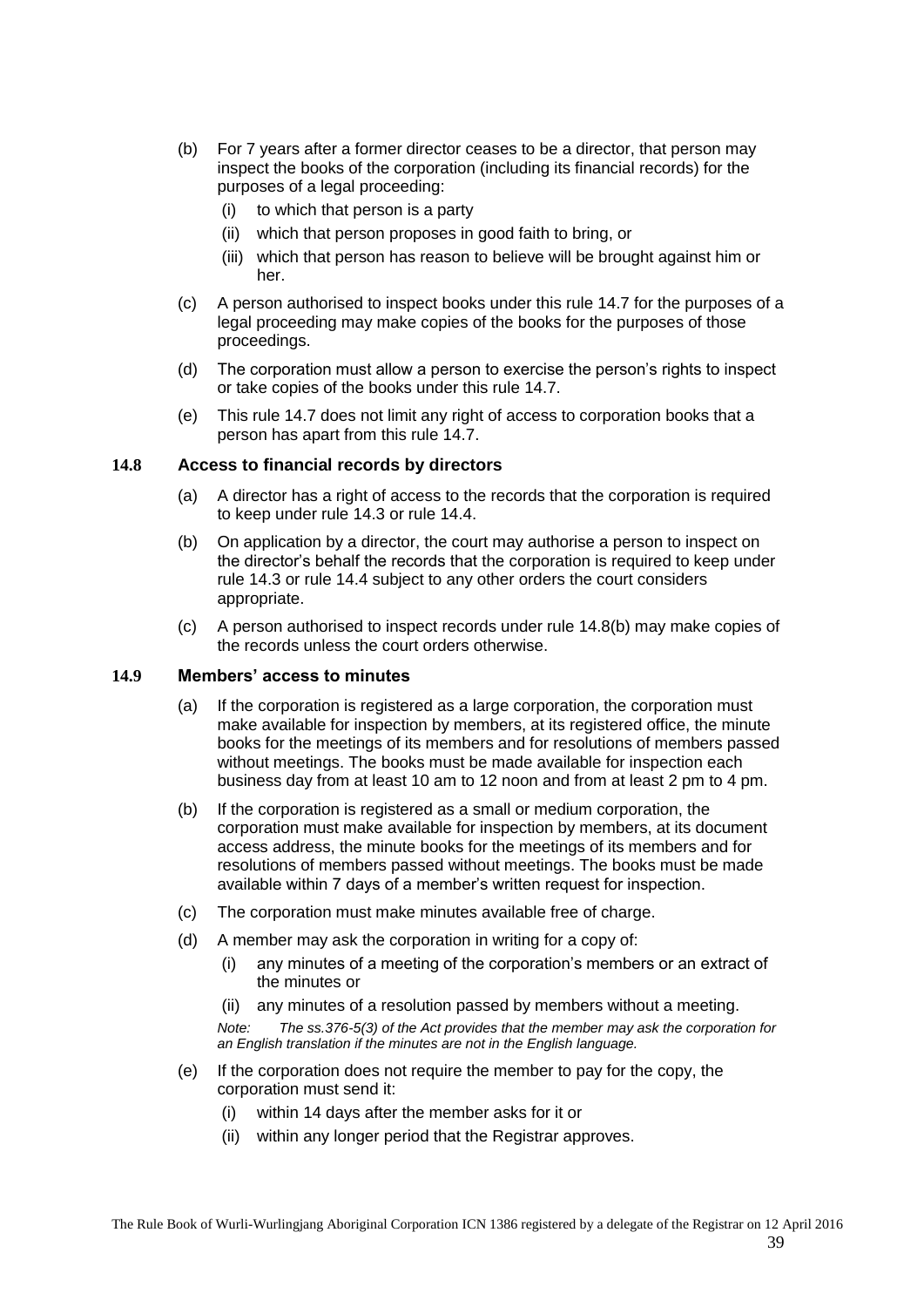- (b) For 7 years after a former director ceases to be a director, that person may inspect the books of the corporation (including its financial records) for the purposes of a legal proceeding:
	- (i) to which that person is a party
	- (ii) which that person proposes in good faith to bring, or
	- (iii) which that person has reason to believe will be brought against him or her.
- (c) A person authorised to inspect books under this rule [14.7](#page-37-6) for the purposes of a legal proceeding may make copies of the books for the purposes of those proceedings.
- (d) The corporation must allow a person to exercise the person's rights to inspect or take copies of the books under this rule [14.7.](#page-37-6)
- (e) This rule [14.7](#page-37-6) does not limit any right of access to corporation books that a person has apart from this rule [14.7.](#page-37-6)

#### <span id="page-38-0"></span>**14.8 Access to financial records by directors**

- (a) A director has a right of access to the records that the corporation is required to keep under rule [14.3](#page-37-0) or rule [14.4.](#page-37-1)
- <span id="page-38-2"></span>(b) On application by a director, the court may authorise a person to inspect on the director's behalf the records that the corporation is required to keep under rule [14.3](#page-37-0) or rule [14.4](#page-37-1) subject to any other orders the court considers appropriate.
- (c) A person authorised to inspect records under rule [14.8\(b\)](#page-38-2) may make copies of the records unless the court orders otherwise.

#### <span id="page-38-1"></span>**14.9 Members' access to minutes**

- (a) If the corporation is registered as a large corporation, the corporation must make available for inspection by members, at its registered office, the minute books for the meetings of its members and for resolutions of members passed without meetings. The books must be made available for inspection each business day from at least 10 am to 12 noon and from at least 2 pm to 4 pm.
- (b) If the corporation is registered as a small or medium corporation, the corporation must make available for inspection by members, at its document access address, the minute books for the meetings of its members and for resolutions of members passed without meetings. The books must be made available within 7 days of a member's written request for inspection.
- (c) The corporation must make minutes available free of charge.
- (d) A member may ask the corporation in writing for a copy of:
	- (i) any minutes of a meeting of the corporation's members or an extract of the minutes or
	- (ii) any minutes of a resolution passed by members without a meeting. *Note: The ss.376-5(3) of the Act provides that the member may ask the corporation for an English translation if the minutes are not in the English language.*
- (e) If the corporation does not require the member to pay for the copy, the corporation must send it:
	- (i) within 14 days after the member asks for it or
	- (ii) within any longer period that the Registrar approves.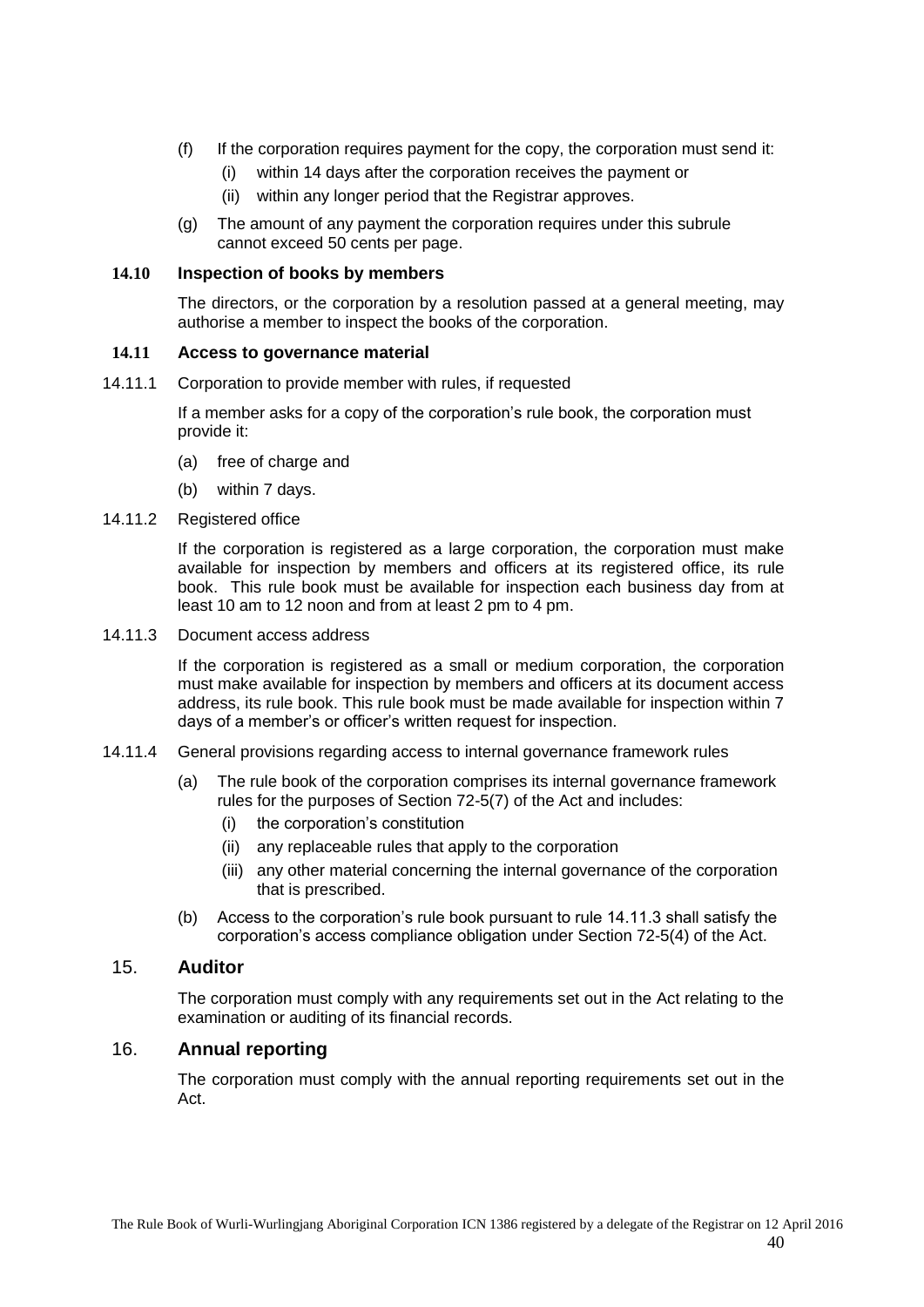- (f) If the corporation requires payment for the copy, the corporation must send it:
	- (i) within 14 days after the corporation receives the payment or
	- (ii) within any longer period that the Registrar approves.
- (g) The amount of any payment the corporation requires under this subrule cannot exceed 50 cents per page.

#### <span id="page-39-0"></span>**14.10 Inspection of books by members**

The directors, or the corporation by a resolution passed at a general meeting, may authorise a member to inspect the books of the corporation.

#### <span id="page-39-1"></span>**14.11 Access to governance material**

<span id="page-39-2"></span>14.11.1 Corporation to provide member with rules, if requested

If a member asks for a copy of the corporation's rule book, the corporation must provide it:

- (a) free of charge and
- (b) within 7 days.
- <span id="page-39-3"></span>14.11.2 Registered office

If the corporation is registered as a large corporation, the corporation must make available for inspection by members and officers at its registered office, its rule book. This rule book must be available for inspection each business day from at least 10 am to 12 noon and from at least 2 pm to 4 pm.

<span id="page-39-4"></span>14.11.3 Document access address

If the corporation is registered as a small or medium corporation, the corporation must make available for inspection by members and officers at its document access address, its rule book. This rule book must be made available for inspection within 7 days of a member's or officer's written request for inspection.

- <span id="page-39-5"></span>14.11.4 General provisions regarding access to internal governance framework rules
	- (a) The rule book of the corporation comprises its internal governance framework rules for the purposes of Section 72-5(7) of the Act and includes:
		- (i) the corporation's constitution
		- (ii) any replaceable rules that apply to the corporation
		- (iii) any other material concerning the internal governance of the corporation that is prescribed.
	- (b) Access to the corporation's rule book pursuant to rule 14.11.3 shall satisfy the corporation's access compliance obligation under Section 72-5(4) of the Act.

## <span id="page-39-6"></span>15. **Auditor**

The corporation must comply with any requirements set out in the Act relating to the examination or auditing of its financial records.

#### <span id="page-39-7"></span>16. **Annual reporting**

The corporation must comply with the annual reporting requirements set out in the Act.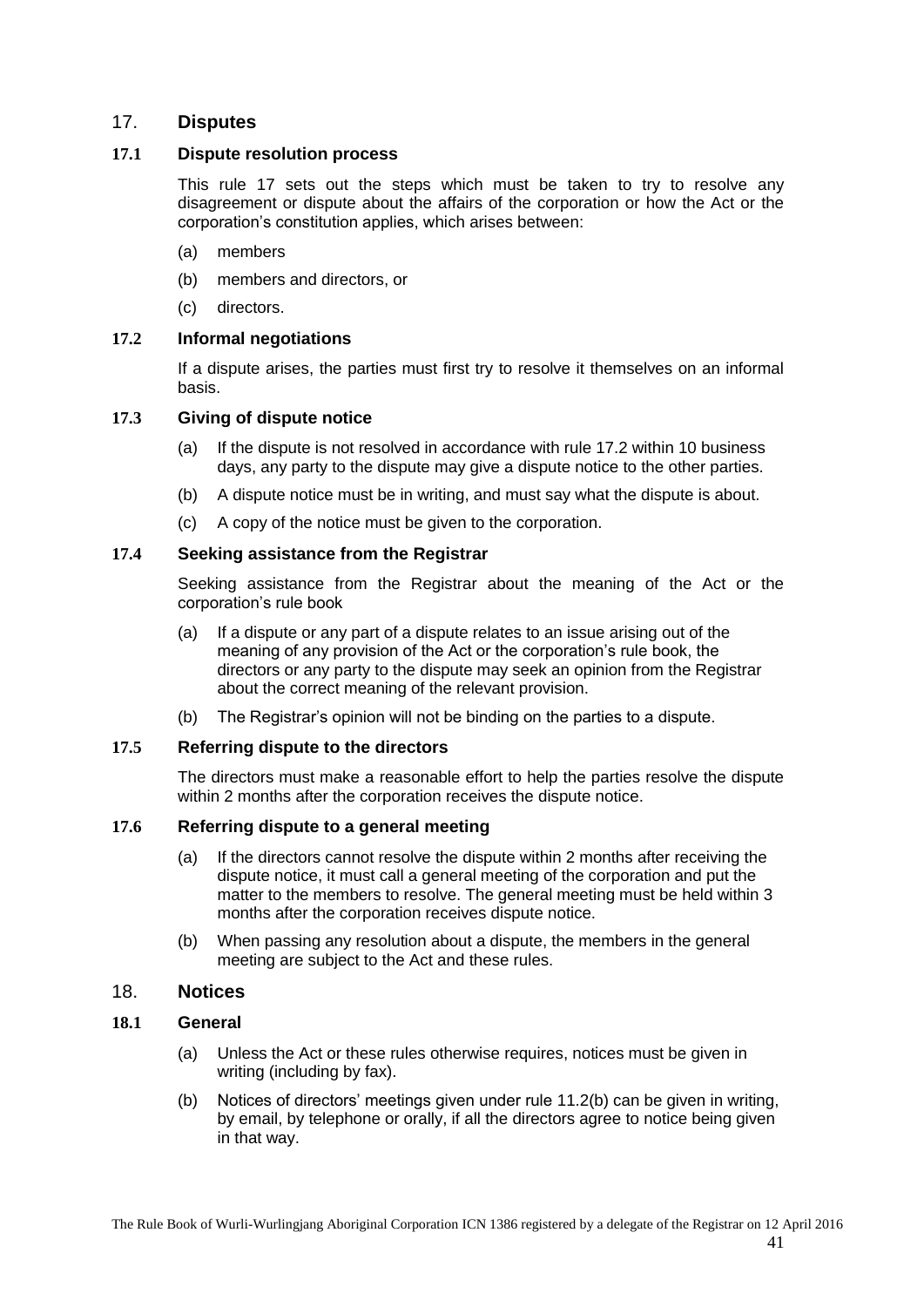## <span id="page-40-0"></span>17. **Disputes**

#### <span id="page-40-1"></span>**17.1 Dispute resolution process**

This rule 17 sets out the steps which must be taken to try to resolve any disagreement or dispute about the affairs of the corporation or how the Act or the corporation's constitution applies, which arises between:

- (a) members
- (b) members and directors, or
- (c) directors.

## <span id="page-40-2"></span>**17.2 Informal negotiations**

If a dispute arises, the parties must first try to resolve it themselves on an informal basis.

#### <span id="page-40-3"></span>**17.3 Giving of dispute notice**

- (a) If the dispute is not resolved in accordance with rule [17.2](#page-40-2) within 10 business days, any party to the dispute may give a dispute notice to the other parties.
- (b) A dispute notice must be in writing, and must say what the dispute is about.
- (c) A copy of the notice must be given to the corporation.

#### <span id="page-40-4"></span>**17.4 Seeking assistance from the Registrar**

Seeking assistance from the Registrar about the meaning of the Act or the corporation's rule book

- (a) If a dispute or any part of a dispute relates to an issue arising out of the meaning of any provision of the Act or the corporation's rule book, the directors or any party to the dispute may seek an opinion from the Registrar about the correct meaning of the relevant provision.
- (b) The Registrar's opinion will not be binding on the parties to a dispute.

#### <span id="page-40-5"></span>**17.5 Referring dispute to the directors**

The directors must make a reasonable effort to help the parties resolve the dispute within 2 months after the corporation receives the dispute notice.

## <span id="page-40-6"></span>**17.6 Referring dispute to a general meeting**

- (a) If the directors cannot resolve the dispute within 2 months after receiving the dispute notice, it must call a general meeting of the corporation and put the matter to the members to resolve. The general meeting must be held within 3 months after the corporation receives dispute notice.
- (b) When passing any resolution about a dispute, the members in the general meeting are subject to the Act and these rules.

#### <span id="page-40-7"></span>18. **Notices**

#### <span id="page-40-8"></span>**18.1 General**

- (a) Unless the Act or these rules otherwise requires, notices must be given in writing (including by fax).
- (b) Notices of directors' meetings given under rule [11.2\(b\)](#page-32-5) can be given in writing, by email, by telephone or orally, if all the directors agree to notice being given in that way.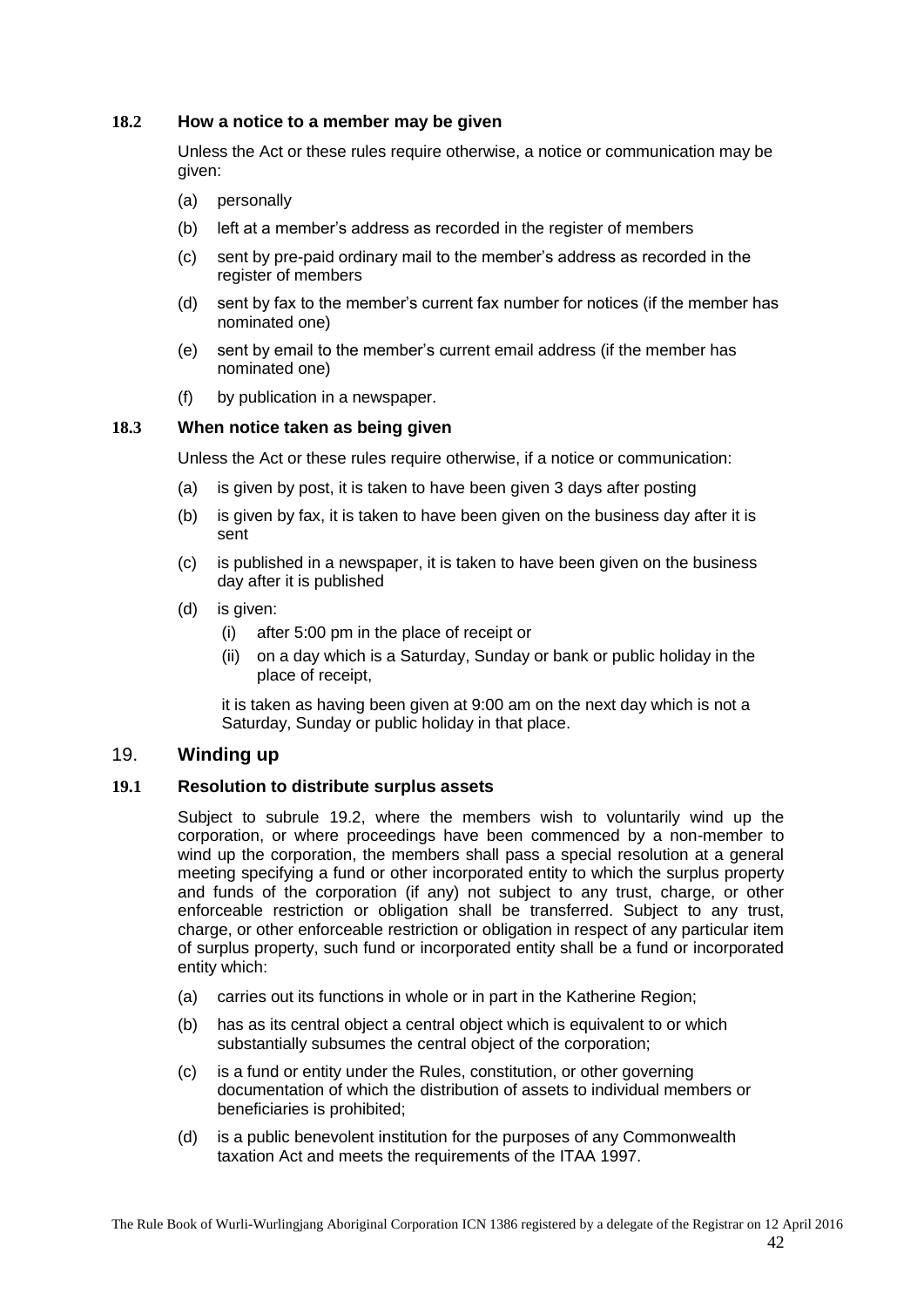## <span id="page-41-0"></span>**18.2 How a notice to a member may be given**

Unless the Act or these rules require otherwise, a notice or communication may be given:

- (a) personally
- (b) left at a member's address as recorded in the register of members
- (c) sent by pre-paid ordinary mail to the member's address as recorded in the register of members
- (d) sent by fax to the member's current fax number for notices (if the member has nominated one)
- (e) sent by email to the member's current email address (if the member has nominated one)
- (f) by publication in a newspaper.

#### <span id="page-41-1"></span>**18.3 When notice taken as being given**

Unless the Act or these rules require otherwise, if a notice or communication:

- (a) is given by post, it is taken to have been given 3 days after posting
- (b) is given by fax, it is taken to have been given on the business day after it is sent
- (c) is published in a newspaper, it is taken to have been given on the business day after it is published
- (d) is given:
	- (i) after 5:00 pm in the place of receipt or
	- (ii) on a day which is a Saturday, Sunday or bank or public holiday in the place of receipt,

it is taken as having been given at 9:00 am on the next day which is not a Saturday, Sunday or public holiday in that place.

## <span id="page-41-2"></span>19. **Winding up**

#### <span id="page-41-3"></span>**19.1 Resolution to distribute surplus assets**

Subject to subrule 19.2, where the members wish to voluntarily wind up the corporation, or where proceedings have been commenced by a non-member to wind up the corporation, the members shall pass a special resolution at a general meeting specifying a fund or other incorporated entity to which the surplus property and funds of the corporation (if any) not subject to any trust, charge, or other enforceable restriction or obligation shall be transferred. Subject to any trust, charge, or other enforceable restriction or obligation in respect of any particular item of surplus property, such fund or incorporated entity shall be a fund or incorporated entity which:

- (a) carries out its functions in whole or in part in the Katherine Region;
- (b) has as its central object a central object which is equivalent to or which substantially subsumes the central object of the corporation;
- (c) is a fund or entity under the Rules, constitution, or other governing documentation of which the distribution of assets to individual members or beneficiaries is prohibited;
- (d) is a public benevolent institution for the purposes of any Commonwealth taxation Act and meets the requirements of the ITAA 1997.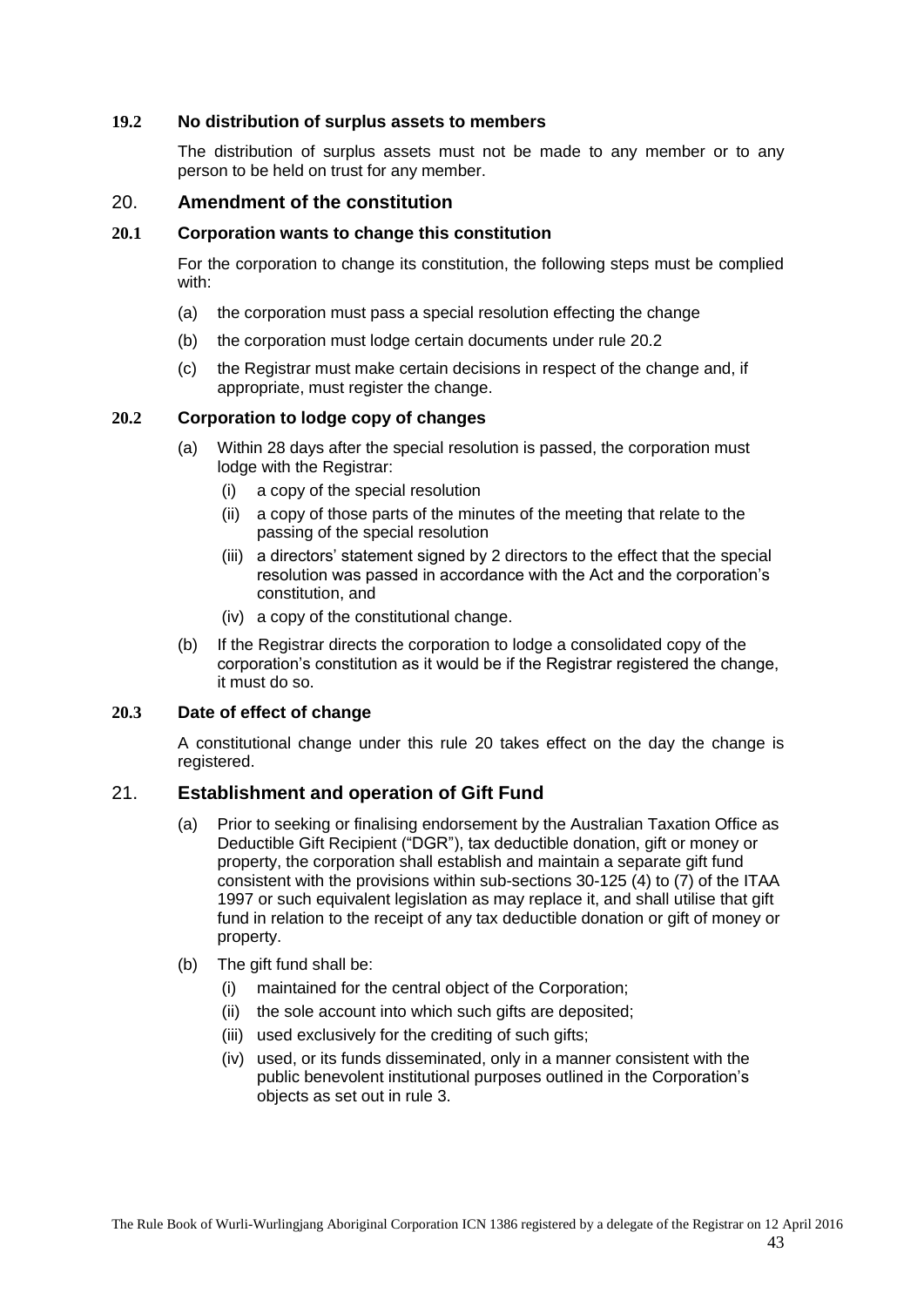## <span id="page-42-0"></span>**19.2 No distribution of surplus assets to members**

The distribution of surplus assets must not be made to any member or to any person to be held on trust for any member.

## <span id="page-42-1"></span>20. **Amendment of the constitution**

#### <span id="page-42-2"></span>**20.1 Corporation wants to change this constitution**

For the corporation to change its constitution, the following steps must be complied with:

- (a) the corporation must pass a special resolution effecting the change
- (b) the corporation must lodge certain documents under rule [20.2](#page-42-3)
- (c) the Registrar must make certain decisions in respect of the change and, if appropriate, must register the change.

#### <span id="page-42-3"></span>**20.2 Corporation to lodge copy of changes**

- (a) Within 28 days after the special resolution is passed, the corporation must lodge with the Registrar:
	- (i) a copy of the special resolution
	- (ii) a copy of those parts of the minutes of the meeting that relate to the passing of the special resolution
	- (iii) a directors' statement signed by 2 directors to the effect that the special resolution was passed in accordance with the Act and the corporation's constitution, and
	- (iv) a copy of the constitutional change.
- (b) If the Registrar directs the corporation to lodge a consolidated copy of the corporation's constitution as it would be if the Registrar registered the change, it must do so.

## <span id="page-42-4"></span>**20.3 Date of effect of change**

A constitutional change under this rule [20](#page-42-1) takes effect on the day the change is registered.

## <span id="page-42-5"></span>21. **Establishment and operation of Gift Fund**

- (a) Prior to seeking or finalising endorsement by the Australian Taxation Office as Deductible Gift Recipient ("DGR"), tax deductible donation, gift or money or property, the corporation shall establish and maintain a separate gift fund consistent with the provisions within sub-sections 30-125 (4) to (7) of the ITAA 1997 or such equivalent legislation as may replace it, and shall utilise that gift fund in relation to the receipt of any tax deductible donation or gift of money or property.
- (b) The gift fund shall be:
	- (i) maintained for the central object of the Corporation;
	- (ii) the sole account into which such gifts are deposited;
	- (iii) used exclusively for the crediting of such gifts;
	- (iv) used, or its funds disseminated, only in a manner consistent with the public benevolent institutional purposes outlined in the Corporation's objects as set out in rul[e 3.](#page-8-2)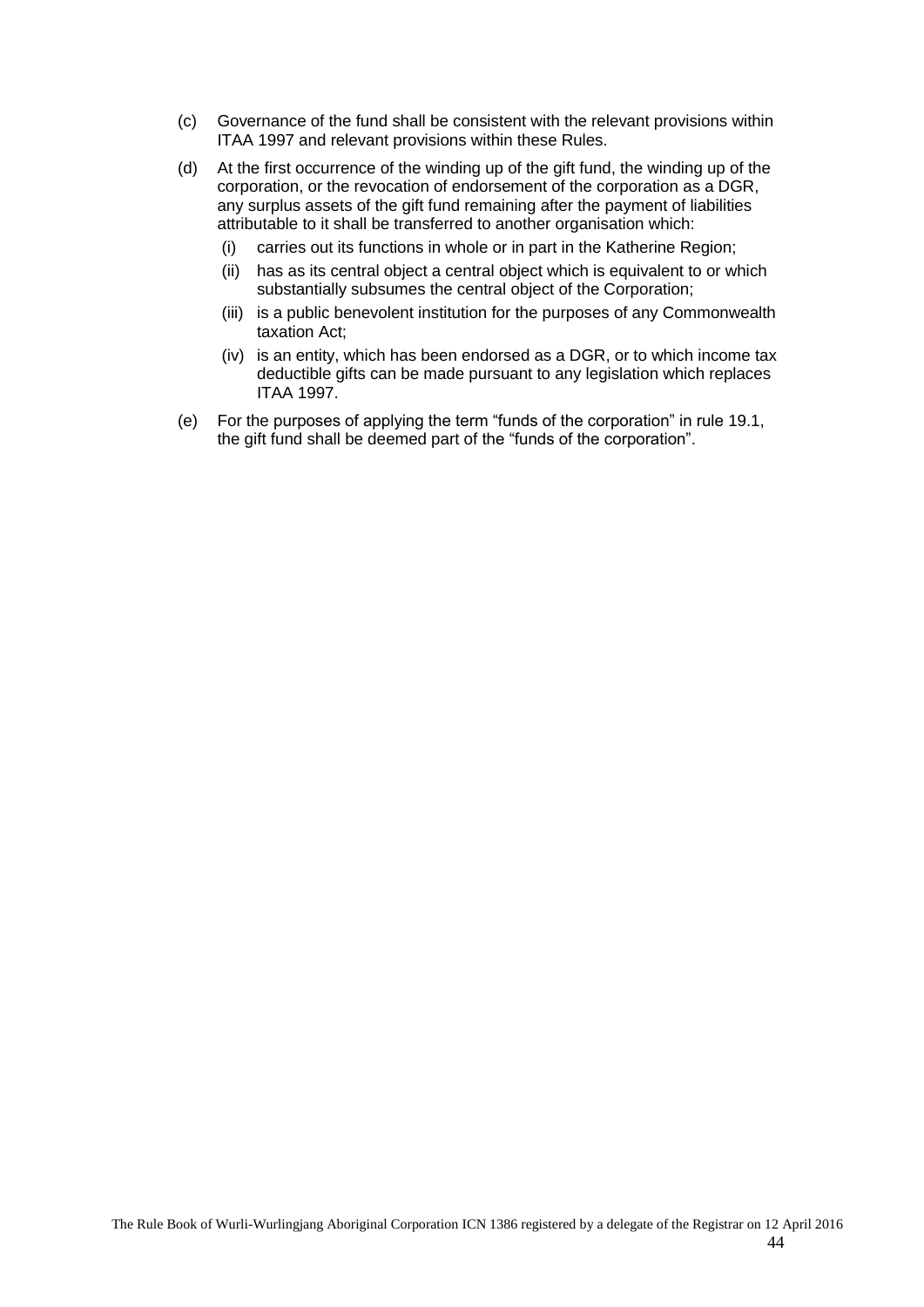- (c) Governance of the fund shall be consistent with the relevant provisions within ITAA 1997 and relevant provisions within these Rules.
- (d) At the first occurrence of the winding up of the gift fund, the winding up of the corporation, or the revocation of endorsement of the corporation as a DGR, any surplus assets of the gift fund remaining after the payment of liabilities attributable to it shall be transferred to another organisation which:
	- (i) carries out its functions in whole or in part in the Katherine Region;
	- (ii) has as its central object a central object which is equivalent to or which substantially subsumes the central object of the Corporation;
	- (iii) is a public benevolent institution for the purposes of any Commonwealth taxation Act;
	- (iv) is an entity, which has been endorsed as a DGR, or to which income tax deductible gifts can be made pursuant to any legislation which replaces ITAA 1997.
- (e) For the purposes of applying the term "funds of the corporation" in rule [19.1,](#page-41-3) the gift fund shall be deemed part of the "funds of the corporation".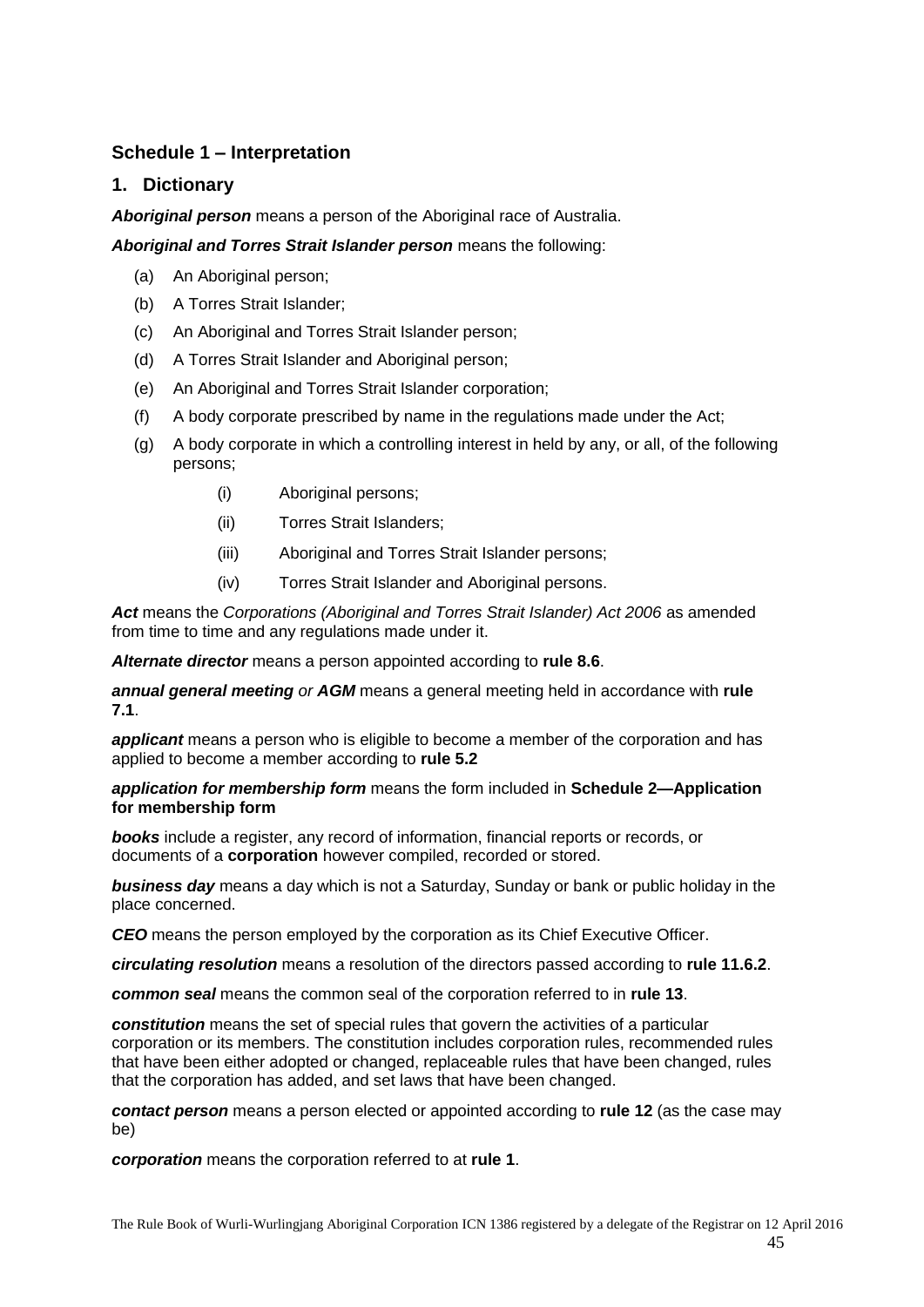# <span id="page-44-0"></span>**Schedule 1 – Interpretation**

## **1. Dictionary**

*Aboriginal person* means a person of the Aboriginal race of Australia.

## *Aboriginal and Torres Strait Islander person* means the following:

- (a) An Aboriginal person;
- (b) A Torres Strait Islander;
- (c) An Aboriginal and Torres Strait Islander person;
- (d) A Torres Strait Islander and Aboriginal person;
- (e) An Aboriginal and Torres Strait Islander corporation;
- (f) A body corporate prescribed by name in the regulations made under the Act;
- (g) A body corporate in which a controlling interest in held by any, or all, of the following persons;
	- (i) Aboriginal persons;
	- (ii) Torres Strait Islanders;
	- (iii) Aboriginal and Torres Strait Islander persons;
	- (iv) Torres Strait Islander and Aboriginal persons.

*Act* means the *Corporations (Aboriginal and Torres Strait Islander) Act 2006* as amended from time to time and any regulations made under it.

*Alternate director* means a person appointed according to **rule [8.6](#page-27-1)**.

*annual general meeting or AGM* means a general meeting held in accordance with **rule [7.1](#page-15-6)**.

*applicant* means a person who is eligible to become a member of the corporation and has applied to become a member according to **rule [5.2](#page-10-0)**

#### *application for membership form* means the form included in **Schedule 2—Application for membership form**

**books** include a register, any record of information, financial reports or records, or documents of a **corporation** however compiled, recorded or stored.

*business day* means a day which is not a Saturday, Sunday or bank or public holiday in the place concerned.

*CEO* means the person employed by the corporation as its Chief Executive Officer.

*circulating resolution* means a resolution of the directors passed according to **rule [11.6.2](#page-33-5)**.

*common seal* means the common seal of the corporation referred to in **rule [13](#page-34-9)**.

*constitution* means the set of special rules that govern the activities of a particular corporation or its members. The constitution includes corporation rules, recommended rules that have been either adopted or changed, replaceable rules that have been changed, rules that the corporation has added, and set laws that have been changed.

*contact person* means a person elected or appointed according to **rule [12](#page-33-6)** (as the case may be)

*corporation* means the corporation referred to at **rule [1](#page-8-0)**.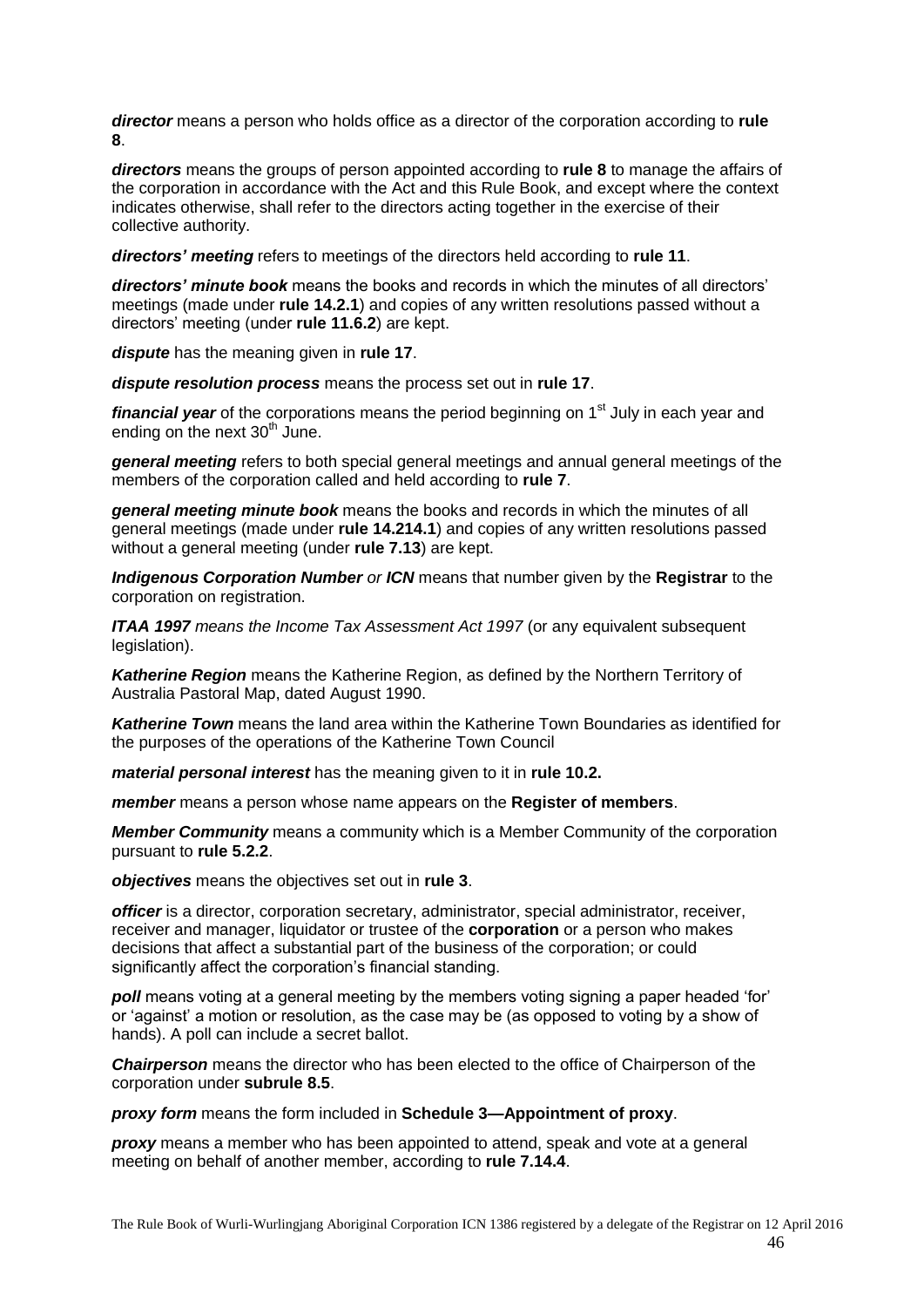*director* means a person who holds office as a director of the corporation according to **rule [8](#page-24-7)**.

*directors* means the groups of person appointed according to **rule 8** to manage the affairs of the corporation in accordance with the Act and this Rule Book, and except where the context indicates otherwise, shall refer to the directors acting together in the exercise of their collective authority.

*directors' meeting* refers to meetings of the directors held according to **rule 11**.

*directors' minute book* means the books and records in which the minutes of all directors' meetings (made under **rule [14.2.1](#page-36-1)**) and copies of any written resolutions passed without a directors' meeting (under **rule [11.6.2](#page-33-5)**) are kept.

*dispute* has the meaning given in **rule [17](#page-40-0)**.

*dispute resolution process* means the process set out in **rule [17](#page-40-0)**.

*financial year* of the corporations means the period beginning on 1<sup>st</sup> July in each year and ending on the next  $30<sup>th</sup>$  June.

*general meeting* refers to both special general meetings and annual general meetings of the members of the corporation called and held according to **rule 7**.

*general meeting minute book* means the books and records in which the minutes of all general meetings (made under **rule [14.214.1](#page-36-0)**) and copies of any written resolutions passed without a general meeting (under **rule [7.13](#page-22-1)**) are kept.

*Indigenous Corporation Number or ICN* means that number given by the **Registrar** to the corporation on registration.

*ITAA 1997 means the Income Tax Assessment Act 1997* (or any equivalent subsequent legislation).

*Katherine Region* means the Katherine Region, as defined by the Northern Territory of Australia Pastoral Map, dated August 1990.

*Katherine Town* means the land area within the Katherine Town Boundaries as identified for the purposes of the operations of the Katherine Town Council

*material personal interest* has the meaning given to it in **rule [10.2.](#page-29-4)**

*member* means a person whose name appears on the **Register of members**.

*Member Community* means a community which is a Member Community of the corporation pursuant to **rule [5.2.2](#page-10-2)**.

*objectives* means the objectives set out in **rule [3](#page-8-2)**.

*officer* is a director, corporation secretary, administrator, special administrator, receiver, receiver and manager, liquidator or trustee of the **corporation** or a person who makes decisions that affect a substantial part of the business of the corporation; or could significantly affect the corporation's financial standing.

**poll** means voting at a general meeting by the members voting signing a paper headed 'for' or ‗against' a motion or resolution, as the case may be (as opposed to voting by a show of hands). A poll can include a secret ballot.

*Chairperson* means the director who has been elected to the office of Chairperson of the corporation under **subrule [8.5](#page-27-0)**.

*proxy form* means the form included in **Schedule 3—Appointment of proxy**.

*proxy* means a member who has been appointed to attend, speak and vote at a general meeting on behalf of another member, according to **rule [7.14.4](#page-23-1)**.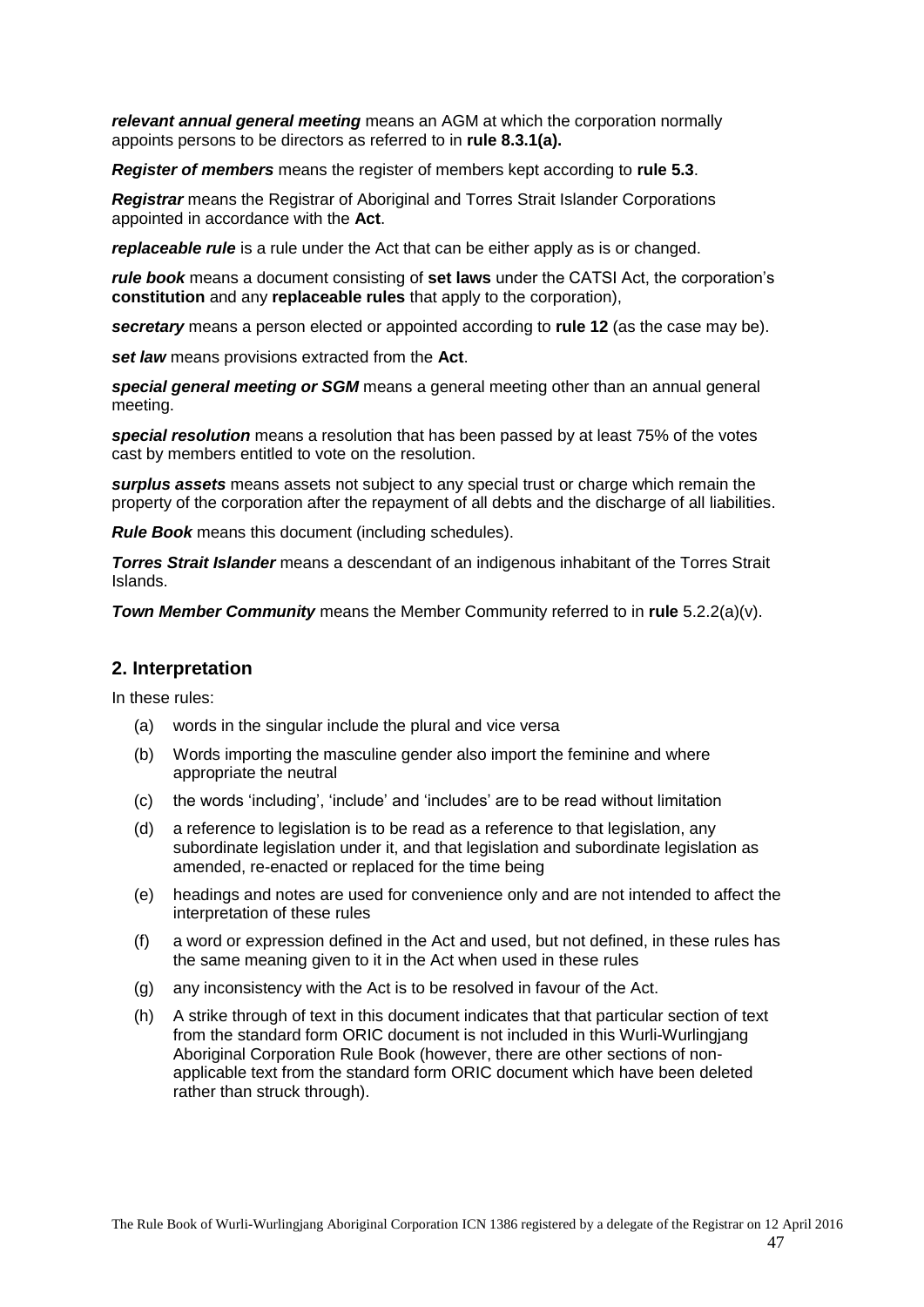*relevant annual general meeting* means an AGM at which the corporation normally appoints persons to be directors as referred to in **rule [8.3.1\(a\).](#page-25-7)** 

*Register of members* means the register of members kept according to **rule [5.3](#page-11-0)**.

*Registrar* means the Registrar of Aboriginal and Torres Strait Islander Corporations appointed in accordance with the **Act**.

*replaceable rule* is a rule under the Act that can be either apply as is or changed.

*rule book* means a document consisting of **set laws** under the CATSI Act, the corporation's **constitution** and any **replaceable rules** that apply to the corporation),

*secretary* means a person elected or appointed according to **rule [12](#page-33-6)** (as the case may be).

*set law* means provisions extracted from the **Act**.

*special general meeting or SGM* means a general meeting other than an annual general meeting.

*special resolution* means a resolution that has been passed by at least 75% of the votes cast by members entitled to vote on the resolution.

*surplus assets* means assets not subject to any special trust or charge which remain the property of the corporation after the repayment of all debts and the discharge of all liabilities.

*Rule Book* means this document (including schedules).

*Torres Strait Islander* means a descendant of an indigenous inhabitant of the Torres Strait Islands.

*Town Member Community* means the Member Community referred to in **rule** [5.2.2\(a\)\(v\).](#page-10-6)

## **2. Interpretation**

In these rules:

- (a) words in the singular include the plural and vice versa
- (b) Words importing the masculine gender also import the feminine and where appropriate the neutral
- (c) the words ‗including', ‗include' and ‗includes' are to be read without limitation
- (d) a reference to legislation is to be read as a reference to that legislation, any subordinate legislation under it, and that legislation and subordinate legislation as amended, re-enacted or replaced for the time being
- (e) headings and notes are used for convenience only and are not intended to affect the interpretation of these rules
- (f) a word or expression defined in the Act and used, but not defined, in these rules has the same meaning given to it in the Act when used in these rules
- (g) any inconsistency with the Act is to be resolved in favour of the Act.
- (h) A strike through of text in this document indicates that that particular section of text from the standard form ORIC document is not included in this Wurli-Wurlingjang Aboriginal Corporation Rule Book (however, there are other sections of nonapplicable text from the standard form ORIC document which have been deleted rather than struck through).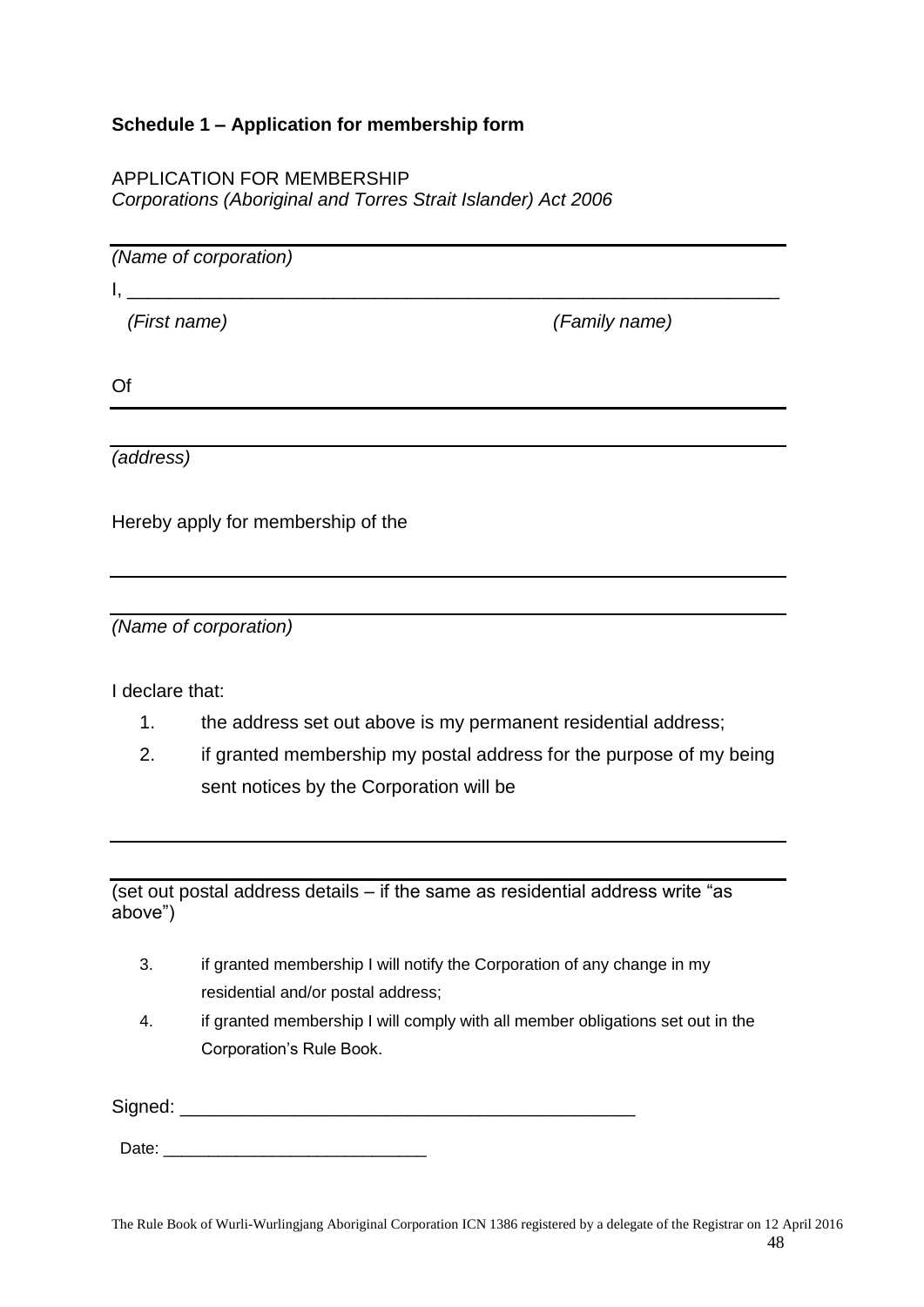# <span id="page-47-0"></span>**Schedule 1 – Application for membership form**

## APPLICATION FOR MEMBERSHIP *Corporations (Aboriginal and Torres Strait Islander) Act 2006*

*(Name of corporation)*

 $I_{\rm c}$  and the contract of the contract of the contract of the contract of the contract of the contract of the contract of the contract of the contract of the contract of the contract of the contract of the contract of

*(First name) (Family name)*

Of

*(address)*

Hereby apply for membership of the

*(Name of corporation)*

I declare that:

- 1. the address set out above is my permanent residential address;
- 2. if granted membership my postal address for the purpose of my being sent notices by the Corporation will be

(set out postal address details  $-$  if the same as residential address write "as above‖)

- 3. if granted membership I will notify the Corporation of any change in my residential and/or postal address;
- 4. if granted membership I will comply with all member obligations set out in the Corporation's Rule Book.

Signed: \_\_\_\_\_\_\_\_\_\_\_\_\_\_\_\_\_\_\_\_\_\_\_\_\_\_\_\_\_\_\_\_\_\_\_\_\_\_\_\_\_\_\_\_

Date: \_\_\_\_\_\_\_\_\_\_\_\_\_\_\_\_\_\_\_\_\_\_\_\_\_\_\_\_\_